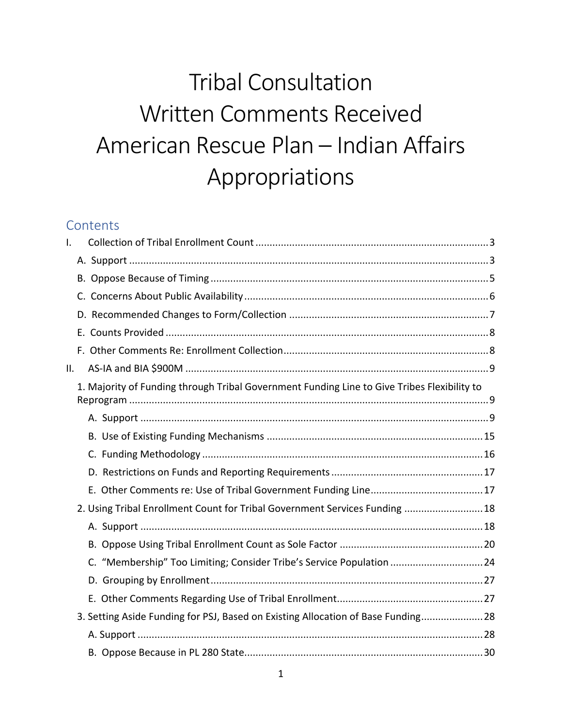# Tribal Consultation Written Comments Received American Rescue Plan – Indian Affairs Appropriations

# **Contents**

| $\mathsf{L}$    |                                                                                             |  |
|-----------------|---------------------------------------------------------------------------------------------|--|
|                 |                                                                                             |  |
|                 |                                                                                             |  |
|                 |                                                                                             |  |
|                 |                                                                                             |  |
|                 |                                                                                             |  |
|                 |                                                                                             |  |
| $\mathbf{II}$ . |                                                                                             |  |
|                 | 1. Majority of Funding through Tribal Government Funding Line to Give Tribes Flexibility to |  |
|                 |                                                                                             |  |
|                 |                                                                                             |  |
|                 |                                                                                             |  |
|                 |                                                                                             |  |
|                 |                                                                                             |  |
|                 | 2. Using Tribal Enrollment Count for Tribal Government Services Funding  18                 |  |
|                 |                                                                                             |  |
|                 |                                                                                             |  |
|                 | C. "Membership" Too Limiting; Consider Tribe's Service Population  24                       |  |
|                 |                                                                                             |  |
|                 |                                                                                             |  |
|                 | 3. Setting Aside Funding for PSJ, Based on Existing Allocation of Base Funding 28           |  |
|                 |                                                                                             |  |
|                 |                                                                                             |  |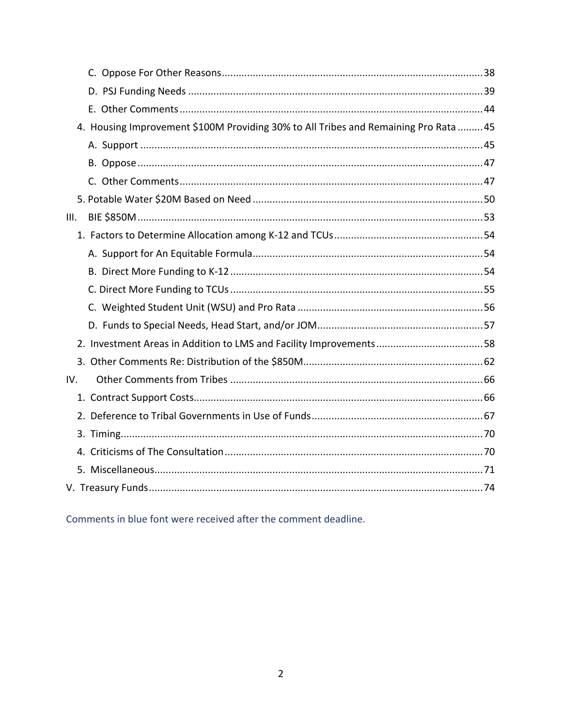| 4. Housing Improvement \$100M Providing 30% to All Tribes and Remaining Pro Rata  45 |
|--------------------------------------------------------------------------------------|
|                                                                                      |
|                                                                                      |
|                                                                                      |
|                                                                                      |
| III.                                                                                 |
|                                                                                      |
|                                                                                      |
|                                                                                      |
|                                                                                      |
|                                                                                      |
|                                                                                      |
|                                                                                      |
|                                                                                      |
| IV.                                                                                  |
|                                                                                      |
|                                                                                      |
|                                                                                      |
|                                                                                      |
|                                                                                      |
|                                                                                      |

Comments in blue font were received after the comment deadline.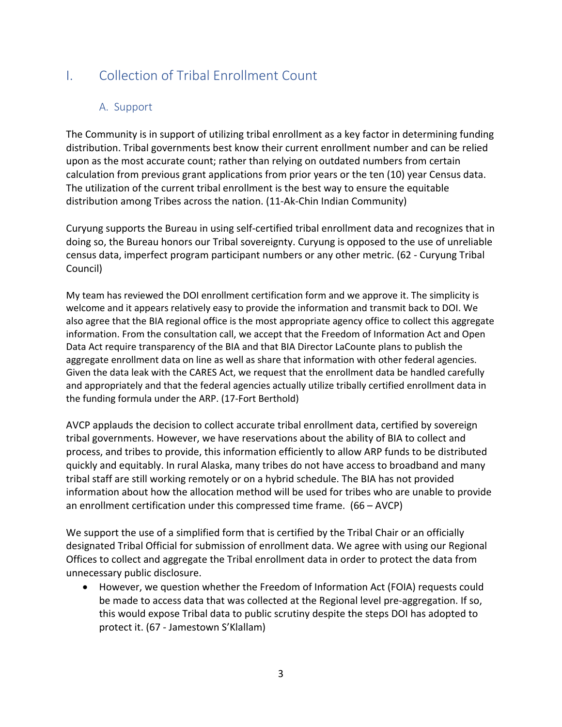# <span id="page-2-1"></span><span id="page-2-0"></span>I. Collection of Tribal Enrollment Count

## A. Support

The Community is in support of utilizing tribal enrollment as a key factor in determining funding distribution. Tribal governments best know their current enrollment number and can be relied upon as the most accurate count; rather than relying on outdated numbers from certain calculation from previous grant applications from prior years or the ten (10) year Census data. The utilization of the current tribal enrollment is the best way to ensure the equitable distribution among Tribes across the nation. (11-Ak-Chin Indian Community)

Curyung supports the Bureau in using self-certified tribal enrollment data and recognizes that in doing so, the Bureau honors our Tribal sovereignty. Curyung is opposed to the use of unreliable census data, imperfect program participant numbers or any other metric. (62 - Curyung Tribal Council)

My team has reviewed the DOI enrollment certification form and we approve it. The simplicity is welcome and it appears relatively easy to provide the information and transmit back to DOI. We also agree that the BIA regional office is the most appropriate agency office to collect this aggregate information. From the consultation call, we accept that the Freedom of Information Act and Open Data Act require transparency of the BIA and that BIA Director LaCounte plans to publish the aggregate enrollment data on line as well as share that information with other federal agencies. Given the data leak with the CARES Act, we request that the enrollment data be handled carefully and appropriately and that the federal agencies actually utilize tribally certified enrollment data in the funding formula under the ARP. (17-Fort Berthold)

AVCP applauds the decision to collect accurate tribal enrollment data, certified by sovereign tribal governments. However, we have reservations about the ability of BIA to collect and process, and tribes to provide, this information efficiently to allow ARP funds to be distributed quickly and equitably. In rural Alaska, many tribes do not have access to broadband and many tribal staff are still working remotely or on a hybrid schedule. The BIA has not provided information about how the allocation method will be used for tribes who are unable to provide an enrollment certification under this compressed time frame. (66 – AVCP)

We support the use of a simplified form that is certified by the Tribal Chair or an officially designated Tribal Official for submission of enrollment data. We agree with using our Regional Offices to collect and aggregate the Tribal enrollment data in order to protect the data from unnecessary public disclosure.

• However, we question whether the Freedom of Information Act (FOIA) requests could be made to access data that was collected at the Regional level pre-aggregation. If so, this would expose Tribal data to public scrutiny despite the steps DOI has adopted to protect it. (67 - Jamestown S'Klallam)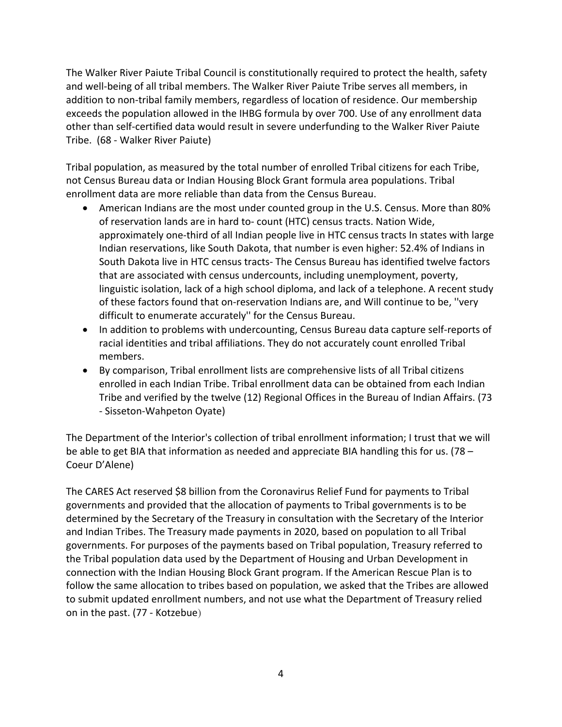The Walker River Paiute Tribal Council is constitutionally required to protect the health, safety and well-being of all tribal members. The Walker River Paiute Tribe serves all members, in addition to non-tribal family members, regardless of location of residence. Our membership exceeds the population allowed in the IHBG formula by over 700. Use of any enrollment data other than self-certified data would result in severe underfunding to the Walker River Paiute Tribe. (68 - Walker River Paiute)

Tribal population, as measured by the total number of enrolled Tribal citizens for each Tribe, not Census Bureau data or Indian Housing Block Grant formula area populations. Tribal enrollment data are more reliable than data from the Census Bureau.

- American Indians are the most under counted group in the U.S. Census. More than 80% of reservation lands are in hard to- count (HTC) census tracts. Nation Wide, approximately one-third of all Indian people live in HTC census tracts In states with large Indian reservations, like South Dakota, that number is even higher: 52.4% of Indians in South Dakota live in HTC census tracts- The Census Bureau has identified twelve factors that are associated with census undercounts, including unemployment, poverty, linguistic isolation, lack of a high school diploma, and lack of a telephone. A recent study of these factors found that on-reservation Indians are, and Will continue to be, ''very difficult to enumerate accurately'' for the Census Bureau.
- In addition to problems with undercounting, Census Bureau data capture self-reports of racial identities and tribal affiliations. They do not accurately count enrolled Tribal members.
- By comparison, Tribal enrollment lists are comprehensive lists of all Tribal citizens enrolled in each Indian Tribe. Tribal enrollment data can be obtained from each Indian Tribe and verified by the twelve (12) Regional Offices in the Bureau of Indian Affairs. (73 - Sisseton-Wahpeton Oyate)

The Department of the Interior's collection of tribal enrollment information; I trust that we will be able to get BIA that information as needed and appreciate BIA handling this for us. (78 – Coeur D'Alene)

The CARES Act reserved \$8 billion from the Coronavirus Relief Fund for payments to Tribal governments and provided that the allocation of payments to Tribal governments is to be determined by the Secretary of the Treasury in consultation with the Secretary of the Interior and Indian Tribes. The Treasury made payments in 2020, based on population to all Tribal governments. For purposes of the payments based on Tribal population, Treasury referred to the Tribal population data used by the Department of Housing and Urban Development in connection with the Indian Housing Block Grant program. If the American Rescue Plan is to follow the same allocation to tribes based on population, we asked that the Tribes are allowed to submit updated enrollment numbers, and not use what the Department of Treasury relied on in the past. (77 - Kotzebue)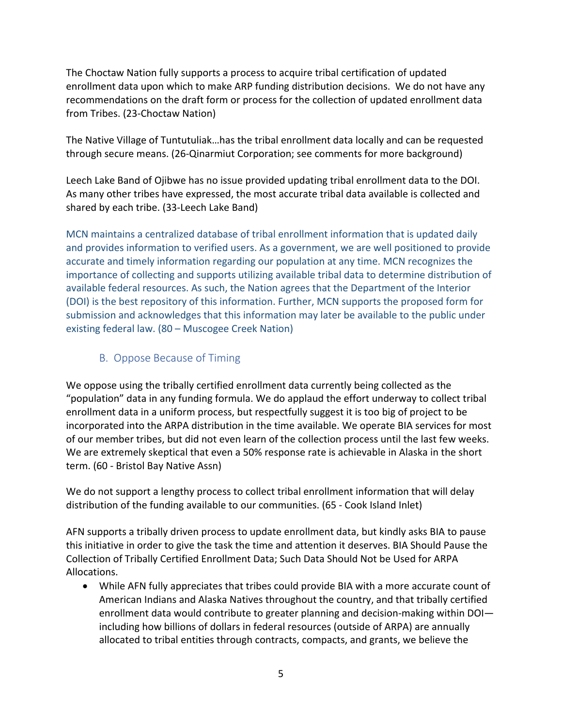The Choctaw Nation fully supports a process to acquire tribal certification of updated enrollment data upon which to make ARP funding distribution decisions. We do not have any recommendations on the draft form or process for the collection of updated enrollment data from Tribes. (23-Choctaw Nation)

The Native Village of Tuntutuliak…has the tribal enrollment data locally and can be requested through secure means. (26-Qinarmiut Corporation; see comments for more background)

Leech Lake Band of Ojibwe has no issue provided updating tribal enrollment data to the DOI. As many other tribes have expressed, the most accurate tribal data available is collected and shared by each tribe. (33-Leech Lake Band)

MCN maintains a centralized database of tribal enrollment information that is updated daily and provides information to verified users. As a government, we are well positioned to provide accurate and timely information regarding our population at any time. MCN recognizes the importance of collecting and supports utilizing available tribal data to determine distribution of available federal resources. As such, the Nation agrees that the Department of the Interior (DOI) is the best repository of this information. Further, MCN supports the proposed form for submission and acknowledges that this information may later be available to the public under existing federal law. (80 – Muscogee Creek Nation)

## B. Oppose Because of Timing

<span id="page-4-0"></span>We oppose using the tribally certified enrollment data currently being collected as the "population" data in any funding formula. We do applaud the effort underway to collect tribal enrollment data in a uniform process, but respectfully suggest it is too big of project to be incorporated into the ARPA distribution in the time available. We operate BIA services for most of our member tribes, but did not even learn of the collection process until the last few weeks. We are extremely skeptical that even a 50% response rate is achievable in Alaska in the short term. (60 - Bristol Bay Native Assn)

We do not support a lengthy process to collect tribal enrollment information that will delay distribution of the funding available to our communities. (65 - Cook Island Inlet)

AFN supports a tribally driven process to update enrollment data, but kindly asks BIA to pause this initiative in order to give the task the time and attention it deserves. BIA Should Pause the Collection of Tribally Certified Enrollment Data; Such Data Should Not be Used for ARPA Allocations.

• While AFN fully appreciates that tribes could provide BIA with a more accurate count of American Indians and Alaska Natives throughout the country, and that tribally certified enrollment data would contribute to greater planning and decision-making within DOI including how billions of dollars in federal resources (outside of ARPA) are annually allocated to tribal entities through contracts, compacts, and grants, we believe the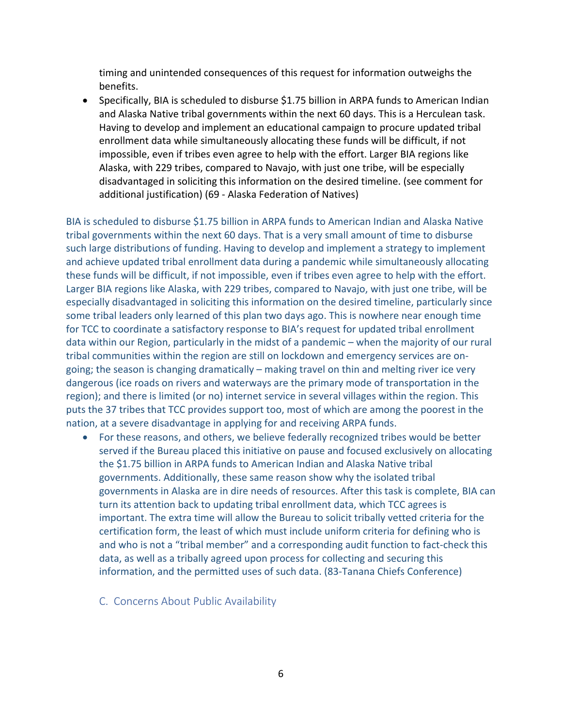timing and unintended consequences of this request for information outweighs the benefits.

• Specifically, BIA is scheduled to disburse \$1.75 billion in ARPA funds to American Indian and Alaska Native tribal governments within the next 60 days. This is a Herculean task. Having to develop and implement an educational campaign to procure updated tribal enrollment data while simultaneously allocating these funds will be difficult, if not impossible, even if tribes even agree to help with the effort. Larger BIA regions like Alaska, with 229 tribes, compared to Navajo, with just one tribe, will be especially disadvantaged in soliciting this information on the desired timeline. (see comment for additional justification) (69 - Alaska Federation of Natives)

BIA is scheduled to disburse \$1.75 billion in ARPA funds to American Indian and Alaska Native tribal governments within the next 60 days. That is a very small amount of time to disburse such large distributions of funding. Having to develop and implement a strategy to implement and achieve updated tribal enrollment data during a pandemic while simultaneously allocating these funds will be difficult, if not impossible, even if tribes even agree to help with the effort. Larger BIA regions like Alaska, with 229 tribes, compared to Navajo, with just one tribe, will be especially disadvantaged in soliciting this information on the desired timeline, particularly since some tribal leaders only learned of this plan two days ago. This is nowhere near enough time for TCC to coordinate a satisfactory response to BIA's request for updated tribal enrollment data within our Region, particularly in the midst of a pandemic – when the majority of our rural tribal communities within the region are still on lockdown and emergency services are ongoing; the season is changing dramatically – making travel on thin and melting river ice very dangerous (ice roads on rivers and waterways are the primary mode of transportation in the region); and there is limited (or no) internet service in several villages within the region. This puts the 37 tribes that TCC provides support too, most of which are among the poorest in the nation, at a severe disadvantage in applying for and receiving ARPA funds.

- <span id="page-5-0"></span>• For these reasons, and others, we believe federally recognized tribes would be better served if the Bureau placed this initiative on pause and focused exclusively on allocating the \$1.75 billion in ARPA funds to American Indian and Alaska Native tribal governments. Additionally, these same reason show why the isolated tribal governments in Alaska are in dire needs of resources. After this task is complete, BIA can turn its attention back to updating tribal enrollment data, which TCC agrees is important. The extra time will allow the Bureau to solicit tribally vetted criteria for the certification form, the least of which must include uniform criteria for defining who is and who is not a "tribal member" and a corresponding audit function to fact-check this data, as well as a tribally agreed upon process for collecting and securing this information, and the permitted uses of such data. (83-Tanana Chiefs Conference)
	- C. Concerns About Public Availability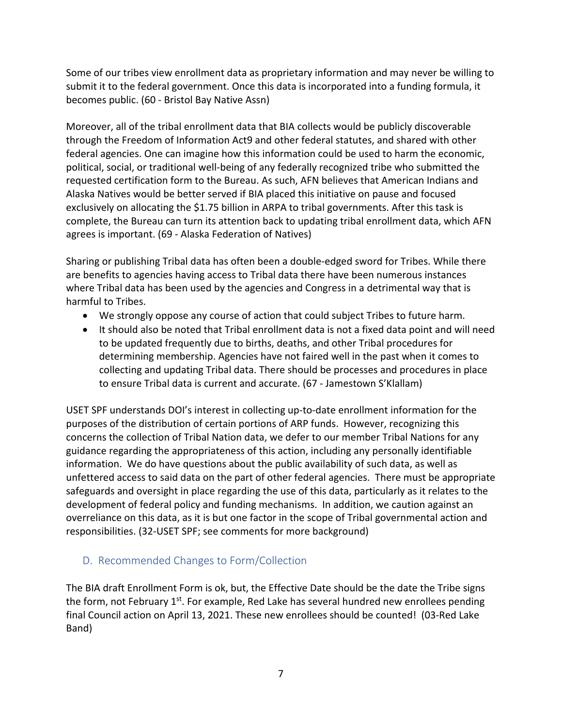Some of our tribes view enrollment data as proprietary information and may never be willing to submit it to the federal government. Once this data is incorporated into a funding formula, it becomes public. (60 - Bristol Bay Native Assn)

Moreover, all of the tribal enrollment data that BIA collects would be publicly discoverable through the Freedom of Information Act9 and other federal statutes, and shared with other federal agencies. One can imagine how this information could be used to harm the economic, political, social, or traditional well-being of any federally recognized tribe who submitted the requested certification form to the Bureau. As such, AFN believes that American Indians and Alaska Natives would be better served if BIA placed this initiative on pause and focused exclusively on allocating the \$1.75 billion in ARPA to tribal governments. After this task is complete, the Bureau can turn its attention back to updating tribal enrollment data, which AFN agrees is important. (69 - Alaska Federation of Natives)

Sharing or publishing Tribal data has often been a double-edged sword for Tribes. While there are benefits to agencies having access to Tribal data there have been numerous instances where Tribal data has been used by the agencies and Congress in a detrimental way that is harmful to Tribes.

- We strongly oppose any course of action that could subject Tribes to future harm.
- It should also be noted that Tribal enrollment data is not a fixed data point and will need to be updated frequently due to births, deaths, and other Tribal procedures for determining membership. Agencies have not faired well in the past when it comes to collecting and updating Tribal data. There should be processes and procedures in place to ensure Tribal data is current and accurate. (67 - Jamestown S'Klallam)

USET SPF understands DOI's interest in collecting up-to-date enrollment information for the purposes of the distribution of certain portions of ARP funds. However, recognizing this concerns the collection of Tribal Nation data, we defer to our member Tribal Nations for any guidance regarding the appropriateness of this action, including any personally identifiable information. We do have questions about the public availability of such data, as well as unfettered access to said data on the part of other federal agencies. There must be appropriate safeguards and oversight in place regarding the use of this data, particularly as it relates to the development of federal policy and funding mechanisms. In addition, we caution against an overreliance on this data, as it is but one factor in the scope of Tribal governmental action and responsibilities. (32-USET SPF; see comments for more background)

# <span id="page-6-0"></span>D. Recommended Changes to Form/Collection

The BIA draft Enrollment Form is ok, but, the Effective Date should be the date the Tribe signs the form, not February  $1^{st}$ . For example, Red Lake has several hundred new enrollees pending final Council action on April 13, 2021. These new enrollees should be counted! (03-Red Lake Band)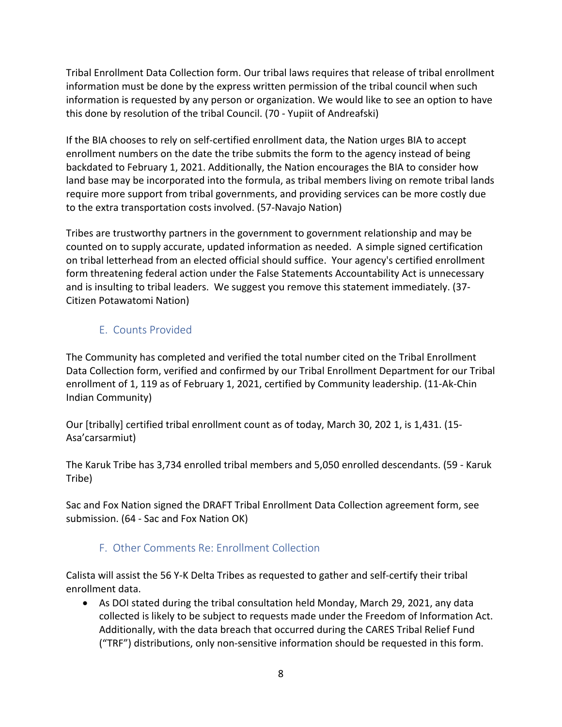Tribal Enrollment Data Collection form. Our tribal laws requires that release of tribal enrollment information must be done by the express written permission of the tribal council when such information is requested by any person or organization. We would like to see an option to have this done by resolution of the tribal Council. (70 - Yupiit of Andreafski)

If the BIA chooses to rely on self-certified enrollment data, the Nation urges BIA to accept enrollment numbers on the date the tribe submits the form to the agency instead of being backdated to February 1, 2021. Additionally, the Nation encourages the BIA to consider how land base may be incorporated into the formula, as tribal members living on remote tribal lands require more support from tribal governments, and providing services can be more costly due to the extra transportation costs involved. (57-Navajo Nation)

Tribes are trustworthy partners in the government to government relationship and may be counted on to supply accurate, updated information as needed. A simple signed certification on tribal letterhead from an elected official should suffice. Your agency's certified enrollment form threatening federal action under the False Statements Accountability Act is unnecessary and is insulting to tribal leaders. We suggest you remove this statement immediately. (37- Citizen Potawatomi Nation)

# E. Counts Provided

<span id="page-7-0"></span>The Community has completed and verified the total number cited on the Tribal Enrollment Data Collection form, verified and confirmed by our Tribal Enrollment Department for our Tribal enrollment of 1, 119 as of February 1, 2021, certified by Community leadership. (11-Ak-Chin Indian Community)

Our [tribally] certified tribal enrollment count as of today, March 30, 202 1, is 1,431. (15- Asa'carsarmiut)

The Karuk Tribe has 3,734 enrolled tribal members and 5,050 enrolled descendants. (59 - Karuk Tribe)

Sac and Fox Nation signed the DRAFT Tribal Enrollment Data Collection agreement form, see submission. (64 - Sac and Fox Nation OK)

# F. Other Comments Re: Enrollment Collection

<span id="page-7-1"></span>Calista will assist the 56 Y-K Delta Tribes as requested to gather and self-certify their tribal enrollment data.

• As DOI stated during the tribal consultation held Monday, March 29, 2021, any data collected is likely to be subject to requests made under the Freedom of Information Act. Additionally, with the data breach that occurred during the CARES Tribal Relief Fund ("TRF") distributions, only non-sensitive information should be requested in this form.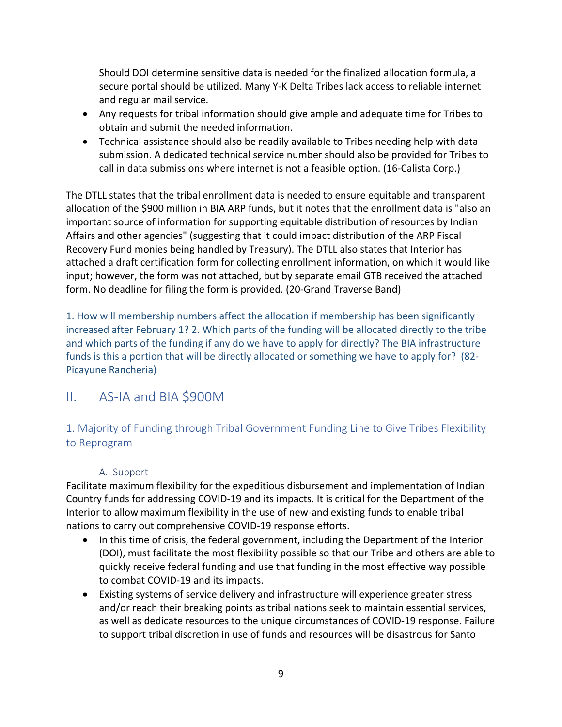Should DOI determine sensitive data is needed for the finalized allocation formula, a secure portal should be utilized. Many Y-K Delta Tribes lack access to reliable internet and regular mail service.

- Any requests for tribal information should give ample and adequate time for Tribes to obtain and submit the needed information.
- Technical assistance should also be readily available to Tribes needing help with data submission. A dedicated technical service number should also be provided for Tribes to call in data submissions where internet is not a feasible option. (16-Calista Corp.)

The DTLL states that the tribal enrollment data is needed to ensure equitable and transparent allocation of the \$900 million in BIA ARP funds, but it notes that the enrollment data is "also an important source of information for supporting equitable distribution of resources by Indian Affairs and other agencies" (suggesting that it could impact distribution of the ARP Fiscal Recovery Fund monies being handled by Treasury). The DTLL also states that Interior has attached a draft certification form for collecting enrollment information, on which it would like input; however, the form was not attached, but by separate email GTB received the attached form. No deadline for filing the form is provided. (20-Grand Traverse Band)

1. How will membership numbers affect the allocation if membership has been significantly increased after February 1? 2. Which parts of the funding will be allocated directly to the tribe and which parts of the funding if any do we have to apply for directly? The BIA infrastructure funds is this a portion that will be directly allocated or something we have to apply for? (82- Picayune Rancheria)

# <span id="page-8-0"></span>II. AS-IA and BIA \$900M

## <span id="page-8-1"></span>1. Majority of Funding through Tribal Government Funding Line to Give Tribes Flexibility to Reprogram

#### A. Support

<span id="page-8-2"></span>Facilitate maximum flexibility for the expeditious disbursement and implementation of Indian Country funds for addressing COVID-19 and its impacts. It is critical for the Department of the Interior to allow maximum flexibility in the use of new-and existing funds to enable tribal nations to carry out comprehensive COVID-19 response efforts.

- In this time of crisis, the federal government, including the Department of the Interior (DOI), must facilitate the most flexibility possible so that our Tribe and others are able to quickly receive federal funding and use that funding in the most effective way possible to combat COVID-19 and its impacts.
- Existing systems of service delivery and infrastructure will experience greater stress and/or reach their breaking points as tribal nations seek to maintain essential services, as well as dedicate resources to the unique circumstances of COVID-19 response. Failure to support tribal discretion in use of funds and resources will be disastrous for Santo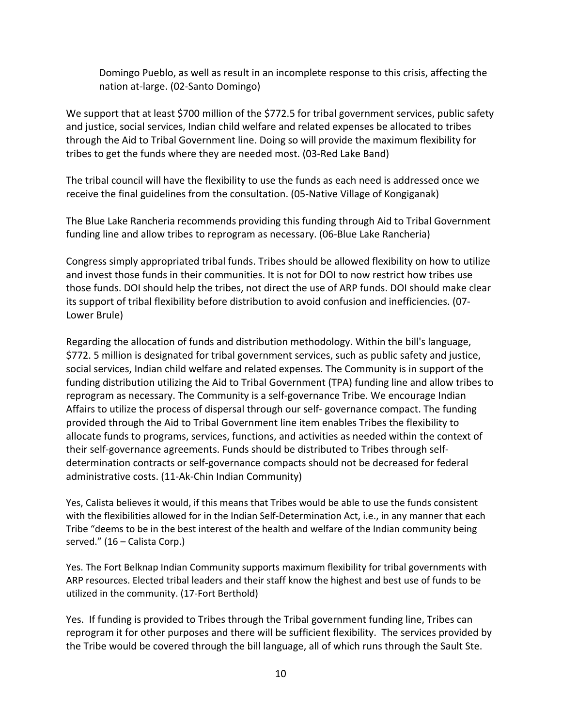Domingo Pueblo, as well as result in an incomplete response to this crisis, affecting the nation at-large. (02-Santo Domingo)

We support that at least \$700 million of the \$772.5 for tribal government services, public safety and justice, social services, Indian child welfare and related expenses be allocated to tribes through the Aid to Tribal Government line. Doing so will provide the maximum flexibility for tribes to get the funds where they are needed most. (03-Red Lake Band)

The tribal council will have the flexibility to use the funds as each need is addressed once we receive the final guidelines from the consultation. (05-Native Village of Kongiganak)

The Blue Lake Rancheria recommends providing this funding through Aid to Tribal Government funding line and allow tribes to reprogram as necessary. (06-Blue Lake Rancheria)

Congress simply appropriated tribal funds. Tribes should be allowed flexibility on how to utilize and invest those funds in their communities. It is not for DOI to now restrict how tribes use those funds. DOI should help the tribes, not direct the use of ARP funds. DOI should make clear its support of tribal flexibility before distribution to avoid confusion and inefficiencies. (07- Lower Brule)

Regarding the allocation of funds and distribution methodology. Within the bill's language, \$772. 5 million is designated for tribal government services, such as public safety and justice, social services, Indian child welfare and related expenses. The Community is in support of the funding distribution utilizing the Aid to Tribal Government (TPA) funding line and allow tribes to reprogram as necessary. The Community is a self-governance Tribe. We encourage Indian Affairs to utilize the process of dispersal through our self- governance compact. The funding provided through the Aid to Tribal Government line item enables Tribes the flexibility to allocate funds to programs, services, functions, and activities as needed within the context of their self-governance agreements. Funds should be distributed to Tribes through selfdetermination contracts or self-governance compacts should not be decreased for federal administrative costs. (11-Ak-Chin Indian Community)

Yes, Calista believes it would, if this means that Tribes would be able to use the funds consistent with the flexibilities allowed for in the Indian Self-Determination Act, i.e., in any manner that each Tribe "deems to be in the best interest of the health and welfare of the Indian community being served." (16 – Calista Corp.)

Yes. The Fort Belknap Indian Community supports maximum flexibility for tribal governments with ARP resources. Elected tribal leaders and their staff know the highest and best use of funds to be utilized in the community. (17-Fort Berthold)

Yes. If funding is provided to Tribes through the Tribal government funding line, Tribes can reprogram it for other purposes and there will be sufficient flexibility. The services provided by the Tribe would be covered through the bill language, all of which runs through the Sault Ste.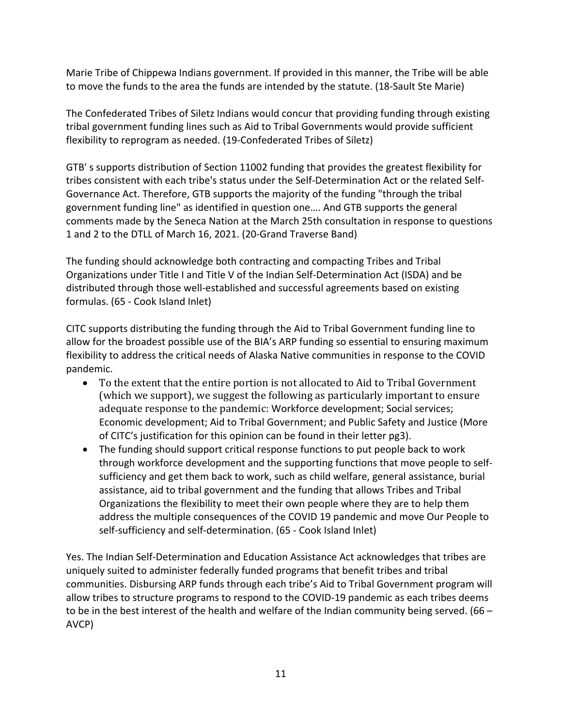Marie Tribe of Chippewa Indians government. If provided in this manner, the Tribe will be able to move the funds to the area the funds are intended by the statute. (18-Sault Ste Marie)

The Confederated Tribes of Siletz Indians would concur that providing funding through existing tribal government funding lines such as Aid to Tribal Governments would provide sufficient flexibility to reprogram as needed. (19-Confederated Tribes of Siletz)

GTB' s supports distribution of Section 11002 funding that provides the greatest flexibility for tribes consistent with each tribe's status under the Self-Determination Act or the related Self-Governance Act. Therefore, GTB supports the majority of the funding "through the tribal government funding line" as identified in question one…. And GTB supports the general comments made by the Seneca Nation at the March 25th consultation in response to questions 1 and 2 to the DTLL of March 16, 2021. (20-Grand Traverse Band)

The funding should acknowledge both contracting and compacting Tribes and Tribal Organizations under Title I and Title V of the Indian Self-Determination Act (ISDA) and be distributed through those well-established and successful agreements based on existing formulas. (65 - Cook Island Inlet)

CITC supports distributing the funding through the Aid to Tribal Government funding line to allow for the broadest possible use of the BIA's ARP funding so essential to ensuring maximum flexibility to address the critical needs of Alaska Native communities in response to the COVID pandemic.

- To the extent that the entire portion is not allocated to Aid to Tribal Government (which we support), we suggest the following as particularly important to ensure adequate response to the pandemic: Workforce development; Social services; Economic development; Aid to Tribal Government; and Public Safety and Justice (More of CITC's justification for this opinion can be found in their letter pg3).
- The funding should support critical response functions to put people back to work through workforce development and the supporting functions that move people to selfsufficiency and get them back to work, such as child welfare, general assistance, burial assistance, aid to tribal government and the funding that allows Tribes and Tribal Organizations the flexibility to meet their own people where they are to help them address the multiple consequences of the COVID 19 pandemic and move Our People to self-sufficiency and self-determination. (65 - Cook Island Inlet)

Yes. The Indian Self-Determination and Education Assistance Act acknowledges that tribes are uniquely suited to administer federally funded programs that benefit tribes and tribal communities. Disbursing ARP funds through each tribe's Aid to Tribal Government program will allow tribes to structure programs to respond to the COVID-19 pandemic as each tribes deems to be in the best interest of the health and welfare of the Indian community being served. (66 – AVCP)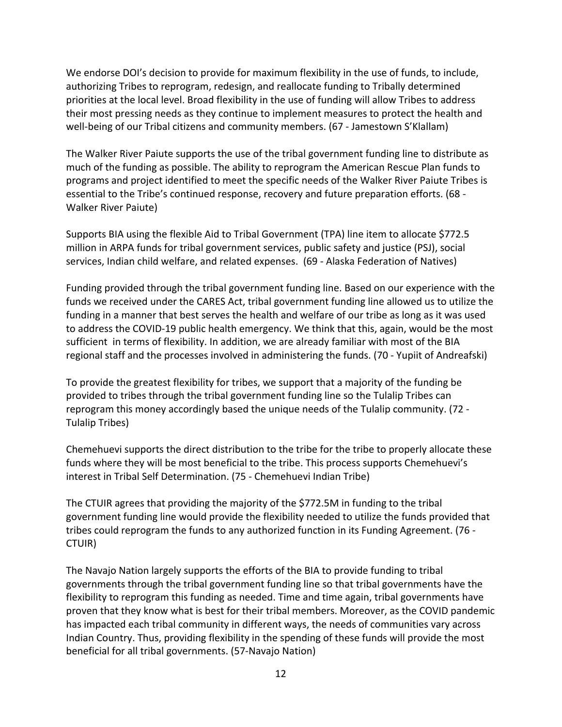We endorse DOI's decision to provide for maximum flexibility in the use of funds, to include, authorizing Tribes to reprogram, redesign, and reallocate funding to Tribally determined priorities at the local level. Broad flexibility in the use of funding will allow Tribes to address their most pressing needs as they continue to implement measures to protect the health and well-being of our Tribal citizens and community members. (67 - Jamestown S'Klallam)

The Walker River Paiute supports the use of the tribal government funding line to distribute as much of the funding as possible. The ability to reprogram the American Rescue Plan funds to programs and project identified to meet the specific needs of the Walker River Paiute Tribes is essential to the Tribe's continued response, recovery and future preparation efforts. (68 - Walker River Paiute)

Supports BIA using the flexible Aid to Tribal Government (TPA) line item to allocate \$772.5 million in ARPA funds for tribal government services, public safety and justice (PSJ), social services, Indian child welfare, and related expenses. (69 - Alaska Federation of Natives)

Funding provided through the tribal government funding line. Based on our experience with the funds we received under the CARES Act, tribal government funding line allowed us to utilize the funding in a manner that best serves the health and welfare of our tribe as long as it was used to address the COVID-19 public health emergency. We think that this, again, would be the most sufficient in terms of flexibility. In addition, we are already familiar with most of the BIA regional staff and the processes involved in administering the funds. (70 - Yupiit of Andreafski)

To provide the greatest flexibility for tribes, we support that a majority of the funding be provided to tribes through the tribal government funding line so the Tulalip Tribes can reprogram this money accordingly based the unique needs of the Tulalip community. (72 - Tulalip Tribes)

Chemehuevi supports the direct distribution to the tribe for the tribe to properly allocate these funds where they will be most beneficial to the tribe. This process supports Chemehuevi's interest in Tribal Self Determination. (75 - Chemehuevi Indian Tribe)

The CTUIR agrees that providing the majority of the \$772.5M in funding to the tribal government funding line would provide the flexibility needed to utilize the funds provided that tribes could reprogram the funds to any authorized function in its Funding Agreement. (76 - CTUIR)

The Navajo Nation largely supports the efforts of the BIA to provide funding to tribal governments through the tribal government funding line so that tribal governments have the flexibility to reprogram this funding as needed. Time and time again, tribal governments have proven that they know what is best for their tribal members. Moreover, as the COVID pandemic has impacted each tribal community in different ways, the needs of communities vary across Indian Country. Thus, providing flexibility in the spending of these funds will provide the most beneficial for all tribal governments. (57-Navajo Nation)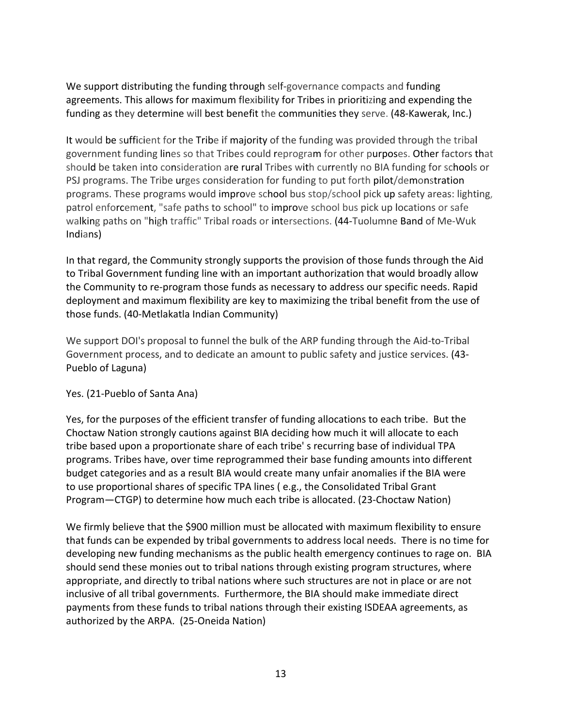We support distributing the funding through self-governance compacts and funding agreements. This allows for maximum flexibility for Tribes in prioritizing and expending the funding as they determine will best benefit the communities they serve. (48-Kawerak, Inc.)

It would be sufficient for the Tribe if majority of the funding was provided through the tribal government funding lines so that Tribes could reprogram for other purposes. Other factors that should be taken into consideration are rural Tribes with currently no BIA funding for schools or PSJ programs. The Tribe urges consideration for funding to put forth pilot/demonstration programs. These programs would improve school bus stop/school pick up safety areas: lighting, patrol enforcement, "safe paths to school" to improve school bus pick up locations or safe walking paths on "high traffic" Tribal roads or intersections. (44-Tuolumne Band of Me-Wuk Indians)

In that regard, the Community strongly supports the provision of those funds through the Aid to Tribal Government funding line with an important authorization that would broadly allow the Community to re-program those funds as necessary to address our specific needs. Rapid deployment and maximum flexibility are key to maximizing the tribal benefit from the use of those funds. (40-Metlakatla Indian Community)

We support DOI's proposal to funnel the bulk of the ARP funding through the Aid-to-Tribal Government process, and to dedicate an amount to public safety and justice services. (43- Pueblo of Laguna)

#### Yes. (21-Pueblo of Santa Ana)

Yes, for the purposes of the efficient transfer of funding allocations to each tribe. But the Choctaw Nation strongly cautions against BIA deciding how much it will allocate to each tribe based upon a proportionate share of each tribe' s recurring base of individual TPA programs. Tribes have, over time reprogrammed their base funding amounts into different budget categories and as a result BIA would create many unfair anomalies if the BIA were to use proportional shares of specific TPA lines ( e.g., the Consolidated Tribal Grant Program—CTGP) to determine how much each tribe is allocated. (23-Choctaw Nation)

We firmly believe that the \$900 million must be allocated with maximum flexibility to ensure that funds can be expended by tribal governments to address local needs. There is no time for developing new funding mechanisms as the public health emergency continues to rage on. BIA should send these monies out to tribal nations through existing program structures, where appropriate, and directly to tribal nations where such structures are not in place or are not inclusive of all tribal governments. Furthermore, the BIA should make immediate direct payments from these funds to tribal nations through their existing ISDEAA agreements, as authorized by the ARPA. (25-Oneida Nation)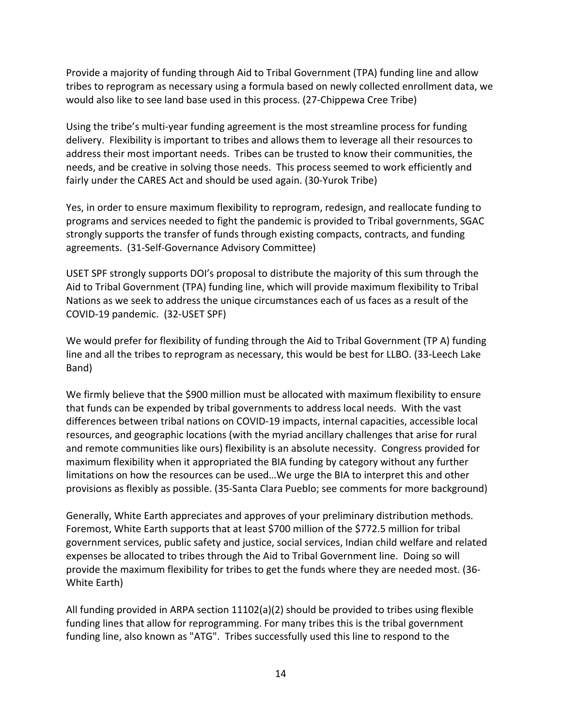Provide a majority of funding through Aid to Tribal Government (TPA) funding line and allow tribes to reprogram as necessary using a formula based on newly collected enrollment data, we would also like to see land base used in this process. (27-Chippewa Cree Tribe)

Using the tribe's multi-year funding agreement is the most streamline process for funding delivery. Flexibility is important to tribes and allows them to leverage all their resources to address their most important needs. Tribes can be trusted to know their communities, the needs, and be creative in solving those needs. This process seemed to work efficiently and fairly under the CARES Act and should be used again. (30-Yurok Tribe)

Yes, in order to ensure maximum flexibility to reprogram, redesign, and reallocate funding to programs and services needed to fight the pandemic is provided to Tribal governments, SGAC strongly supports the transfer of funds through existing compacts, contracts, and funding agreements. (31-Self-Governance Advisory Committee)

USET SPF strongly supports DOI's proposal to distribute the majority of this sum through the Aid to Tribal Government (TPA) funding line, which will provide maximum flexibility to Tribal Nations as we seek to address the unique circumstances each of us faces as a result of the COVID-19 pandemic. (32-USET SPF)

We would prefer for flexibility of funding through the Aid to Tribal Government (TP A) funding line and all the tribes to reprogram as necessary, this would be best for LLBO. (33-Leech Lake Band)

We firmly believe that the \$900 million must be allocated with maximum flexibility to ensure that funds can be expended by tribal governments to address local needs. With the vast differences between tribal nations on COVID-19 impacts, internal capacities, accessible local resources, and geographic locations (with the myriad ancillary challenges that arise for rural and remote communities like ours) flexibility is an absolute necessity. Congress provided for maximum flexibility when it appropriated the BIA funding by category without any further limitations on how the resources can be used…We urge the BIA to interpret this and other provisions as flexibly as possible. (35-Santa Clara Pueblo; see comments for more background)

Generally, White Earth appreciates and approves of your preliminary distribution methods. Foremost, White Earth supports that at least \$700 million of the \$772.5 million for tribal government services, public safety and justice, social services, Indian child welfare and related expenses be allocated to tribes through the Aid to Tribal Government line. Doing so will provide the maximum flexibility for tribes to get the funds where they are needed most. (36- White Earth)

All funding provided in ARPA section 11102(a)(2) should be provided to tribes using flexible funding lines that allow for reprogramming. For many tribes this is the tribal government funding line, also known as "ATG". Tribes successfully used this line to respond to the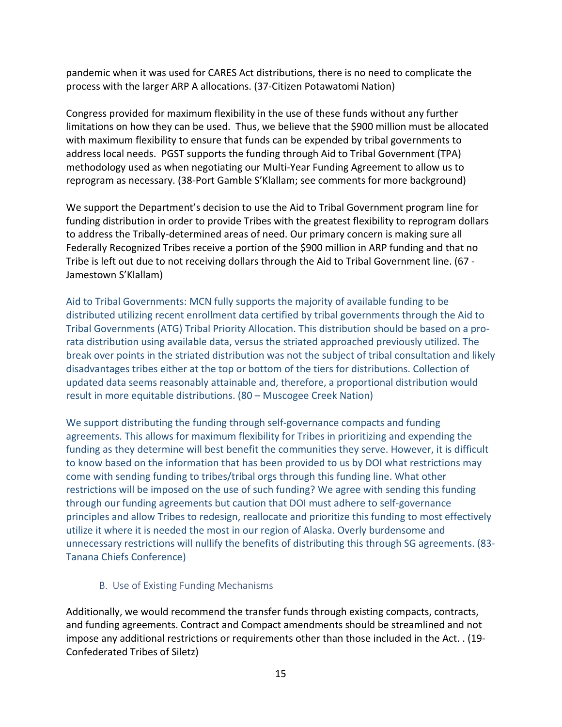pandemic when it was used for CARES Act distributions, there is no need to complicate the process with the larger ARP A allocations. (37-Citizen Potawatomi Nation)

Congress provided for maximum flexibility in the use of these funds without any further limitations on how they can be used. Thus, we believe that the \$900 million must be allocated with maximum flexibility to ensure that funds can be expended by tribal governments to address local needs. PGST supports the funding through Aid to Tribal Government (TPA) methodology used as when negotiating our Multi-Year Funding Agreement to allow us to reprogram as necessary. (38-Port Gamble S'Klallam; see comments for more background)

We support the Department's decision to use the Aid to Tribal Government program line for funding distribution in order to provide Tribes with the greatest flexibility to reprogram dollars to address the Tribally-determined areas of need. Our primary concern is making sure all Federally Recognized Tribes receive a portion of the \$900 million in ARP funding and that no Tribe is left out due to not receiving dollars through the Aid to Tribal Government line. (67 - Jamestown S'Klallam)

Aid to Tribal Governments: MCN fully supports the majority of available funding to be distributed utilizing recent enrollment data certified by tribal governments through the Aid to Tribal Governments (ATG) Tribal Priority Allocation. This distribution should be based on a prorata distribution using available data, versus the striated approached previously utilized. The break over points in the striated distribution was not the subject of tribal consultation and likely disadvantages tribes either at the top or bottom of the tiers for distributions. Collection of updated data seems reasonably attainable and, therefore, a proportional distribution would result in more equitable distributions. (80 – Muscogee Creek Nation)

We support distributing the funding through self-governance compacts and funding agreements. This allows for maximum flexibility for Tribes in prioritizing and expending the funding as they determine will best benefit the communities they serve. However, it is difficult to know based on the information that has been provided to us by DOI what restrictions may come with sending funding to tribes/tribal orgs through this funding line. What other restrictions will be imposed on the use of such funding? We agree with sending this funding through our funding agreements but caution that DOI must adhere to self-governance principles and allow Tribes to redesign, reallocate and prioritize this funding to most effectively utilize it where it is needed the most in our region of Alaska. Overly burdensome and unnecessary restrictions will nullify the benefits of distributing this through SG agreements. (83- Tanana Chiefs Conference)

#### B. Use of Existing Funding Mechanisms

<span id="page-14-0"></span>Additionally, we would recommend the transfer funds through existing compacts, contracts, and funding agreements. Contract and Compact amendments should be streamlined and not impose any additional restrictions or requirements other than those included in the Act. . (19- Confederated Tribes of Siletz)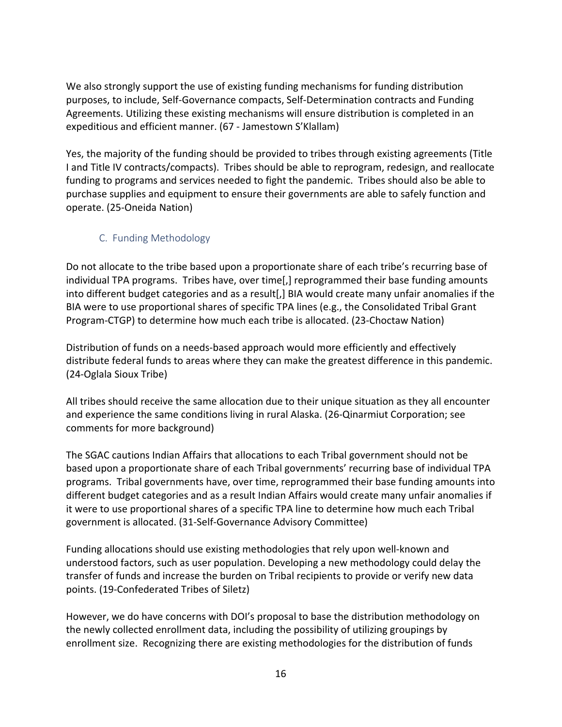We also strongly support the use of existing funding mechanisms for funding distribution purposes, to include, Self-Governance compacts, Self-Determination contracts and Funding Agreements. Utilizing these existing mechanisms will ensure distribution is completed in an expeditious and efficient manner. (67 - Jamestown S'Klallam)

Yes, the majority of the funding should be provided to tribes through existing agreements (Title I and Title IV contracts/compacts). Tribes should be able to reprogram, redesign, and reallocate funding to programs and services needed to fight the pandemic. Tribes should also be able to purchase supplies and equipment to ensure their governments are able to safely function and operate. (25-Oneida Nation)

#### <span id="page-15-0"></span>C. Funding Methodology

Do not allocate to the tribe based upon a proportionate share of each tribe's recurring base of individual TPA programs. Tribes have, over time[,] reprogrammed their base funding amounts into different budget categories and as a result[,] BIA would create many unfair anomalies if the BIA were to use proportional shares of specific TPA lines (e.g., the Consolidated Tribal Grant Program-CTGP) to determine how much each tribe is allocated. (23-Choctaw Nation)

Distribution of funds on a needs-based approach would more efficiently and effectively distribute federal funds to areas where they can make the greatest difference in this pandemic. (24-Oglala Sioux Tribe)

All tribes should receive the same allocation due to their unique situation as they all encounter and experience the same conditions living in rural Alaska. (26-Qinarmiut Corporation; see comments for more background)

The SGAC cautions Indian Affairs that allocations to each Tribal government should not be based upon a proportionate share of each Tribal governments' recurring base of individual TPA programs. Tribal governments have, over time, reprogrammed their base funding amounts into different budget categories and as a result Indian Affairs would create many unfair anomalies if it were to use proportional shares of a specific TPA line to determine how much each Tribal government is allocated. (31-Self-Governance Advisory Committee)

Funding allocations should use existing methodologies that rely upon well-known and understood factors, such as user population. Developing a new methodology could delay the transfer of funds and increase the burden on Tribal recipients to provide or verify new data points. (19-Confederated Tribes of Siletz)

However, we do have concerns with DOI's proposal to base the distribution methodology on the newly collected enrollment data, including the possibility of utilizing groupings by enrollment size. Recognizing there are existing methodologies for the distribution of funds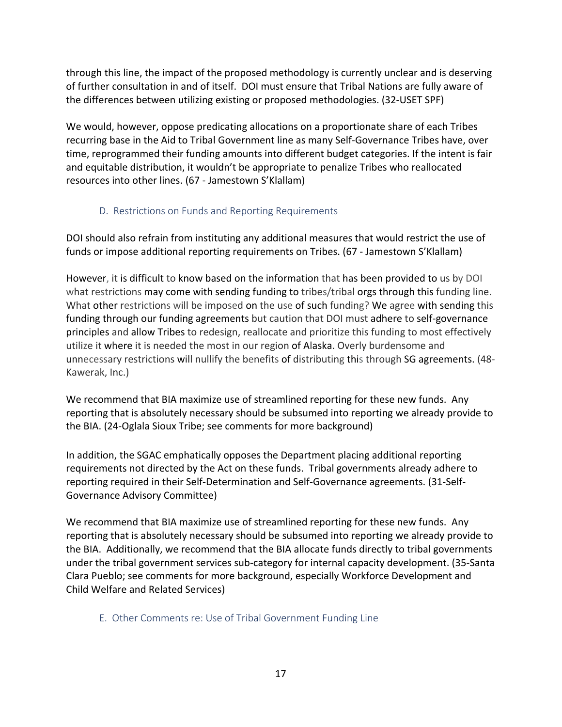through this line, the impact of the proposed methodology is currently unclear and is deserving of further consultation in and of itself. DOI must ensure that Tribal Nations are fully aware of the differences between utilizing existing or proposed methodologies. (32-USET SPF)

We would, however, oppose predicating allocations on a proportionate share of each Tribes recurring base in the Aid to Tribal Government line as many Self-Governance Tribes have, over time, reprogrammed their funding amounts into different budget categories. If the intent is fair and equitable distribution, it wouldn't be appropriate to penalize Tribes who reallocated resources into other lines. (67 - Jamestown S'Klallam)

#### D. Restrictions on Funds and Reporting Requirements

<span id="page-16-0"></span>DOI should also refrain from instituting any additional measures that would restrict the use of funds or impose additional reporting requirements on Tribes. (67 - Jamestown S'Klallam)

However, it is difficult to know based on the information that has been provided to us by DOI what restrictions may come with sending funding to tribes/tribal orgs through this funding line. What other restrictions will be imposed on the use of such funding? We agree with sending this funding through our funding agreements but caution that DOI must adhere to self-governance principles and allow Tribes to redesign, reallocate and prioritize this funding to most effectively utilize it where it is needed the most in our region of Alaska. Overly burdensome and unnecessary restrictions will nullify the benefits of distributing this through SG agreements. (48- Kawerak, Inc.)

We recommend that BIA maximize use of streamlined reporting for these new funds. Any reporting that is absolutely necessary should be subsumed into reporting we already provide to the BIA. (24-Oglala Sioux Tribe; see comments for more background)

In addition, the SGAC emphatically opposes the Department placing additional reporting requirements not directed by the Act on these funds. Tribal governments already adhere to reporting required in their Self-Determination and Self-Governance agreements. (31-Self-Governance Advisory Committee)

We recommend that BIA maximize use of streamlined reporting for these new funds. Any reporting that is absolutely necessary should be subsumed into reporting we already provide to the BIA. Additionally, we recommend that the BIA allocate funds directly to tribal governments under the tribal government services sub-category for internal capacity development. (35-Santa Clara Pueblo; see comments for more background, especially Workforce Development and Child Welfare and Related Services)

#### <span id="page-16-1"></span>E. Other Comments re: Use of Tribal Government Funding Line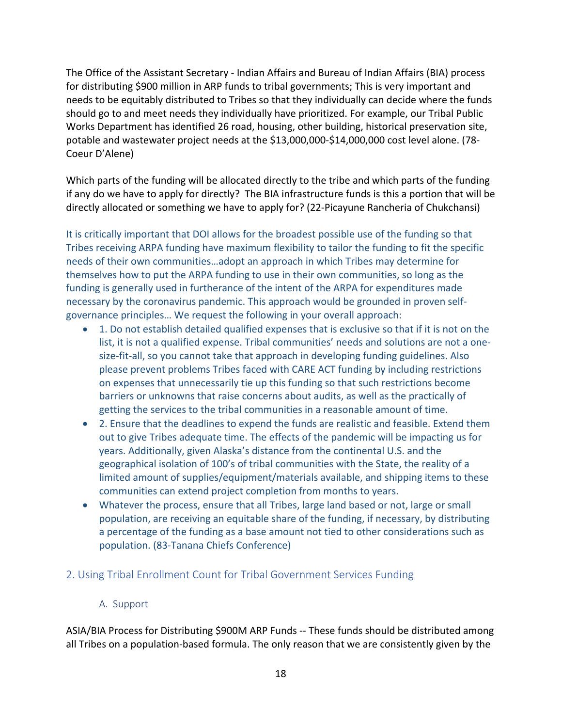The Office of the Assistant Secretary - Indian Affairs and Bureau of Indian Affairs (BIA) process for distributing \$900 million in ARP funds to tribal governments; This is very important and needs to be equitably distributed to Tribes so that they individually can decide where the funds should go to and meet needs they individually have prioritized. For example, our Tribal Public Works Department has identified 26 road, housing, other building, historical preservation site, potable and wastewater project needs at the \$13,000,000-\$14,000,000 cost level alone. (78- Coeur D'Alene)

Which parts of the funding will be allocated directly to the tribe and which parts of the funding if any do we have to apply for directly? The BIA infrastructure funds is this a portion that will be directly allocated or something we have to apply for? (22-Picayune Rancheria of Chukchansi)

It is critically important that DOI allows for the broadest possible use of the funding so that Tribes receiving ARPA funding have maximum flexibility to tailor the funding to fit the specific needs of their own communities…adopt an approach in which Tribes may determine for themselves how to put the ARPA funding to use in their own communities, so long as the funding is generally used in furtherance of the intent of the ARPA for expenditures made necessary by the coronavirus pandemic. This approach would be grounded in proven selfgovernance principles… We request the following in your overall approach:

- 1. Do not establish detailed qualified expenses that is exclusive so that if it is not on the list, it is not a qualified expense. Tribal communities' needs and solutions are not a onesize-fit-all, so you cannot take that approach in developing funding guidelines. Also please prevent problems Tribes faced with CARE ACT funding by including restrictions on expenses that unnecessarily tie up this funding so that such restrictions become barriers or unknowns that raise concerns about audits, as well as the practically of getting the services to the tribal communities in a reasonable amount of time.
- 2. Ensure that the deadlines to expend the funds are realistic and feasible. Extend them out to give Tribes adequate time. The effects of the pandemic will be impacting us for years. Additionally, given Alaska's distance from the continental U.S. and the geographical isolation of 100's of tribal communities with the State, the reality of a limited amount of supplies/equipment/materials available, and shipping items to these communities can extend project completion from months to years.
- Whatever the process, ensure that all Tribes, large land based or not, large or small population, are receiving an equitable share of the funding, if necessary, by distributing a percentage of the funding as a base amount not tied to other considerations such as population. (83-Tanana Chiefs Conference)

#### <span id="page-17-1"></span><span id="page-17-0"></span>2. Using Tribal Enrollment Count for Tribal Government Services Funding

#### A. Support

ASIA/BIA Process for Distributing \$900M ARP Funds -- These funds should be distributed among all Tribes on a population-based formula. The only reason that we are consistently given by the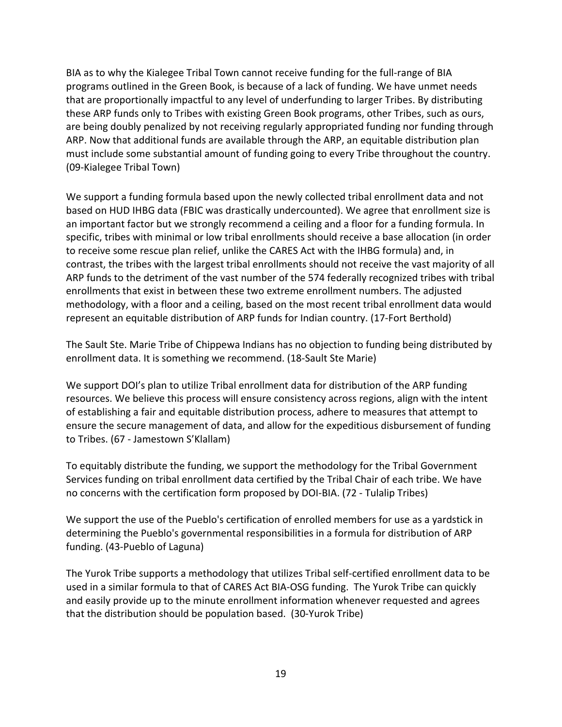BIA as to why the Kialegee Tribal Town cannot receive funding for the full-range of BIA programs outlined in the Green Book, is because of a lack of funding. We have unmet needs that are proportionally impactful to any level of underfunding to larger Tribes. By distributing these ARP funds only to Tribes with existing Green Book programs, other Tribes, such as ours, are being doubly penalized by not receiving regularly appropriated funding nor funding through ARP. Now that additional funds are available through the ARP, an equitable distribution plan must include some substantial amount of funding going to every Tribe throughout the country. (09-Kialegee Tribal Town)

We support a funding formula based upon the newly collected tribal enrollment data and not based on HUD IHBG data (FBIC was drastically undercounted). We agree that enrollment size is an important factor but we strongly recommend a ceiling and a floor for a funding formula. In specific, tribes with minimal or low tribal enrollments should receive a base allocation (in order to receive some rescue plan relief, unlike the CARES Act with the IHBG formula) and, in contrast, the tribes with the largest tribal enrollments should not receive the vast majority of all ARP funds to the detriment of the vast number of the 574 federally recognized tribes with tribal enrollments that exist in between these two extreme enrollment numbers. The adjusted methodology, with a floor and a ceiling, based on the most recent tribal enrollment data would represent an equitable distribution of ARP funds for Indian country. (17-Fort Berthold)

The Sault Ste. Marie Tribe of Chippewa Indians has no objection to funding being distributed by enrollment data. It is something we recommend. (18-Sault Ste Marie)

We support DOI's plan to utilize Tribal enrollment data for distribution of the ARP funding resources. We believe this process will ensure consistency across regions, align with the intent of establishing a fair and equitable distribution process, adhere to measures that attempt to ensure the secure management of data, and allow for the expeditious disbursement of funding to Tribes. (67 - Jamestown S'Klallam)

To equitably distribute the funding, we support the methodology for the Tribal Government Services funding on tribal enrollment data certified by the Tribal Chair of each tribe. We have no concerns with the certification form proposed by DOI-BIA. (72 - Tulalip Tribes)

We support the use of the Pueblo's certification of enrolled members for use as a yardstick in determining the Pueblo's governmental responsibilities in a formula for distribution of ARP funding. (43-Pueblo of Laguna)

The Yurok Tribe supports a methodology that utilizes Tribal self-certified enrollment data to be used in a similar formula to that of CARES Act BIA-OSG funding. The Yurok Tribe can quickly and easily provide up to the minute enrollment information whenever requested and agrees that the distribution should be population based. (30-Yurok Tribe)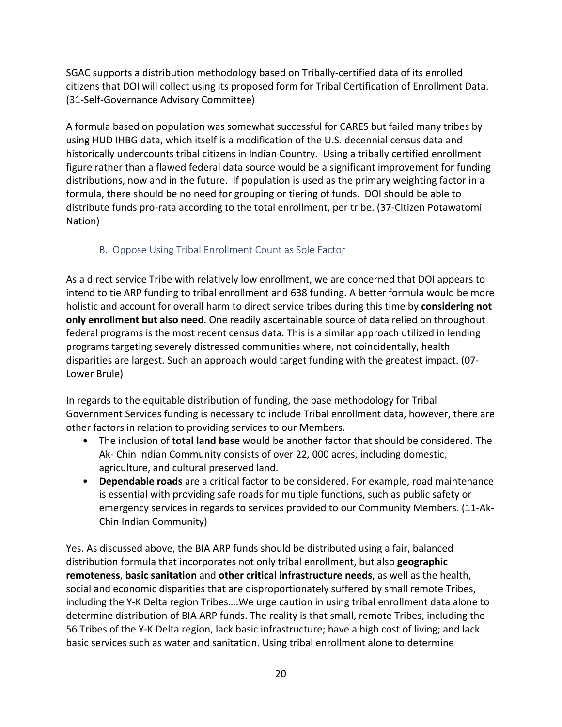SGAC supports a distribution methodology based on Tribally-certified data of its enrolled citizens that DOI will collect using its proposed form for Tribal Certification of Enrollment Data. (31-Self-Governance Advisory Committee)

A formula based on population was somewhat successful for CARES but failed many tribes by using HUD IHBG data, which itself is a modification of the U.S. decennial census data and historically undercounts tribal citizens in Indian Country. Using a tribally certified enrollment figure rather than a flawed federal data source would be a significant improvement for funding distributions, now and in the future. If population is used as the primary weighting factor in a formula, there should be no need for grouping or tiering of funds. DOI should be able to distribute funds pro-rata according to the total enrollment, per tribe. (37-Citizen Potawatomi Nation)

## B. Oppose Using Tribal Enrollment Count as Sole Factor

<span id="page-19-0"></span>As a direct service Tribe with relatively low enrollment, we are concerned that DOI appears to intend to tie ARP funding to tribal enrollment and 638 funding. A better formula would be more holistic and account for overall harm to direct service tribes during this time by **considering not only enrollment but also need**. One readily ascertainable source of data relied on throughout federal programs is the most recent census data. This is a similar approach utilized in lending programs targeting severely distressed communities where, not coincidentally, health disparities are largest. Such an approach would target funding with the greatest impact. (07- Lower Brule)

In regards to the equitable distribution of funding, the base methodology for Tribal Government Services funding is necessary to include Tribal enrollment data, however, there are other factors in relation to providing services to our Members.

- The inclusion of **total land base** would be another factor that should be considered. The Ak- Chin Indian Community consists of over 22, 000 acres, including domestic, agriculture, and cultural preserved land.
- **Dependable roads** are a critical factor to be considered. For example, road maintenance is essential with providing safe roads for multiple functions, such as public safety or emergency services in regards to services provided to our Community Members. (11-Ak-Chin Indian Community)

Yes. As discussed above, the BIA ARP funds should be distributed using a fair, balanced distribution formula that incorporates not only tribal enrollment, but also **geographic remoteness**, **basic sanitation** and **other critical infrastructure needs**, as well as the health, social and economic disparities that are disproportionately suffered by small remote Tribes, including the Y-K Delta region Tribes….We urge caution in using tribal enrollment data alone to determine distribution of BIA ARP funds. The reality is that small, remote Tribes, including the 56 Tribes of the Y-K Delta region, lack basic infrastructure; have a high cost of living; and lack basic services such as water and sanitation. Using tribal enrollment alone to determine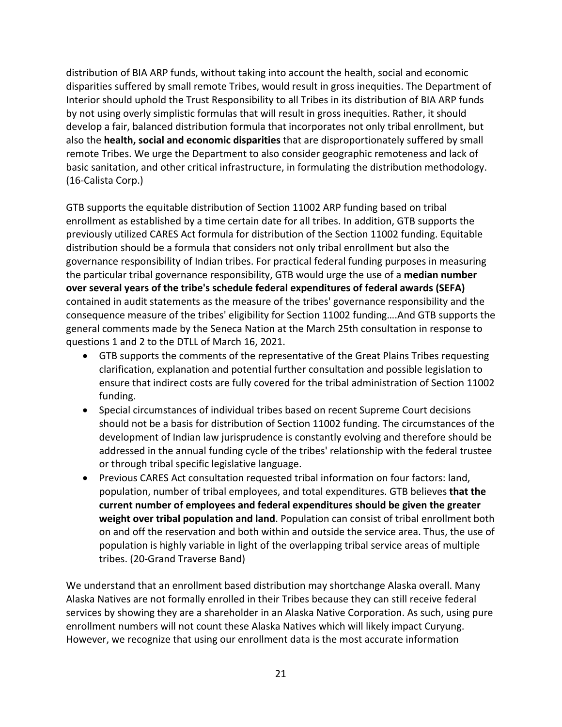distribution of BIA ARP funds, without taking into account the health, social and economic disparities suffered by small remote Tribes, would result in gross inequities. The Department of Interior should uphold the Trust Responsibility to all Tribes in its distribution of BIA ARP funds by not using overly simplistic formulas that will result in gross inequities. Rather, it should develop a fair, balanced distribution formula that incorporates not only tribal enrollment, but also the **health, social and economic disparities** that are disproportionately suffered by small remote Tribes. We urge the Department to also consider geographic remoteness and lack of basic sanitation, and other critical infrastructure, in formulating the distribution methodology. (16-Calista Corp.)

GTB supports the equitable distribution of Section 11002 ARP funding based on tribal enrollment as established by a time certain date for all tribes. In addition, GTB supports the previously utilized CARES Act formula for distribution of the Section 11002 funding. Equitable distribution should be a formula that considers not only tribal enrollment but also the governance responsibility of Indian tribes. For practical federal funding purposes in measuring the particular tribal governance responsibility, GTB would urge the use of a **median number over several years of the tribe's schedule federal expenditures of federal awards (SEFA)** contained in audit statements as the measure of the tribes' governance responsibility and the consequence measure of the tribes' eligibility for Section 11002 funding….And GTB supports the general comments made by the Seneca Nation at the March 25th consultation in response to questions 1 and 2 to the DTLL of March 16, 2021.

- GTB supports the comments of the representative of the Great Plains Tribes requesting clarification, explanation and potential further consultation and possible legislation to ensure that indirect costs are fully covered for the tribal administration of Section 11002 funding.
- Special circumstances of individual tribes based on recent Supreme Court decisions should not be a basis for distribution of Section 11002 funding. The circumstances of the development of Indian law jurisprudence is constantly evolving and therefore should be addressed in the annual funding cycle of the tribes' relationship with the federal trustee or through tribal specific legislative language.
- Previous CARES Act consultation requested tribal information on four factors: land, population, number of tribal employees, and total expenditures. GTB believes **that the current number of employees and federal expenditures should be given the greater weight over tribal population and land**. Population can consist of tribal enrollment both on and off the reservation and both within and outside the service area. Thus, the use of population is highly variable in light of the overlapping tribal service areas of multiple tribes. (20-Grand Traverse Band)

We understand that an enrollment based distribution may shortchange Alaska overall. Many Alaska Natives are not formally enrolled in their Tribes because they can still receive federal services by showing they are a shareholder in an Alaska Native Corporation. As such, using pure enrollment numbers will not count these Alaska Natives which will likely impact Curyung. However, we recognize that using our enrollment data is the most accurate information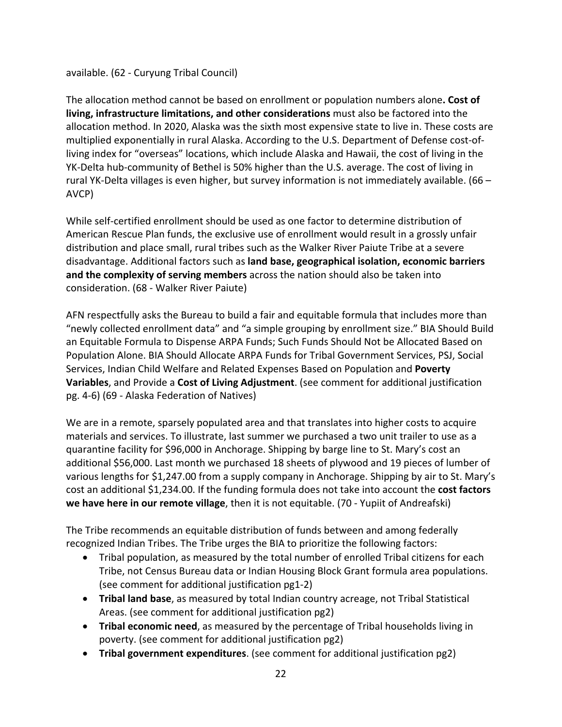#### available. (62 - Curyung Tribal Council)

The allocation method cannot be based on enrollment or population numbers alone**. Cost of living, infrastructure limitations, and other considerations** must also be factored into the allocation method. In 2020, Alaska was the sixth most expensive state to live in. These costs are multiplied exponentially in rural Alaska. According to the U.S. Department of Defense cost-ofliving index for "overseas" locations, which include Alaska and Hawaii, the cost of living in the YK-Delta hub-community of Bethel is 50% higher than the U.S. average. The cost of living in rural YK-Delta villages is even higher, but survey information is not immediately available. (66 – AVCP)

While self-certified enrollment should be used as one factor to determine distribution of American Rescue Plan funds, the exclusive use of enrollment would result in a grossly unfair distribution and place small, rural tribes such as the Walker River Paiute Tribe at a severe disadvantage. Additional factors such as **land base, geographical isolation, economic barriers and the complexity of serving members** across the nation should also be taken into consideration. (68 - Walker River Paiute)

AFN respectfully asks the Bureau to build a fair and equitable formula that includes more than "newly collected enrollment data" and "a simple grouping by enrollment size." BIA Should Build an Equitable Formula to Dispense ARPA Funds; Such Funds Should Not be Allocated Based on Population Alone. BIA Should Allocate ARPA Funds for Tribal Government Services, PSJ, Social Services, Indian Child Welfare and Related Expenses Based on Population and **Poverty Variables**, and Provide a **Cost of Living Adjustment**. (see comment for additional justification pg. 4-6) (69 - Alaska Federation of Natives)

We are in a remote, sparsely populated area and that translates into higher costs to acquire materials and services. To illustrate, last summer we purchased a two unit trailer to use as a quarantine facility for \$96,000 in Anchorage. Shipping by barge line to St. Mary's cost an additional \$56,000. Last month we purchased 18 sheets of plywood and 19 pieces of lumber of various lengths for \$1,247.00 from a supply company in Anchorage. Shipping by air to St. Mary's cost an additional \$1,234.00. If the funding formula does not take into account the **cost factors we have here in our remote village**, then it is not equitable. (70 - Yupiit of Andreafski)

The Tribe recommends an equitable distribution of funds between and among federally recognized Indian Tribes. The Tribe urges the BIA to prioritize the following factors:

- Tribal population, as measured by the total number of enrolled Tribal citizens for each Tribe, not Census Bureau data or Indian Housing Block Grant formula area populations. (see comment for additional justification pg1-2)
- **Tribal land base**, as measured by total Indian country acreage, not Tribal Statistical Areas. (see comment for additional justification pg2)
- **Tribal economic need**, as measured by the percentage of Tribal households living in poverty. (see comment for additional justification pg2)
- **Tribal government expenditures**. (see comment for additional justification pg2)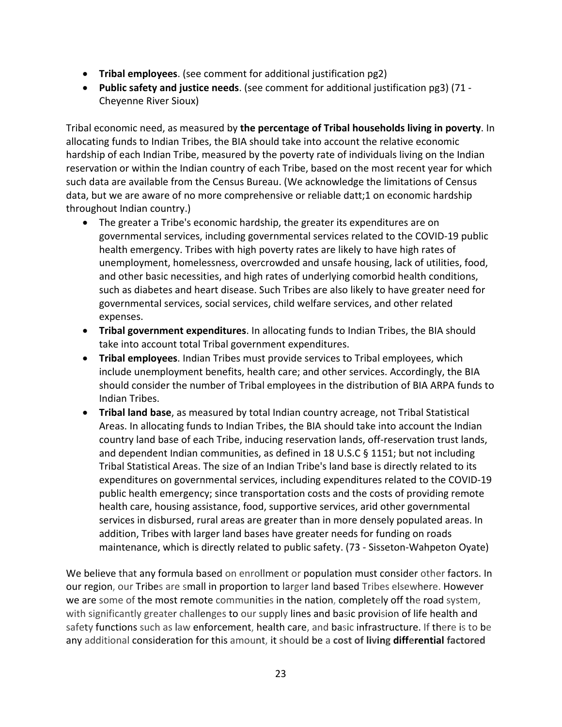- **Tribal employees**. (see comment for additional justification pg2)
- **Public safety and justice needs**. (see comment for additional justification pg3) (71 Cheyenne River Sioux)

Tribal economic need, as measured by **the percentage of Tribal households living in poverty**. In allocating funds to Indian Tribes, the BIA should take into account the relative economic hardship of each Indian Tribe, measured by the poverty rate of individuals living on the Indian reservation or within the Indian country of each Tribe, based on the most recent year for which such data are available from the Census Bureau. (We acknowledge the limitations of Census data, but we are aware of no more comprehensive or reliable datt;1 on economic hardship throughout Indian country.)

- The greater a Tribe's economic hardship, the greater its expenditures are on governmental services, including governmental services related to the COVID-19 public health emergency. Tribes with high poverty rates are likely to have high rates of unemployment, homelessness, overcrowded and unsafe housing, lack of utilities, food, and other basic necessities, and high rates of underlying comorbid health conditions, such as diabetes and heart disease. Such Tribes are also likely to have greater need for governmental services, social services, child welfare services, and other related expenses.
- **Tribal government expenditures**. In allocating funds to Indian Tribes, the BIA should take into account total Tribal government expenditures.
- **Tribal employees**. Indian Tribes must provide services to Tribal employees, which include unemployment benefits, health care; and other services. Accordingly, the BIA should consider the number of Tribal employees in the distribution of BIA ARPA funds to Indian Tribes.
- **Tribal land base**, as measured by total Indian country acreage, not Tribal Statistical Areas. In allocating funds to Indian Tribes, the BIA should take into account the Indian country land base of each Tribe, inducing reservation lands, off-reservation trust lands, and dependent Indian communities, as defined in 18 U.S.C § 1151; but not including Tribal Statistical Areas. The size of an Indian Tribe's land base is directly related to its expenditures on governmental services, including expenditures related to the COVID-19 public health emergency; since transportation costs and the costs of providing remote health care, housing assistance, food, supportive services, arid other governmental services in disbursed, rural areas are greater than in more densely populated areas. In addition, Tribes with larger land bases have greater needs for funding on roads maintenance, which is directly related to public safety. (73 - Sisseton-Wahpeton Oyate)

We believe that any formula based on enrollment or population must consider other factors. In our region, our Tribes are small in proportion to larger land based Tribes elsewhere. However we are some of the most remote communities in the nation, completely off the road system, with significantly greater challenges to our supply lines and basic provision of life health and safety functions such as law enforcement, health care, and basic infrastructure. If there is to be any additional consideration for this amount, it should be a **cost of living differential factored**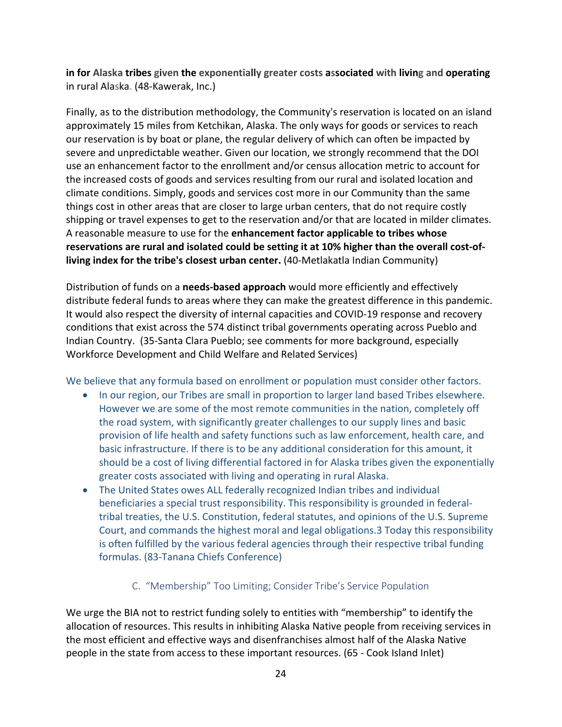**in for Alaska tribes given the exponentially greater costs associated with living and operating** in rural Alaska. (48-Kawerak, Inc.)

Finally, as to the distribution methodology, the Community's reservation is located on an island approximately 15 miles from Ketchikan, Alaska. The only ways for goods or services to reach our reservation is by boat or plane, the regular delivery of which can often be impacted by severe and unpredictable weather. Given our location, we strongly recommend that the DOI use an enhancement factor to the enrollment and/or census allocation metric to account for the increased costs of goods and services resulting from our rural and isolated location and climate conditions. Simply, goods and services cost more in our Community than the same things cost in other areas that are closer to large urban centers, that do not require costly shipping or travel expenses to get to the reservation and/or that are located in milder climates. A reasonable measure to use for the **enhancement factor applicable to tribes whose reservations are rural and isolated could be setting it at 10% higher than the overall cost-ofliving index for the tribe's closest urban center.** (40-Metlakatla Indian Community)

Distribution of funds on a **needs-based approach** would more efficiently and effectively distribute federal funds to areas where they can make the greatest difference in this pandemic. It would also respect the diversity of internal capacities and COVID-19 response and recovery conditions that exist across the 574 distinct tribal governments operating across Pueblo and Indian Country. (35-Santa Clara Pueblo; see comments for more background, especially Workforce Development and Child Welfare and Related Services)

We believe that any formula based on enrollment or population must consider other factors.

- In our region, our Tribes are small in proportion to larger land based Tribes elsewhere. However we are some of the most remote communities in the nation, completely off the road system, with significantly greater challenges to our supply lines and basic provision of life health and safety functions such as law enforcement, health care, and basic infrastructure. If there is to be any additional consideration for this amount, it should be a cost of living differential factored in for Alaska tribes given the exponentially greater costs associated with living and operating in rural Alaska.
- The United States owes ALL federally recognized Indian tribes and individual beneficiaries a special trust responsibility. This responsibility is grounded in federaltribal treaties, the U.S. Constitution, federal statutes, and opinions of the U.S. Supreme Court, and commands the highest moral and legal obligations.3 Today this responsibility is often fulfilled by the various federal agencies through their respective tribal funding formulas. (83-Tanana Chiefs Conference)

# <span id="page-23-0"></span>C. "Membership" Too Limiting; Consider Tribe's Service Population

We urge the BIA not to restrict funding solely to entities with "membership" to identify the allocation of resources. This results in inhibiting Alaska Native people from receiving services in the most efficient and effective ways and disenfranchises almost half of the Alaska Native people in the state from access to these important resources. (65 - Cook Island Inlet)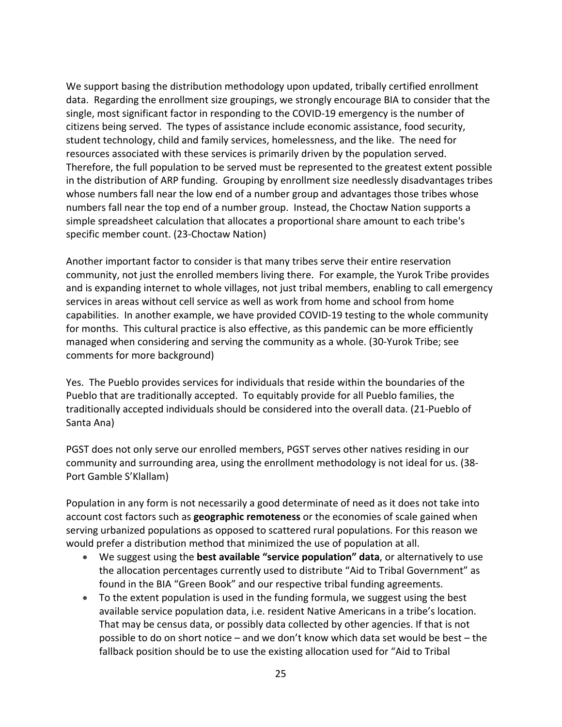We support basing the distribution methodology upon updated, tribally certified enrollment data. Regarding the enrollment size groupings, we strongly encourage BIA to consider that the single, most significant factor in responding to the COVID-19 emergency is the number of citizens being served. The types of assistance include economic assistance, food security, student technology, child and family services, homelessness, and the like. The need for resources associated with these services is primarily driven by the population served. Therefore, the full population to be served must be represented to the greatest extent possible in the distribution of ARP funding. Grouping by enrollment size needlessly disadvantages tribes whose numbers fall near the low end of a number group and advantages those tribes whose numbers fall near the top end of a number group. Instead, the Choctaw Nation supports a simple spreadsheet calculation that allocates a proportional share amount to each tribe's specific member count. (23-Choctaw Nation)

Another important factor to consider is that many tribes serve their entire reservation community, not just the enrolled members living there. For example, the Yurok Tribe provides and is expanding internet to whole villages, not just tribal members, enabling to call emergency services in areas without cell service as well as work from home and school from home capabilities. In another example, we have provided COVID-19 testing to the whole community for months. This cultural practice is also effective, as this pandemic can be more efficiently managed when considering and serving the community as a whole. (30-Yurok Tribe; see comments for more background)

Yes. The Pueblo provides services for individuals that reside within the boundaries of the Pueblo that are traditionally accepted. To equitably provide for all Pueblo families, the traditionally accepted individuals should be considered into the overall data. (21-Pueblo of Santa Ana)

PGST does not only serve our enrolled members, PGST serves other natives residing in our community and surrounding area, using the enrollment methodology is not ideal for us. (38- Port Gamble S'Klallam)

Population in any form is not necessarily a good determinate of need as it does not take into account cost factors such as **geographic remoteness** or the economies of scale gained when serving urbanized populations as opposed to scattered rural populations. For this reason we would prefer a distribution method that minimized the use of population at all.

- We suggest using the **best available "service population" data**, or alternatively to use the allocation percentages currently used to distribute "Aid to Tribal Government" as found in the BIA "Green Book" and our respective tribal funding agreements.
- To the extent population is used in the funding formula, we suggest using the best available service population data, i.e. resident Native Americans in a tribe's location. That may be census data, or possibly data collected by other agencies. If that is not possible to do on short notice – and we don't know which data set would be best – the fallback position should be to use the existing allocation used for "Aid to Tribal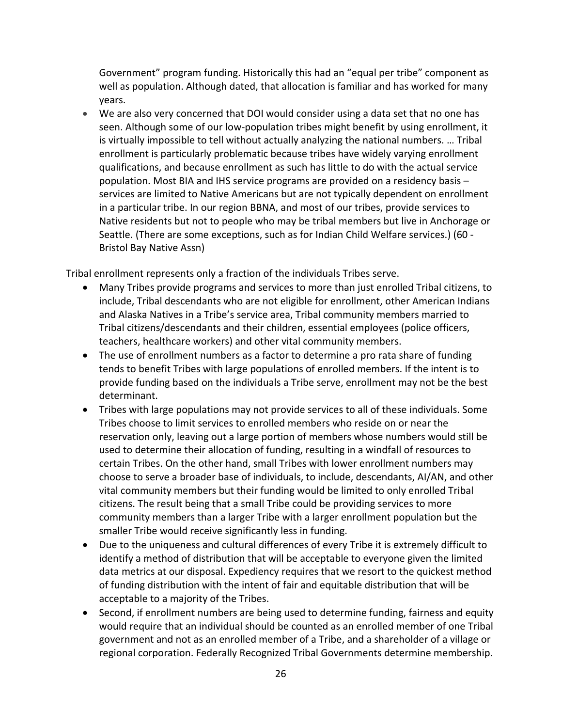Government" program funding. Historically this had an "equal per tribe" component as well as population. Although dated, that allocation is familiar and has worked for many years.

• We are also very concerned that DOI would consider using a data set that no one has seen. Although some of our low-population tribes might benefit by using enrollment, it is virtually impossible to tell without actually analyzing the national numbers. … Tribal enrollment is particularly problematic because tribes have widely varying enrollment qualifications, and because enrollment as such has little to do with the actual service population. Most BIA and IHS service programs are provided on a residency basis – services are limited to Native Americans but are not typically dependent on enrollment in a particular tribe. In our region BBNA, and most of our tribes, provide services to Native residents but not to people who may be tribal members but live in Anchorage or Seattle. (There are some exceptions, such as for Indian Child Welfare services.) (60 - Bristol Bay Native Assn)

Tribal enrollment represents only a fraction of the individuals Tribes serve.

- Many Tribes provide programs and services to more than just enrolled Tribal citizens, to include, Tribal descendants who are not eligible for enrollment, other American Indians and Alaska Natives in a Tribe's service area, Tribal community members married to Tribal citizens/descendants and their children, essential employees (police officers, teachers, healthcare workers) and other vital community members.
- The use of enrollment numbers as a factor to determine a pro rata share of funding tends to benefit Tribes with large populations of enrolled members. If the intent is to provide funding based on the individuals a Tribe serve, enrollment may not be the best determinant.
- Tribes with large populations may not provide services to all of these individuals. Some Tribes choose to limit services to enrolled members who reside on or near the reservation only, leaving out a large portion of members whose numbers would still be used to determine their allocation of funding, resulting in a windfall of resources to certain Tribes. On the other hand, small Tribes with lower enrollment numbers may choose to serve a broader base of individuals, to include, descendants, AI/AN, and other vital community members but their funding would be limited to only enrolled Tribal citizens. The result being that a small Tribe could be providing services to more community members than a larger Tribe with a larger enrollment population but the smaller Tribe would receive significantly less in funding.
- Due to the uniqueness and cultural differences of every Tribe it is extremely difficult to identify a method of distribution that will be acceptable to everyone given the limited data metrics at our disposal. Expediency requires that we resort to the quickest method of funding distribution with the intent of fair and equitable distribution that will be acceptable to a majority of the Tribes.
- Second, if enrollment numbers are being used to determine funding, fairness and equity would require that an individual should be counted as an enrolled member of one Tribal government and not as an enrolled member of a Tribe, and a shareholder of a village or regional corporation. Federally Recognized Tribal Governments determine membership.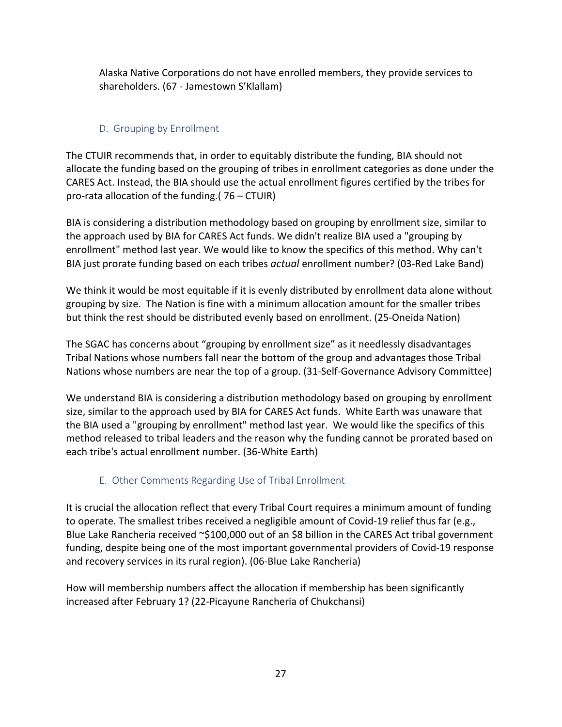Alaska Native Corporations do not have enrolled members, they provide services to shareholders. (67 - Jamestown S'Klallam)

#### D. Grouping by Enrollment

<span id="page-26-0"></span>The CTUIR recommends that, in order to equitably distribute the funding, BIA should not allocate the funding based on the grouping of tribes in enrollment categories as done under the CARES Act. Instead, the BIA should use the actual enrollment figures certified by the tribes for pro-rata allocation of the funding.( 76 – CTUIR)

BIA is considering a distribution methodology based on grouping by enrollment size, similar to the approach used by BIA for CARES Act funds. We didn't realize BIA used a "grouping by enrollment" method last year. We would like to know the specifics of this method. Why can't BIA just prorate funding based on each tribes *actual* enrollment number? (03-Red Lake Band)

We think it would be most equitable if it is evenly distributed by enrollment data alone without grouping by size. The Nation is fine with a minimum allocation amount for the smaller tribes but think the rest should be distributed evenly based on enrollment. (25-Oneida Nation)

The SGAC has concerns about "grouping by enrollment size" as it needlessly disadvantages Tribal Nations whose numbers fall near the bottom of the group and advantages those Tribal Nations whose numbers are near the top of a group. (31-Self-Governance Advisory Committee)

We understand BIA is considering a distribution methodology based on grouping by enrollment size, similar to the approach used by BIA for CARES Act funds. White Earth was unaware that the BIA used a "grouping by enrollment" method last year. We would like the specifics of this method released to tribal leaders and the reason why the funding cannot be prorated based on each tribe's actual enrollment number. (36-White Earth)

# E. Other Comments Regarding Use of Tribal Enrollment

<span id="page-26-1"></span>It is crucial the allocation reflect that every Tribal Court requires a minimum amount of funding to operate. The smallest tribes received a negligible amount of Covid-19 relief thus far (e.g., Blue Lake Rancheria received ~\$100,000 out of an \$8 billion in the CARES Act tribal government funding, despite being one of the most important governmental providers of Covid-19 response and recovery services in its rural region). (06-Blue Lake Rancheria)

How will membership numbers affect the allocation if membership has been significantly increased after February 1? (22-Picayune Rancheria of Chukchansi)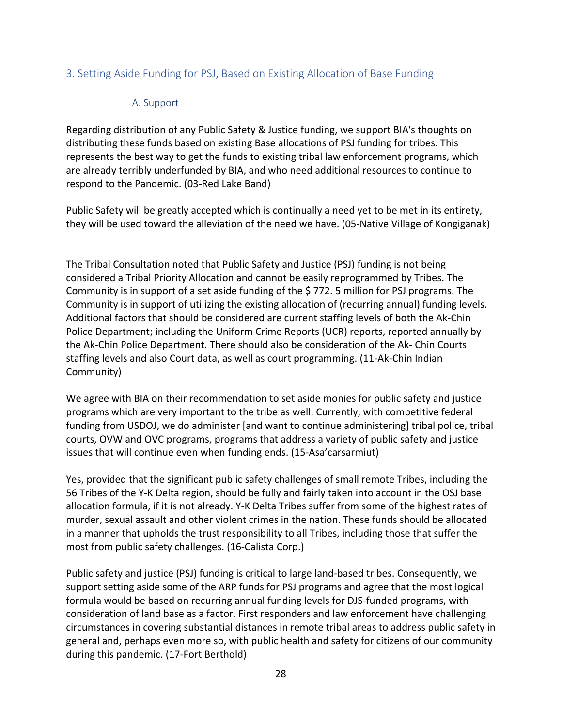#### <span id="page-27-0"></span>3. Setting Aside Funding for PSJ, Based on Existing Allocation of Base Funding

#### <span id="page-27-1"></span>A. Support

Regarding distribution of any Public Safety & Justice funding, we support BIA's thoughts on distributing these funds based on existing Base allocations of PSJ funding for tribes. This represents the best way to get the funds to existing tribal law enforcement programs, which are already terribly underfunded by BIA, and who need additional resources to continue to respond to the Pandemic. (03-Red Lake Band)

Public Safety will be greatly accepted which is continually a need yet to be met in its entirety, they will be used toward the alleviation of the need we have. (05-Native Village of Kongiganak)

The Tribal Consultation noted that Public Safety and Justice (PSJ) funding is not being considered a Tribal Priority Allocation and cannot be easily reprogrammed by Tribes. The Community is in support of a set aside funding of the \$ 772. 5 million for PSJ programs. The Community is in support of utilizing the existing allocation of (recurring annual) funding levels. Additional factors that should be considered are current staffing levels of both the Ak-Chin Police Department; including the Uniform Crime Reports (UCR) reports, reported annually by the Ak-Chin Police Department. There should also be consideration of the Ak- Chin Courts staffing levels and also Court data, as well as court programming. (11-Ak-Chin Indian Community)

We agree with BIA on their recommendation to set aside monies for public safety and justice programs which are very important to the tribe as well. Currently, with competitive federal funding from USDOJ, we do administer [and want to continue administering] tribal police, tribal courts, OVW and OVC programs, programs that address a variety of public safety and justice issues that will continue even when funding ends. (15-Asa'carsarmiut)

Yes, provided that the significant public safety challenges of small remote Tribes, including the 56 Tribes of the Y-K Delta region, should be fully and fairly taken into account in the OSJ base allocation formula, if it is not already. Y-K Delta Tribes suffer from some of the highest rates of murder, sexual assault and other violent crimes in the nation. These funds should be allocated in a manner that upholds the trust responsibility to all Tribes, including those that suffer the most from public safety challenges. (16-Calista Corp.)

Public safety and justice (PSJ) funding is critical to large land-based tribes. Consequently, we support setting aside some of the ARP funds for PSJ programs and agree that the most logical formula would be based on recurring annual funding levels for DJS-funded programs, with consideration of land base as a factor. First responders and law enforcement have challenging circumstances in covering substantial distances in remote tribal areas to address public safety in general and, perhaps even more so, with public health and safety for citizens of our community during this pandemic. (17-Fort Berthold)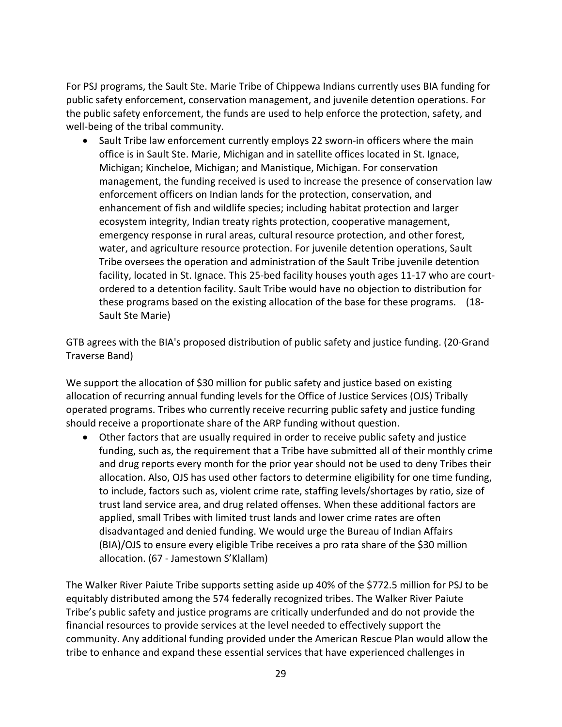For PSJ programs, the Sault Ste. Marie Tribe of Chippewa Indians currently uses BIA funding for public safety enforcement, conservation management, and juvenile detention operations. For the public safety enforcement, the funds are used to help enforce the protection, safety, and well-being of the tribal community.

• Sault Tribe law enforcement currently employs 22 sworn-in officers where the main office is in Sault Ste. Marie, Michigan and in satellite offices located in St. Ignace, Michigan; Kincheloe, Michigan; and Manistique, Michigan. For conservation management, the funding received is used to increase the presence of conservation law enforcement officers on Indian lands for the protection, conservation, and enhancement of fish and wildlife species; including habitat protection and larger ecosystem integrity, Indian treaty rights protection, cooperative management, emergency response in rural areas, cultural resource protection, and other forest, water, and agriculture resource protection. For juvenile detention operations, Sault Tribe oversees the operation and administration of the Sault Tribe juvenile detention facility, located in St. Ignace. This 25-bed facility houses youth ages 11-17 who are courtordered to a detention facility. Sault Tribe would have no objection to distribution for these programs based on the existing allocation of the base for these programs. (18- Sault Ste Marie)

GTB agrees with the BIA's proposed distribution of public safety and justice funding. (20-Grand Traverse Band)

We support the allocation of \$30 million for public safety and justice based on existing allocation of recurring annual funding levels for the Office of Justice Services (OJS) Tribally operated programs. Tribes who currently receive recurring public safety and justice funding should receive a proportionate share of the ARP funding without question.

• Other factors that are usually required in order to receive public safety and justice funding, such as, the requirement that a Tribe have submitted all of their monthly crime and drug reports every month for the prior year should not be used to deny Tribes their allocation. Also, OJS has used other factors to determine eligibility for one time funding, to include, factors such as, violent crime rate, staffing levels/shortages by ratio, size of trust land service area, and drug related offenses. When these additional factors are applied, small Tribes with limited trust lands and lower crime rates are often disadvantaged and denied funding. We would urge the Bureau of Indian Affairs (BIA)/OJS to ensure every eligible Tribe receives a pro rata share of the \$30 million allocation. (67 - Jamestown S'Klallam)

The Walker River Paiute Tribe supports setting aside up 40% of the \$772.5 million for PSJ to be equitably distributed among the 574 federally recognized tribes. The Walker River Paiute Tribe's public safety and justice programs are critically underfunded and do not provide the financial resources to provide services at the level needed to effectively support the community. Any additional funding provided under the American Rescue Plan would allow the tribe to enhance and expand these essential services that have experienced challenges in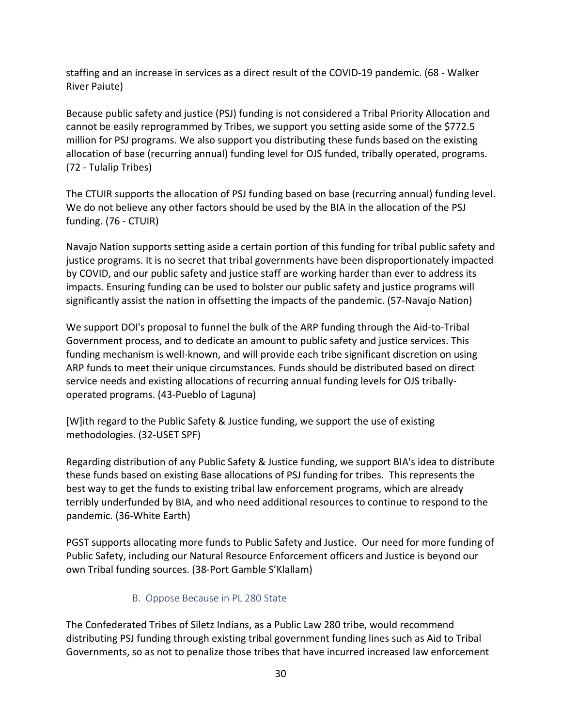staffing and an increase in services as a direct result of the COVID-19 pandemic. (68 - Walker River Paiute)

Because public safety and justice (PSJ) funding is not considered a Tribal Priority Allocation and cannot be easily reprogrammed by Tribes, we support you setting aside some of the \$772.5 million for PSJ programs. We also support you distributing these funds based on the existing allocation of base (recurring annual) funding level for OJS funded, tribally operated, programs. (72 - Tulalip Tribes)

The CTUIR supports the allocation of PSJ funding based on base (recurring annual) funding level. We do not believe any other factors should be used by the BIA in the allocation of the PSJ funding. (76 - CTUIR)

Navajo Nation supports setting aside a certain portion of this funding for tribal public safety and justice programs. It is no secret that tribal governments have been disproportionately impacted by COVID, and our public safety and justice staff are working harder than ever to address its impacts. Ensuring funding can be used to bolster our public safety and justice programs will significantly assist the nation in offsetting the impacts of the pandemic. (57-Navajo Nation)

We support DOI's proposal to funnel the bulk of the ARP funding through the Aid-to-Tribal Government process, and to dedicate an amount to public safety and justice services. This funding mechanism is well-known, and will provide each tribe significant discretion on using ARP funds to meet their unique circumstances. Funds should be distributed based on direct service needs and existing allocations of recurring annual funding levels for OJS triballyoperated programs. (43-Pueblo of Laguna)

[W]ith regard to the Public Safety & Justice funding, we support the use of existing methodologies. (32-USET SPF)

Regarding distribution of any Public Safety & Justice funding, we support BIA's idea to distribute these funds based on existing Base allocations of PSJ funding for tribes. This represents the best way to get the funds to existing tribal law enforcement programs, which are already terribly underfunded by BIA, and who need additional resources to continue to respond to the pandemic. (36-White Earth)

PGST supports allocating more funds to Public Safety and Justice. Our need for more funding of Public Safety, including our Natural Resource Enforcement officers and Justice is beyond our own Tribal funding sources. (38-Port Gamble S'Klallam)

#### <span id="page-29-0"></span>B. Oppose Because in PL 280 State

The Confederated Tribes of Siletz Indians, as a Public Law 280 tribe, would recommend distributing PSJ funding through existing tribal government funding lines such as Aid to Tribal Governments, so as not to penalize those tribes that have incurred increased law enforcement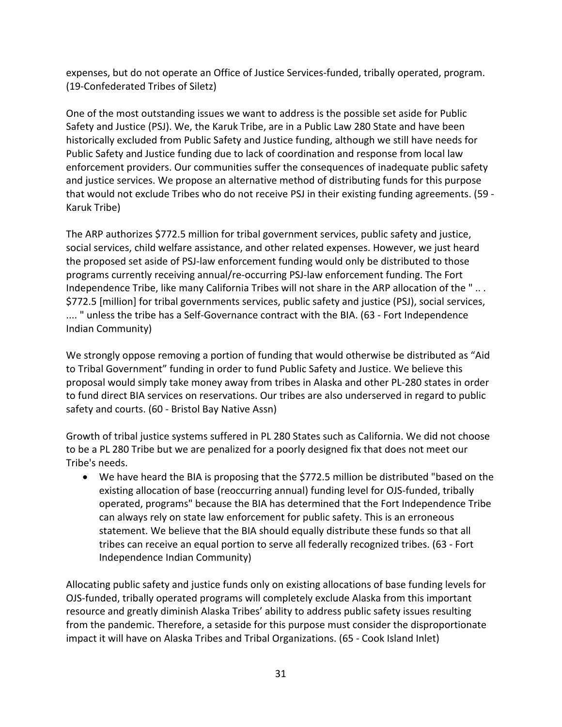expenses, but do not operate an Office of Justice Services-funded, tribally operated, program. (19-Confederated Tribes of Siletz)

One of the most outstanding issues we want to address is the possible set aside for Public Safety and Justice (PSJ). We, the Karuk Tribe, are in a Public Law 280 State and have been historically excluded from Public Safety and Justice funding, although we still have needs for Public Safety and Justice funding due to lack of coordination and response from local law enforcement providers. Our communities suffer the consequences of inadequate public safety and justice services. We propose an alternative method of distributing funds for this purpose that would not exclude Tribes who do not receive PSJ in their existing funding agreements. (59 - Karuk Tribe)

The ARP authorizes \$772.5 million for tribal government services, public safety and justice, social services, child welfare assistance, and other related expenses. However, we just heard the proposed set aside of PSJ-law enforcement funding would only be distributed to those programs currently receiving annual/re-occurring PSJ-law enforcement funding. The Fort Independence Tribe, like many California Tribes will not share in the ARP allocation of the " .. . \$772.5 [million] for tribal governments services, public safety and justice (PSJ), social services, .... " unless the tribe has a Self-Governance contract with the BIA. (63 - Fort Independence Indian Community)

We strongly oppose removing a portion of funding that would otherwise be distributed as "Aid to Tribal Government" funding in order to fund Public Safety and Justice. We believe this proposal would simply take money away from tribes in Alaska and other PL-280 states in order to fund direct BIA services on reservations. Our tribes are also underserved in regard to public safety and courts. (60 - Bristol Bay Native Assn)

Growth of tribal justice systems suffered in PL 280 States such as California. We did not choose to be a PL 280 Tribe but we are penalized for a poorly designed fix that does not meet our Tribe's needs.

• We have heard the BIA is proposing that the \$772.5 million be distributed "based on the existing allocation of base (reoccurring annual) funding level for OJS-funded, tribally operated, programs" because the BIA has determined that the Fort Independence Tribe can always rely on state law enforcement for public safety. This is an erroneous statement. We believe that the BIA should equally distribute these funds so that all tribes can receive an equal portion to serve all federally recognized tribes. (63 - Fort Independence Indian Community)

Allocating public safety and justice funds only on existing allocations of base funding levels for OJS-funded, tribally operated programs will completely exclude Alaska from this important resource and greatly diminish Alaska Tribes' ability to address public safety issues resulting from the pandemic. Therefore, a setaside for this purpose must consider the disproportionate impact it will have on Alaska Tribes and Tribal Organizations. (65 - Cook Island Inlet)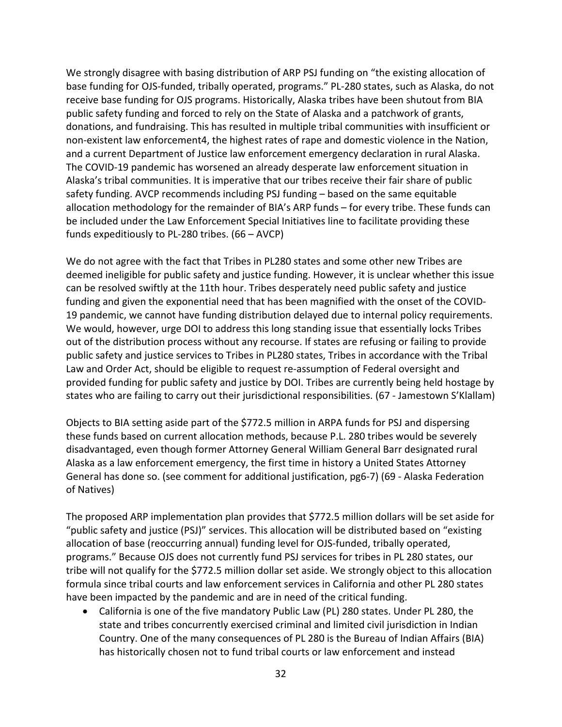We strongly disagree with basing distribution of ARP PSJ funding on "the existing allocation of base funding for OJS-funded, tribally operated, programs." PL-280 states, such as Alaska, do not receive base funding for OJS programs. Historically, Alaska tribes have been shutout from BIA public safety funding and forced to rely on the State of Alaska and a patchwork of grants, donations, and fundraising. This has resulted in multiple tribal communities with insufficient or non-existent law enforcement4, the highest rates of rape and domestic violence in the Nation, and a current Department of Justice law enforcement emergency declaration in rural Alaska. The COVID-19 pandemic has worsened an already desperate law enforcement situation in Alaska's tribal communities. It is imperative that our tribes receive their fair share of public safety funding. AVCP recommends including PSJ funding – based on the same equitable allocation methodology for the remainder of BIA's ARP funds – for every tribe. These funds can be included under the Law Enforcement Special Initiatives line to facilitate providing these funds expeditiously to PL-280 tribes. (66 – AVCP)

We do not agree with the fact that Tribes in PL280 states and some other new Tribes are deemed ineligible for public safety and justice funding. However, it is unclear whether this issue can be resolved swiftly at the 11th hour. Tribes desperately need public safety and justice funding and given the exponential need that has been magnified with the onset of the COVID-19 pandemic, we cannot have funding distribution delayed due to internal policy requirements. We would, however, urge DOI to address this long standing issue that essentially locks Tribes out of the distribution process without any recourse. If states are refusing or failing to provide public safety and justice services to Tribes in PL280 states, Tribes in accordance with the Tribal Law and Order Act, should be eligible to request re-assumption of Federal oversight and provided funding for public safety and justice by DOI. Tribes are currently being held hostage by states who are failing to carry out their jurisdictional responsibilities. (67 - Jamestown S'Klallam)

Objects to BIA setting aside part of the \$772.5 million in ARPA funds for PSJ and dispersing these funds based on current allocation methods, because P.L. 280 tribes would be severely disadvantaged, even though former Attorney General William General Barr designated rural Alaska as a law enforcement emergency, the first time in history a United States Attorney General has done so. (see comment for additional justification, pg6-7) (69 - Alaska Federation of Natives)

The proposed ARP implementation plan provides that \$772.5 million dollars will be set aside for "public safety and justice (PSJ)" services. This allocation will be distributed based on "existing allocation of base (reoccurring annual) funding level for OJS-funded, tribally operated, programs." Because OJS does not currently fund PSJ services for tribes in PL 280 states, our tribe will not qualify for the \$772.5 million dollar set aside. We strongly object to this allocation formula since tribal courts and law enforcement services in California and other PL 280 states have been impacted by the pandemic and are in need of the critical funding.

• California is one of the five mandatory Public Law (PL) 280 states. Under PL 280, the state and tribes concurrently exercised criminal and limited civil jurisdiction in Indian Country. One of the many consequences of PL 280 is the Bureau of Indian Affairs (BIA) has historically chosen not to fund tribal courts or law enforcement and instead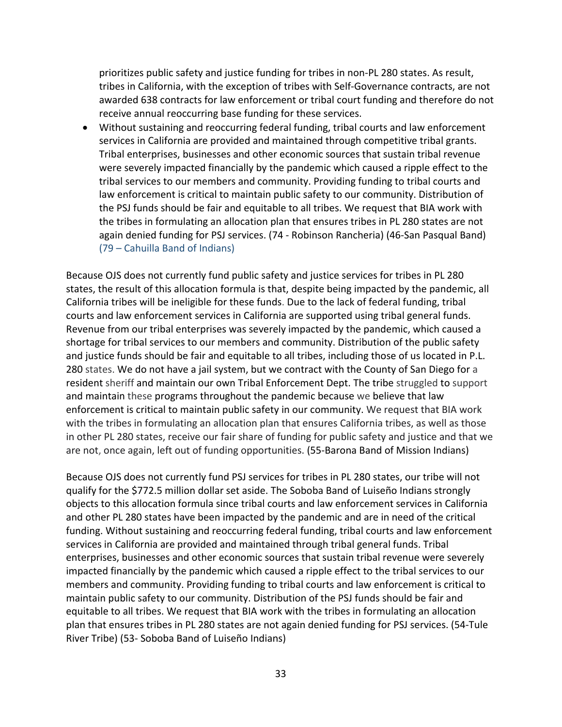prioritizes public safety and justice funding for tribes in non-PL 280 states. As result, tribes in California, with the exception of tribes with Self-Governance contracts, are not awarded 638 contracts for law enforcement or tribal court funding and therefore do not receive annual reoccurring base funding for these services.

• Without sustaining and reoccurring federal funding, tribal courts and law enforcement services in California are provided and maintained through competitive tribal grants. Tribal enterprises, businesses and other economic sources that sustain tribal revenue were severely impacted financially by the pandemic which caused a ripple effect to the tribal services to our members and community. Providing funding to tribal courts and law enforcement is critical to maintain public safety to our community. Distribution of the PSJ funds should be fair and equitable to all tribes. We request that BIA work with the tribes in formulating an allocation plan that ensures tribes in PL 280 states are not again denied funding for PSJ services. (74 - Robinson Rancheria) (46-San Pasqual Band) (79 – Cahuilla Band of Indians)

Because OJS does not currently fund public safety and justice services for tribes in PL 280 states, the result of this allocation formula is that, despite being impacted by the pandemic, all California tribes will be ineligible for these funds. Due to the lack of federal funding, tribal courts and law enforcement services in California are supported using tribal general funds. Revenue from our tribal enterprises was severely impacted by the pandemic, which caused a shortage for tribal services to our members and community. Distribution of the public safety and justice funds should be fair and equitable to all tribes, including those of us located in P.L. 280 states. We do not have a jail system, but we contract with the County of San Diego for a resident sheriff and maintain our own Tribal Enforcement Dept. The tribe struggled to support and maintain these programs throughout the pandemic because we believe that law enforcement is critical to maintain public safety in our community. We request that BIA work with the tribes in formulating an allocation plan that ensures California tribes, as well as those in other PL 280 states, receive our fair share of funding for public safety and justice and that we are not, once again, left out of funding opportunities. (55-Barona Band of Mission Indians)

Because OJS does not currently fund PSJ services for tribes in PL 280 states, our tribe will not qualify for the \$772.5 million dollar set aside. The Soboba Band of Luiseño Indians strongly objects to this allocation formula since tribal courts and law enforcement services in California and other PL 280 states have been impacted by the pandemic and are in need of the critical funding. Without sustaining and reoccurring federal funding, tribal courts and law enforcement services in California are provided and maintained through tribal general funds. Tribal enterprises, businesses and other economic sources that sustain tribal revenue were severely impacted financially by the pandemic which caused a ripple effect to the tribal services to our members and community. Providing funding to tribal courts and law enforcement is critical to maintain public safety to our community. Distribution of the PSJ funds should be fair and equitable to all tribes. We request that BIA work with the tribes in formulating an allocation plan that ensures tribes in PL 280 states are not again denied funding for PSJ services. (54-Tule River Tribe) (53- Soboba Band of Luiseño Indians)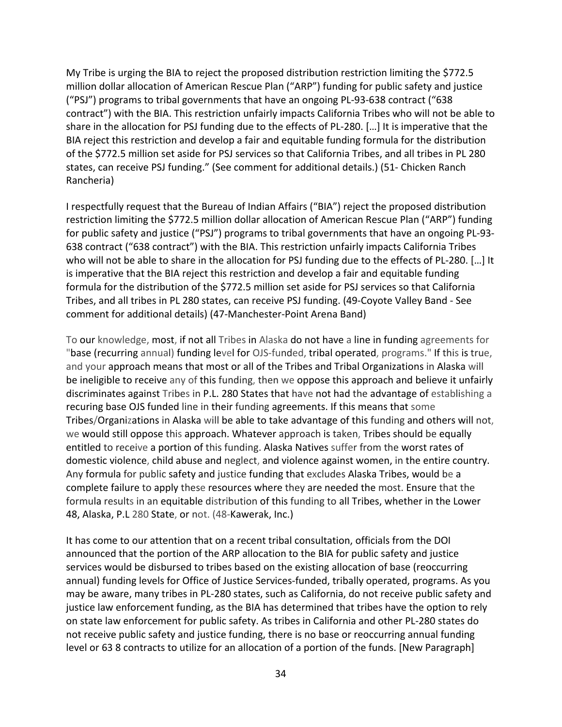My Tribe is urging the BIA to reject the proposed distribution restriction limiting the \$772.5 million dollar allocation of American Rescue Plan ("ARP") funding for public safety and justice ("PSJ") programs to tribal governments that have an ongoing PL-93-638 contract ("638 contract") with the BIA. This restriction unfairly impacts California Tribes who will not be able to share in the allocation for PSJ funding due to the effects of PL-280. […] It is imperative that the BIA reject this restriction and develop a fair and equitable funding formula for the distribution of the \$772.5 million set aside for PSJ services so that California Tribes, and all tribes in PL 280 states, can receive PSJ funding." (See comment for additional details.) (51- Chicken Ranch Rancheria)

I respectfully request that the Bureau of Indian Affairs ("BIA") reject the proposed distribution restriction limiting the \$772.5 million dollar allocation of American Rescue Plan ("ARP") funding for public safety and justice ("PSJ") programs to tribal governments that have an ongoing PL-93- 638 contract ("638 contract") with the BIA. This restriction unfairly impacts California Tribes who will not be able to share in the allocation for PSJ funding due to the effects of PL-280. […] It is imperative that the BIA reject this restriction and develop a fair and equitable funding formula for the distribution of the \$772.5 million set aside for PSJ services so that California Tribes, and all tribes in PL 280 states, can receive PSJ funding. (49-Coyote Valley Band - See comment for additional details) (47-Manchester-Point Arena Band)

To our knowledge, most, if not all Tribes in Alaska do not have a line in funding agreements for "base (recurring annual) funding level for OJS-funded, tribal operated, programs." If this is true, and your approach means that most or all of the Tribes and Tribal Organizations in Alaska will be ineligible to receive any of this funding, then we oppose this approach and believe it unfairly discriminates against Tribes in P.L. 280 States that have not had the advantage of establishing a recuring base OJS funded line in their funding agreements. If this means that some Tribes/Organizations in Alaska will be able to take advantage of this funding and others will not, we would still oppose this approach. Whatever approach is taken, Tribes should be equally entitled to receive a portion of this funding. Alaska Natives suffer from the worst rates of domestic violence, child abuse and neglect, and violence against women, in the entire country. Any formula for public safety and justice funding that excludes Alaska Tribes, would be a complete failure to apply these resources where they are needed the most. Ensure that the formula results in an equitable distribution of this funding to all Tribes, whether in the Lower 48, Alaska, P.L 280 State, or not. (48-Kawerak, Inc.)

It has come to our attention that on a recent tribal consultation, officials from the DOI announced that the portion of the ARP allocation to the BIA for public safety and justice services would be disbursed to tribes based on the existing allocation of base (reoccurring annual) funding levels for Office of Justice Services-funded, tribally operated, programs. As you may be aware, many tribes in PL-280 states, such as California, do not receive public safety and justice law enforcement funding, as the BIA has determined that tribes have the option to rely on state law enforcement for public safety. As tribes in California and other PL-280 states do not receive public safety and justice funding, there is no base or reoccurring annual funding level or 63 8 contracts to utilize for an allocation of a portion of the funds. [New Paragraph]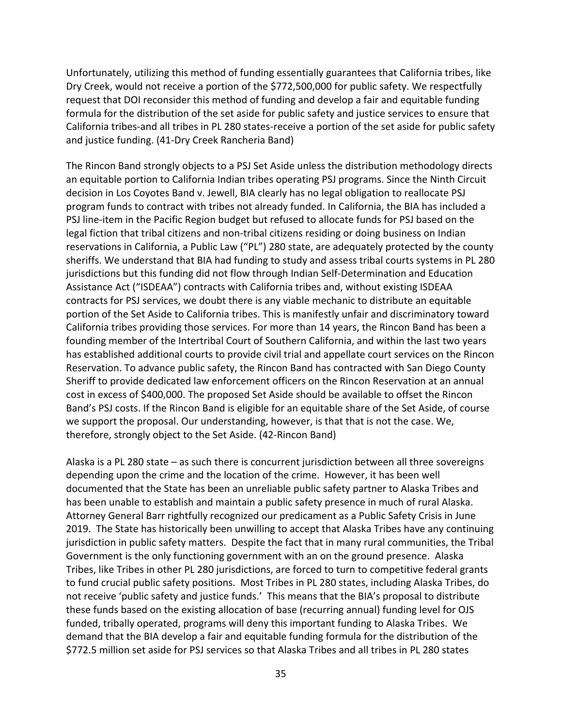Unfortunately, utilizing this method of funding essentially guarantees that California tribes, like Dry Creek, would not receive a portion of the \$772,500,000 for public safety. We respectfully request that DOI reconsider this method of funding and develop a fair and equitable funding formula for the distribution of the set aside for public safety and justice services to ensure that California tribes-and all tribes in PL 280 states-receive a portion of the set aside for public safety and justice funding. (41-Dry Creek Rancheria Band)

The Rincon Band strongly objects to a PSJ Set Aside unless the distribution methodology directs an equitable portion to California Indian tribes operating PSJ programs. Since the Ninth Circuit decision in Los Coyotes Band v. Jewell, BIA clearly has no legal obligation to reallocate PSJ program funds to contract with tribes not already funded. In California, the BIA has included a PSJ line-item in the Pacific Region budget but refused to allocate funds for PSJ based on the legal fiction that tribal citizens and non-tribal citizens residing or doing business on Indian reservations in California, a Public Law ("PL") 280 state, are adequately protected by the county sheriffs. We understand that BIA had funding to study and assess tribal courts systems in PL 280 jurisdictions but this funding did not flow through Indian Self-Determination and Education Assistance Act ("ISDEAA") contracts with California tribes and, without existing ISDEAA contracts for PSJ services, we doubt there is any viable mechanic to distribute an equitable portion of the Set Aside to California tribes. This is manifestly unfair and discriminatory toward California tribes providing those services. For more than 14 years, the Rincon Band has been a founding member of the Intertribal Court of Southern California, and within the last two years has established additional courts to provide civil trial and appellate court services on the Rincon Reservation. To advance public safety, the Rincon Band has contracted with San Diego County Sheriff to provide dedicated law enforcement officers on the Rincon Reservation at an annual cost in excess of \$400,000. The proposed Set Aside should be available to offset the Rincon Band's PSJ costs. If the Rincon Band is eligible for an equitable share of the Set Aside, of course we support the proposal. Our understanding, however, is that that is not the case. We, therefore, strongly object to the Set Aside. (42-Rincon Band)

Alaska is a PL 280 state – as such there is concurrent jurisdiction between all three sovereigns depending upon the crime and the location of the crime. However, it has been well documented that the State has been an unreliable public safety partner to Alaska Tribes and has been unable to establish and maintain a public safety presence in much of rural Alaska. Attorney General Barr rightfully recognized our predicament as a Public Safety Crisis in June 2019. The State has historically been unwilling to accept that Alaska Tribes have any continuing jurisdiction in public safety matters. Despite the fact that in many rural communities, the Tribal Government is the only functioning government with an on the ground presence. Alaska Tribes, like Tribes in other PL 280 jurisdictions, are forced to turn to competitive federal grants to fund crucial public safety positions. Most Tribes in PL 280 states, including Alaska Tribes, do not receive 'public safety and justice funds.' This means that the BIA's proposal to distribute these funds based on the existing allocation of base (recurring annual) funding level for OJS funded, tribally operated, programs will deny this important funding to Alaska Tribes. We demand that the BIA develop a fair and equitable funding formula for the distribution of the \$772.5 million set aside for PSJ services so that Alaska Tribes and all tribes in PL 280 states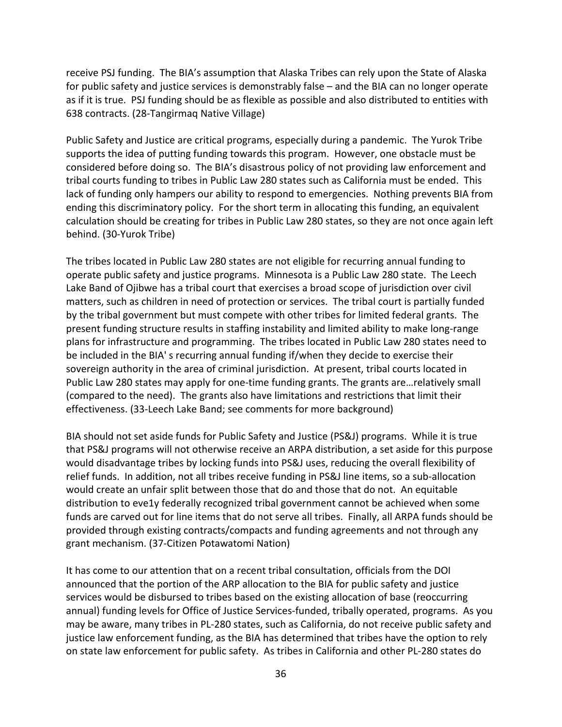receive PSJ funding. The BIA's assumption that Alaska Tribes can rely upon the State of Alaska for public safety and justice services is demonstrably false – and the BIA can no longer operate as if it is true. PSJ funding should be as flexible as possible and also distributed to entities with 638 contracts. (28-Tangirmaq Native Village)

Public Safety and Justice are critical programs, especially during a pandemic. The Yurok Tribe supports the idea of putting funding towards this program. However, one obstacle must be considered before doing so. The BIA's disastrous policy of not providing law enforcement and tribal courts funding to tribes in Public Law 280 states such as California must be ended. This lack of funding only hampers our ability to respond to emergencies. Nothing prevents BIA from ending this discriminatory policy. For the short term in allocating this funding, an equivalent calculation should be creating for tribes in Public Law 280 states, so they are not once again left behind. (30-Yurok Tribe)

The tribes located in Public Law 280 states are not eligible for recurring annual funding to operate public safety and justice programs. Minnesota is a Public Law 280 state. The Leech Lake Band of Ojibwe has a tribal court that exercises a broad scope of jurisdiction over civil matters, such as children in need of protection or services. The tribal court is partially funded by the tribal government but must compete with other tribes for limited federal grants. The present funding structure results in staffing instability and limited ability to make long-range plans for infrastructure and programming. The tribes located in Public Law 280 states need to be included in the BIA' s recurring annual funding if/when they decide to exercise their sovereign authority in the area of criminal jurisdiction. At present, tribal courts located in Public Law 280 states may apply for one-time funding grants. The grants are…relatively small (compared to the need). The grants also have limitations and restrictions that limit their effectiveness. (33-Leech Lake Band; see comments for more background)

BIA should not set aside funds for Public Safety and Justice (PS&J) programs. While it is true that PS&J programs will not otherwise receive an ARPA distribution, a set aside for this purpose would disadvantage tribes by locking funds into PS&J uses, reducing the overall flexibility of relief funds. In addition, not all tribes receive funding in PS&J line items, so a sub-allocation would create an unfair split between those that do and those that do not. An equitable distribution to eve1y federally recognized tribal government cannot be achieved when some funds are carved out for line items that do not serve all tribes. Finally, all ARPA funds should be provided through existing contracts/compacts and funding agreements and not through any grant mechanism. (37-Citizen Potawatomi Nation)

It has come to our attention that on a recent tribal consultation, officials from the DOI announced that the portion of the ARP allocation to the BIA for public safety and justice services would be disbursed to tribes based on the existing allocation of base (reoccurring annual) funding levels for Office of Justice Services-funded, tribally operated, programs. As you may be aware, many tribes in PL-280 states, such as California, do not receive public safety and justice law enforcement funding, as the BIA has determined that tribes have the option to rely on state law enforcement for public safety. As tribes in California and other PL-280 states do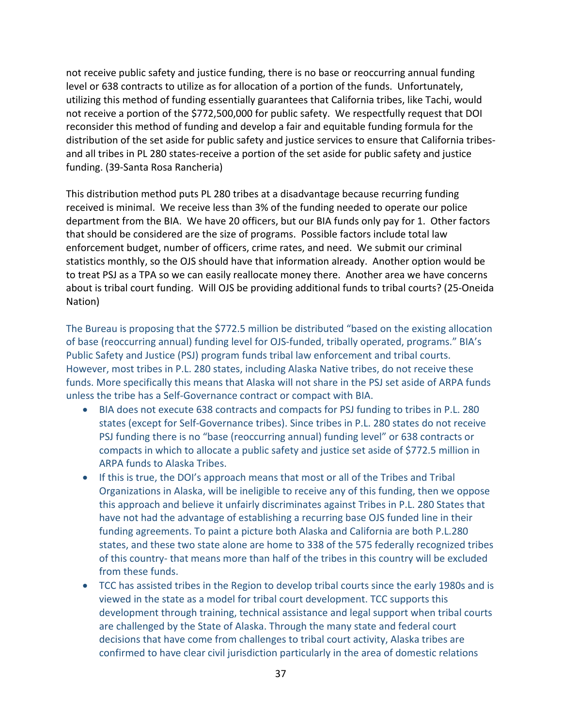not receive public safety and justice funding, there is no base or reoccurring annual funding level or 638 contracts to utilize as for allocation of a portion of the funds. Unfortunately, utilizing this method of funding essentially guarantees that California tribes, like Tachi, would not receive a portion of the \$772,500,000 for public safety. We respectfully request that DOI reconsider this method of funding and develop a fair and equitable funding formula for the distribution of the set aside for public safety and justice services to ensure that California tribesand all tribes in PL 280 states-receive a portion of the set aside for public safety and justice funding. (39-Santa Rosa Rancheria)

This distribution method puts PL 280 tribes at a disadvantage because recurring funding received is minimal. We receive less than 3% of the funding needed to operate our police department from the BIA. We have 20 officers, but our BIA funds only pay for 1. Other factors that should be considered are the size of programs. Possible factors include total law enforcement budget, number of officers, crime rates, and need. We submit our criminal statistics monthly, so the OJS should have that information already. Another option would be to treat PSJ as a TPA so we can easily reallocate money there. Another area we have concerns about is tribal court funding. Will OJS be providing additional funds to tribal courts? (25-Oneida Nation)

The Bureau is proposing that the \$772.5 million be distributed "based on the existing allocation of base (reoccurring annual) funding level for OJS-funded, tribally operated, programs." BIA's Public Safety and Justice (PSJ) program funds tribal law enforcement and tribal courts. However, most tribes in P.L. 280 states, including Alaska Native tribes, do not receive these funds. More specifically this means that Alaska will not share in the PSJ set aside of ARPA funds unless the tribe has a Self-Governance contract or compact with BIA.

- BIA does not execute 638 contracts and compacts for PSJ funding to tribes in P.L. 280 states (except for Self-Governance tribes). Since tribes in P.L. 280 states do not receive PSJ funding there is no "base (reoccurring annual) funding level" or 638 contracts or compacts in which to allocate a public safety and justice set aside of \$772.5 million in ARPA funds to Alaska Tribes.
- If this is true, the DOI's approach means that most or all of the Tribes and Tribal Organizations in Alaska, will be ineligible to receive any of this funding, then we oppose this approach and believe it unfairly discriminates against Tribes in P.L. 280 States that have not had the advantage of establishing a recurring base OJS funded line in their funding agreements. To paint a picture both Alaska and California are both P.L.280 states, and these two state alone are home to 338 of the 575 federally recognized tribes of this country- that means more than half of the tribes in this country will be excluded from these funds.
- TCC has assisted tribes in the Region to develop tribal courts since the early 1980s and is viewed in the state as a model for tribal court development. TCC supports this development through training, technical assistance and legal support when tribal courts are challenged by the State of Alaska. Through the many state and federal court decisions that have come from challenges to tribal court activity, Alaska tribes are confirmed to have clear civil jurisdiction particularly in the area of domestic relations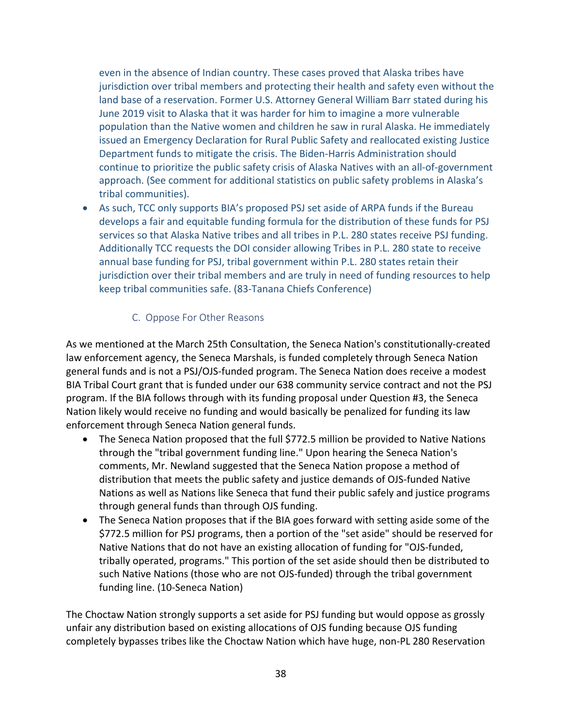even in the absence of Indian country. These cases proved that Alaska tribes have jurisdiction over tribal members and protecting their health and safety even without the land base of a reservation. Former U.S. Attorney General William Barr stated during his June 2019 visit to Alaska that it was harder for him to imagine a more vulnerable population than the Native women and children he saw in rural Alaska. He immediately issued an Emergency Declaration for Rural Public Safety and reallocated existing Justice Department funds to mitigate the crisis. The Biden-Harris Administration should continue to prioritize the public safety crisis of Alaska Natives with an all-of-government approach. (See comment for additional statistics on public safety problems in Alaska's tribal communities).

• As such, TCC only supports BIA's proposed PSJ set aside of ARPA funds if the Bureau develops a fair and equitable funding formula for the distribution of these funds for PSJ services so that Alaska Native tribes and all tribes in P.L. 280 states receive PSJ funding. Additionally TCC requests the DOI consider allowing Tribes in P.L. 280 state to receive annual base funding for PSJ, tribal government within P.L. 280 states retain their jurisdiction over their tribal members and are truly in need of funding resources to help keep tribal communities safe. (83-Tanana Chiefs Conference)

#### C. Oppose For Other Reasons

As we mentioned at the March 25th Consultation, the Seneca Nation's constitutionally-created law enforcement agency, the Seneca Marshals, is funded completely through Seneca Nation general funds and is not a PSJ/OJS-funded program. The Seneca Nation does receive a modest BIA Tribal Court grant that is funded under our 638 community service contract and not the PSJ program. If the BIA follows through with its funding proposal under Question #3, the Seneca Nation likely would receive no funding and would basically be penalized for funding its law enforcement through Seneca Nation general funds.

- The Seneca Nation proposed that the full \$772.5 million be provided to Native Nations through the "tribal government funding line." Upon hearing the Seneca Nation's comments, Mr. Newland suggested that the Seneca Nation propose a method of distribution that meets the public safety and justice demands of OJS-funded Native Nations as well as Nations like Seneca that fund their public safely and justice programs through general funds than through OJS funding.
- The Seneca Nation proposes that if the BIA goes forward with setting aside some of the \$772.5 million for PSJ programs, then a portion of the "set aside" should be reserved for Native Nations that do not have an existing allocation of funding for "OJS-funded, tribally operated, programs." This portion of the set aside should then be distributed to such Native Nations (those who are not OJS-funded) through the tribal government funding line. (10-Seneca Nation)

The Choctaw Nation strongly supports a set aside for PSJ funding but would oppose as grossly unfair any distribution based on existing allocations of OJS funding because OJS funding completely bypasses tribes like the Choctaw Nation which have huge, non-PL 280 Reservation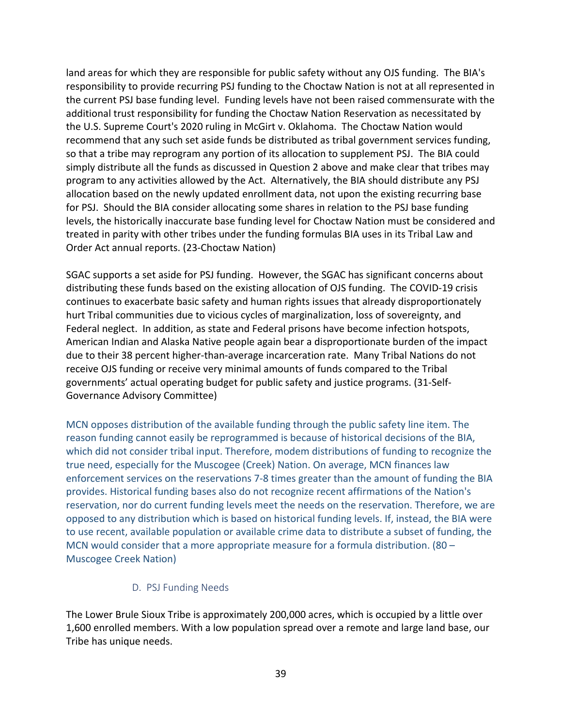land areas for which they are responsible for public safety without any OJS funding. The BIA's responsibility to provide recurring PSJ funding to the Choctaw Nation is not at all represented in the current PSJ base funding level. Funding levels have not been raised commensurate with the additional trust responsibility for funding the Choctaw Nation Reservation as necessitated by the U.S. Supreme Court's 2020 ruling in McGirt v. Oklahoma. The Choctaw Nation would recommend that any such set aside funds be distributed as tribal government services funding, so that a tribe may reprogram any portion of its allocation to supplement PSJ. The BIA could simply distribute all the funds as discussed in Question 2 above and make clear that tribes may program to any activities allowed by the Act. Alternatively, the BIA should distribute any PSJ allocation based on the newly updated enrollment data, not upon the existing recurring base for PSJ. Should the BIA consider allocating some shares in relation to the PSJ base funding levels, the historically inaccurate base funding level for Choctaw Nation must be considered and treated in parity with other tribes under the funding formulas BIA uses in its Tribal Law and Order Act annual reports. (23-Choctaw Nation)

SGAC supports a set aside for PSJ funding. However, the SGAC has significant concerns about distributing these funds based on the existing allocation of OJS funding. The COVID-19 crisis continues to exacerbate basic safety and human rights issues that already disproportionately hurt Tribal communities due to vicious cycles of marginalization, loss of sovereignty, and Federal neglect. In addition, as state and Federal prisons have become infection hotspots, American Indian and Alaska Native people again bear a disproportionate burden of the impact due to their 38 percent higher-than-average incarceration rate. Many Tribal Nations do not receive OJS funding or receive very minimal amounts of funds compared to the Tribal governments' actual operating budget for public safety and justice programs. (31-Self-Governance Advisory Committee)

MCN opposes distribution of the available funding through the public safety line item. The reason funding cannot easily be reprogrammed is because of historical decisions of the BIA, which did not consider tribal input. Therefore, modem distributions of funding to recognize the true need, especially for the Muscogee (Creek) Nation. On average, MCN finances law enforcement services on the reservations 7-8 times greater than the amount of funding the BIA provides. Historical funding bases also do not recognize recent affirmations of the Nation's reservation, nor do current funding levels meet the needs on the reservation. Therefore, we are opposed to any distribution which is based on historical funding levels. If, instead, the BIA were to use recent, available population or available crime data to distribute a subset of funding, the MCN would consider that a more appropriate measure for a formula distribution. (80 – Muscogee Creek Nation)

#### D. PSJ Funding Needs

The Lower Brule Sioux Tribe is approximately 200,000 acres, which is occupied by a little over 1,600 enrolled members. With a low population spread over a remote and large land base, our Tribe has unique needs.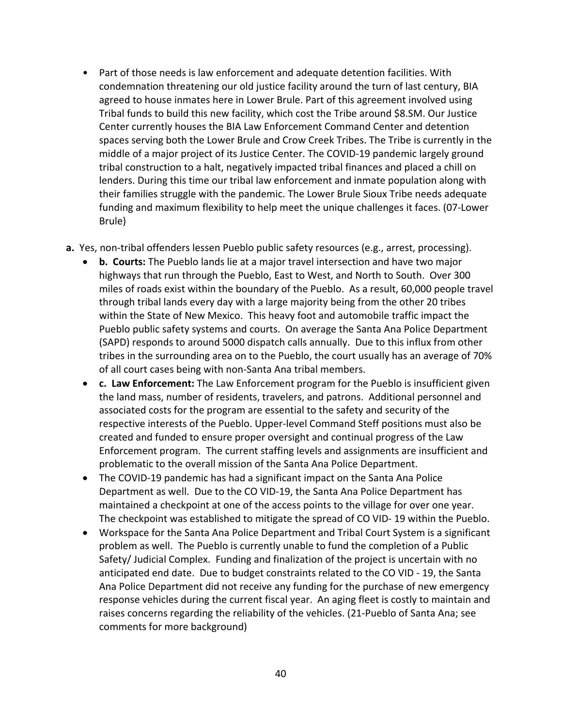- Part of those needs is law enforcement and adequate detention facilities. With condemnation threatening our old justice facility around the turn of last century, BIA agreed to house inmates here in Lower Brule. Part of this agreement involved using Tribal funds to build this new facility, which cost the Tribe around \$8.SM. Our Justice Center currently houses the BIA Law Enforcement Command Center and detention spaces serving both the Lower Brule and Crow Creek Tribes. The Tribe is currently in the middle of a major project of its Justice Center. The COVID-19 pandemic largely ground tribal construction to a halt, negatively impacted tribal finances and placed a chill on lenders. During this time our tribal law enforcement and inmate population along with their families struggle with the pandemic. The Lower Brule Sioux Tribe needs adequate funding and maximum flexibility to help meet the unique challenges it faces. (07-Lower Brule)
- **a.** Yes, non-tribal offenders lessen Pueblo public safety resources (e.g., arrest, processing).
	- **b. Courts:** The Pueblo lands lie at a major travel intersection and have two major highways that run through the Pueblo, East to West, and North to South. Over 300 miles of roads exist within the boundary of the Pueblo. As a result, 60,000 people travel through tribal lands every day with a large majority being from the other 20 tribes within the State of New Mexico. This heavy foot and automobile traffic impact the Pueblo public safety systems and courts. On average the Santa Ana Police Department (SAPD) responds to around 5000 dispatch calls annually. Due to this influx from other tribes in the surrounding area on to the Pueblo, the court usually has an average of 70% of all court cases being with non-Santa Ana tribal members.
	- **c. Law Enforcement:** The Law Enforcement program for the Pueblo is insufficient given the land mass, number of residents, travelers, and patrons. Additional personnel and associated costs for the program are essential to the safety and security of the respective interests of the Pueblo. Upper-level Command Steff positions must also be created and funded to ensure proper oversight and continual progress of the Law Enforcement program. The current staffing levels and assignments are insufficient and problematic to the overall mission of the Santa Ana Police Department.
	- The COVID-19 pandemic has had a significant impact on the Santa Ana Police Department as well. Due to the CO VID-19, the Santa Ana Police Department has maintained a checkpoint at one of the access points to the village for over one year. The checkpoint was established to mitigate the spread of CO VID- 19 within the Pueblo.
	- Workspace for the Santa Ana Police Department and Tribal Court System is a significant problem as well. The Pueblo is currently unable to fund the completion of a Public Safety/ Judicial Complex. Funding and finalization of the project is uncertain with no anticipated end date. Due to budget constraints related to the CO VID - 19, the Santa Ana Police Department did not receive any funding for the purchase of new emergency response vehicles during the current fiscal year. An aging fleet is costly to maintain and raises concerns regarding the reliability of the vehicles. (21-Pueblo of Santa Ana; see comments for more background)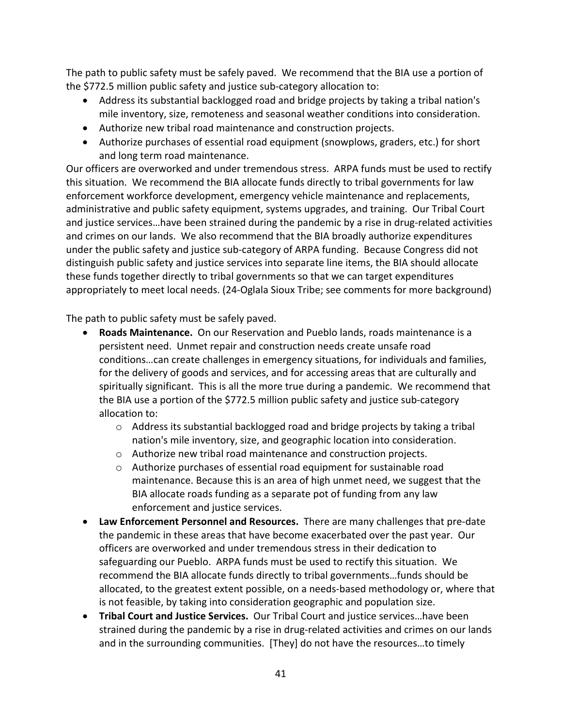The path to public safety must be safely paved. We recommend that the BIA use a portion of the \$772.5 million public safety and justice sub-category allocation to:

- Address its substantial backlogged road and bridge projects by taking a tribal nation's mile inventory, size, remoteness and seasonal weather conditions into consideration.
- Authorize new tribal road maintenance and construction projects.
- Authorize purchases of essential road equipment (snowplows, graders, etc.) for short and long term road maintenance.

Our officers are overworked and under tremendous stress. ARPA funds must be used to rectify this situation. We recommend the BIA allocate funds directly to tribal governments for law enforcement workforce development, emergency vehicle maintenance and replacements, administrative and public safety equipment, systems upgrades, and training. Our Tribal Court and justice services…have been strained during the pandemic by a rise in drug-related activities and crimes on our lands. We also recommend that the BIA broadly authorize expenditures under the public safety and justice sub-category of ARPA funding. Because Congress did not distinguish public safety and justice services into separate line items, the BIA should allocate these funds together directly to tribal governments so that we can target expenditures appropriately to meet local needs. (24-Oglala Sioux Tribe; see comments for more background)

The path to public safety must be safely paved.

- **Roads Maintenance.** On our Reservation and Pueblo lands, roads maintenance is a persistent need. Unmet repair and construction needs create unsafe road conditions…can create challenges in emergency situations, for individuals and families, for the delivery of goods and services, and for accessing areas that are culturally and spiritually significant. This is all the more true during a pandemic. We recommend that the BIA use a portion of the \$772.5 million public safety and justice sub-category allocation to:
	- $\circ$  Address its substantial backlogged road and bridge projects by taking a tribal nation's mile inventory, size, and geographic location into consideration.
	- o Authorize new tribal road maintenance and construction projects.
	- $\circ$  Authorize purchases of essential road equipment for sustainable road maintenance. Because this is an area of high unmet need, we suggest that the BIA allocate roads funding as a separate pot of funding from any law enforcement and justice services.
- **Law Enforcement Personnel and Resources.** There are many challenges that pre-date the pandemic in these areas that have become exacerbated over the past year. Our officers are overworked and under tremendous stress in their dedication to safeguarding our Pueblo. ARPA funds must be used to rectify this situation. We recommend the BIA allocate funds directly to tribal governments…funds should be allocated, to the greatest extent possible, on a needs-based methodology or, where that is not feasible, by taking into consideration geographic and population size.
- **Tribal Court and Justice Services.** Our Tribal Court and justice services…have been strained during the pandemic by a rise in drug-related activities and crimes on our lands and in the surrounding communities. [They] do not have the resources…to timely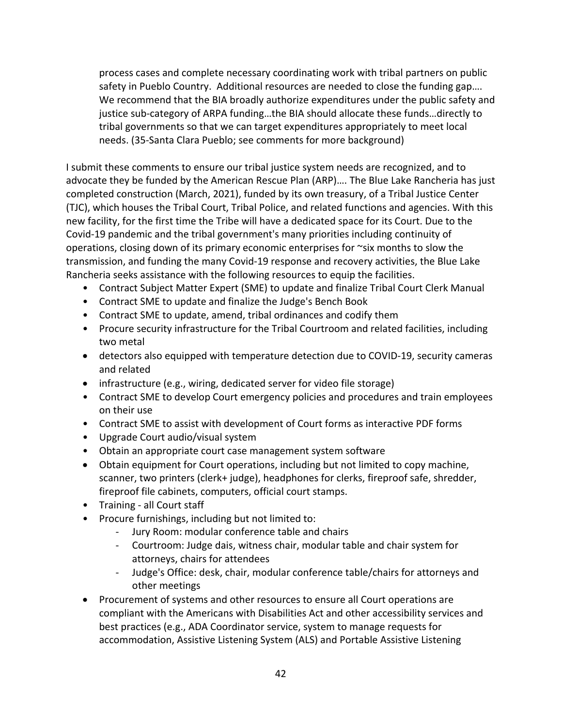process cases and complete necessary coordinating work with tribal partners on public safety in Pueblo Country. Additional resources are needed to close the funding gap…. We recommend that the BIA broadly authorize expenditures under the public safety and justice sub-category of ARPA funding…the BIA should allocate these funds…directly to tribal governments so that we can target expenditures appropriately to meet local needs. (35-Santa Clara Pueblo; see comments for more background)

I submit these comments to ensure our tribal justice system needs are recognized, and to advocate they be funded by the American Rescue Plan (ARP)…. The Blue Lake Rancheria has just completed construction (March, 2021), funded by its own treasury, of a Tribal Justice Center (TJC), which houses the Tribal Court, Tribal Police, and related functions and agencies. With this new facility, for the first time the Tribe will have a dedicated space for its Court. Due to the Covid-19 pandemic and the tribal government's many priorities including continuity of operations, closing down of its primary economic enterprises for ~six months to slow the transmission, and funding the many Covid-19 response and recovery activities, the Blue Lake Rancheria seeks assistance with the following resources to equip the facilities.

- Contract Subject Matter Expert (SME) to update and finalize Tribal Court Clerk Manual
- Contract SME to update and finalize the Judge's Bench Book
- Contract SME to update, amend, tribal ordinances and codify them
- Procure security infrastructure for the Tribal Courtroom and related facilities, including two metal
- detectors also equipped with temperature detection due to COVID-19, security cameras and related
- infrastructure (e.g., wiring, dedicated server for video file storage)
- Contract SME to develop Court emergency policies and procedures and train employees on their use
- Contract SME to assist with development of Court forms as interactive PDF forms
- Upgrade Court audio/visual system
- Obtain an appropriate court case management system software
- Obtain equipment for Court operations, including but not limited to copy machine, scanner, two printers (clerk+ judge), headphones for clerks, fireproof safe, shredder, fireproof file cabinets, computers, official court stamps.
- Training all Court staff
- Procure furnishings, including but not limited to:
	- Jury Room: modular conference table and chairs
	- Courtroom: Judge dais, witness chair, modular table and chair system for attorneys, chairs for attendees
	- Judge's Office: desk, chair, modular conference table/chairs for attorneys and other meetings
- Procurement of systems and other resources to ensure all Court operations are compliant with the Americans with Disabilities Act and other accessibility services and best practices (e.g., ADA Coordinator service, system to manage requests for accommodation, Assistive Listening System (ALS) and Portable Assistive Listening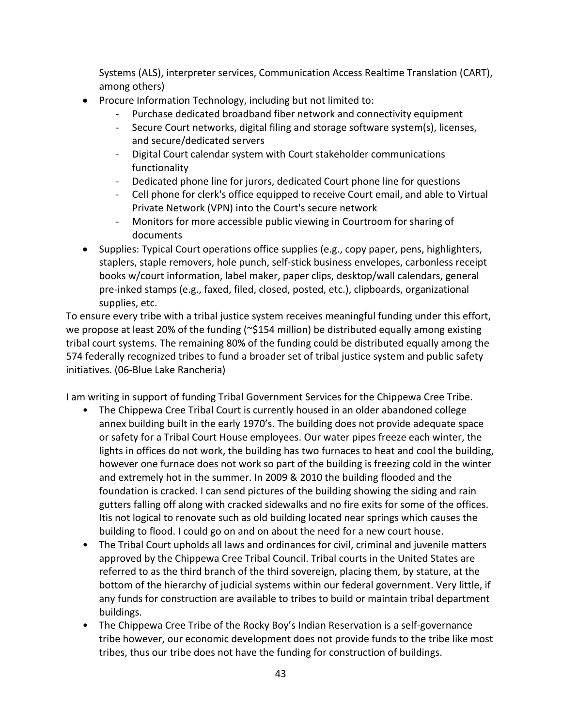Systems (ALS), interpreter services, Communication Access Realtime Translation (CART), among others)

- Procure Information Technology, including but not limited to:
	- Purchase dedicated broadband fiber network and connectivity equipment
	- Secure Court networks, digital filing and storage software system(s), licenses, and secure/dedicated servers
	- Digital Court calendar system with Court stakeholder communications functionality
	- Dedicated phone line for jurors, dedicated Court phone line for questions
	- Cell phone for clerk's office equipped to receive Court email, and able to Virtual Private Network (VPN) into the Court's secure network
	- Monitors for more accessible public viewing in Courtroom for sharing of documents
- Supplies: Typical Court operations office supplies (e.g., copy paper, pens, highlighters, staplers, staple removers, hole punch, self-stick business envelopes, carbonless receipt books w/court information, label maker, paper clips, desktop/wall calendars, general pre-inked stamps (e.g., faxed, filed, closed, posted, etc.), clipboards, organizational supplies, etc.

To ensure every tribe with a tribal justice system receives meaningful funding under this effort, we propose at least 20% of the funding (~\$154 million) be distributed equally among existing tribal court systems. The remaining 80% of the funding could be distributed equally among the 574 federally recognized tribes to fund a broader set of tribal justice system and public safety initiatives. (06-Blue Lake Rancheria)

I am writing in support of funding Tribal Government Services for the Chippewa Cree Tribe.

- The Chippewa Cree Tribal Court is currently housed in an older abandoned college annex building built in the early 1970's. The building does not provide adequate space or safety for a Tribal Court House employees. Our water pipes freeze each winter, the lights in offices do not work, the building has two furnaces to heat and cool the building, however one furnace does not work so part of the building is freezing cold in the winter and extremely hot in the summer. In 2009 & 2010 the building flooded and the foundation is cracked. I can send pictures of the building showing the siding and rain gutters falling off along with cracked sidewalks and no fire exits for some of the offices. Itis not logical to renovate such as old building located near springs which causes the building to flood. I could go on and on about the need for a new court house.
- The Tribal Court upholds all laws and ordinances for civil, criminal and juvenile matters approved by the Chippewa Cree Tribal Council. Tribal courts in the United States are referred to as the third branch of the third sovereign, placing them, by stature, at the bottom of the hierarchy of judicial systems within our federal government. Very little, if any funds for construction are available to tribes to build or maintain tribal department buildings.
- The Chippewa Cree Tribe of the Rocky Boy's Indian Reservation is a self-governance tribe however, our economic development does not provide funds to the tribe like most tribes, thus our tribe does not have the funding for construction of buildings.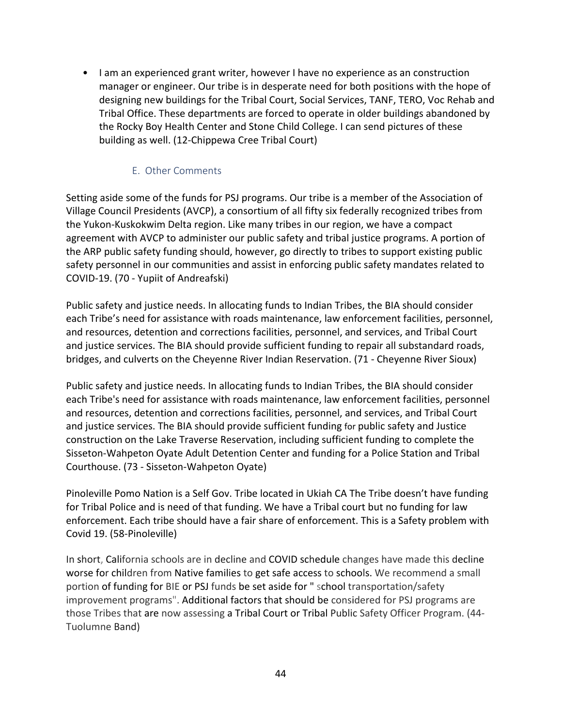• I am an experienced grant writer, however I have no experience as an construction manager or engineer. Our tribe is in desperate need for both positions with the hope of designing new buildings for the Tribal Court, Social Services, TANF, TERO, Voc Rehab and Tribal Office. These departments are forced to operate in older buildings abandoned by the Rocky Boy Health Center and Stone Child College. I can send pictures of these building as well. (12-Chippewa Cree Tribal Court)

#### E. Other Comments

Setting aside some of the funds for PSJ programs. Our tribe is a member of the Association of Village Council Presidents (AVCP), a consortium of all fifty six federally recognized tribes from the Yukon-Kuskokwim Delta region. Like many tribes in our region, we have a compact agreement with AVCP to administer our public safety and tribal justice programs. A portion of the ARP public safety funding should, however, go directly to tribes to support existing public safety personnel in our communities and assist in enforcing public safety mandates related to COVID-19. (70 - Yupiit of Andreafski)

Public safety and justice needs. In allocating funds to Indian Tribes, the BIA should consider each Tribe's need for assistance with roads maintenance, law enforcement facilities, personnel, and resources, detention and corrections facilities, personnel, and services, and Tribal Court and justice services. The BIA should provide sufficient funding to repair all substandard roads, bridges, and culverts on the Cheyenne River Indian Reservation. (71 - Cheyenne River Sioux)

Public safety and justice needs. In allocating funds to Indian Tribes, the BIA should consider each Tribe's need for assistance with roads maintenance, law enforcement facilities, personnel and resources, detention and corrections facilities, personnel, and services, and Tribal Court and justice services. The BIA should provide sufficient funding for public safety and Justice construction on the Lake Traverse Reservation, including sufficient funding to complete the Sisseton-Wahpeton Oyate Adult Detention Center and funding for a Police Station and Tribal Courthouse. (73 - Sisseton-Wahpeton Oyate)

Pinoleville Pomo Nation is a Self Gov. Tribe located in Ukiah CA The Tribe doesn't have funding for Tribal Police and is need of that funding. We have a Tribal court but no funding for law enforcement. Each tribe should have a fair share of enforcement. This is a Safety problem with Covid 19. (58-Pinoleville)

In short, California schools are in decline and COVID schedule changes have made this decline worse for children from Native families to get safe access to schools. We recommend a small portion of funding for BIE or PSJ funds be set aside for " school transportation/safety improvement programs". Additional factors that should be considered for PSJ programs are those Tribes that are now assessing a Tribal Court or Tribal Public Safety Officer Program. (44- Tuolumne Band)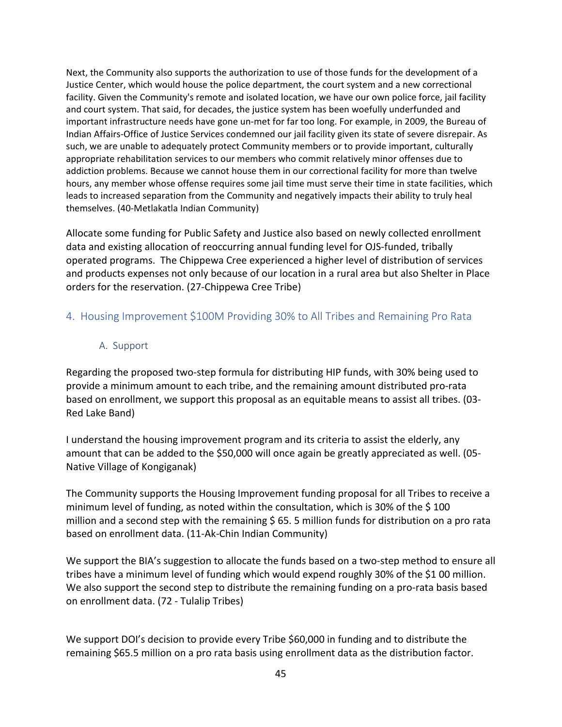Next, the Community also supports the authorization to use of those funds for the development of a Justice Center, which would house the police department, the court system and a new correctional facility. Given the Community's remote and isolated location, we have our own police force, jail facility and court system. That said, for decades, the justice system has been woefully underfunded and important infrastructure needs have gone un-met for far too long. For example, in 2009, the Bureau of Indian Affairs-Office of Justice Services condemned our jail facility given its state of severe disrepair. As such, we are unable to adequately protect Community members or to provide important, culturally appropriate rehabilitation services to our members who commit relatively minor offenses due to addiction problems. Because we cannot house them in our correctional facility for more than twelve hours, any member whose offense requires some jail time must serve their time in state facilities, which leads to increased separation from the Community and negatively impacts their ability to truly heal themselves. (40-Metlakatla Indian Community)

Allocate some funding for Public Safety and Justice also based on newly collected enrollment data and existing allocation of reoccurring annual funding level for OJS-funded, tribally operated programs. The Chippewa Cree experienced a higher level of distribution of services and products expenses not only because of our location in a rural area but also Shelter in Place orders for the reservation. (27-Chippewa Cree Tribe)

### 4. Housing Improvement \$100M Providing 30% to All Tribes and Remaining Pro Rata

#### A. Support

Regarding the proposed two-step formula for distributing HIP funds, with 30% being used to provide a minimum amount to each tribe, and the remaining amount distributed pro-rata based on enrollment, we support this proposal as an equitable means to assist all tribes. (03- Red Lake Band)

I understand the housing improvement program and its criteria to assist the elderly, any amount that can be added to the \$50,000 will once again be greatly appreciated as well. (05- Native Village of Kongiganak)

The Community supports the Housing Improvement funding proposal for all Tribes to receive a minimum level of funding, as noted within the consultation, which is 30% of the \$ 100 million and a second step with the remaining  $\frac{2}{5}$  65. 5 million funds for distribution on a pro rata based on enrollment data. (11-Ak-Chin Indian Community)

We support the BIA's suggestion to allocate the funds based on a two-step method to ensure all tribes have a minimum level of funding which would expend roughly 30% of the \$1 00 million. We also support the second step to distribute the remaining funding on a pro-rata basis based on enrollment data. (72 - Tulalip Tribes)

We support DOI's decision to provide every Tribe \$60,000 in funding and to distribute the remaining \$65.5 million on a pro rata basis using enrollment data as the distribution factor.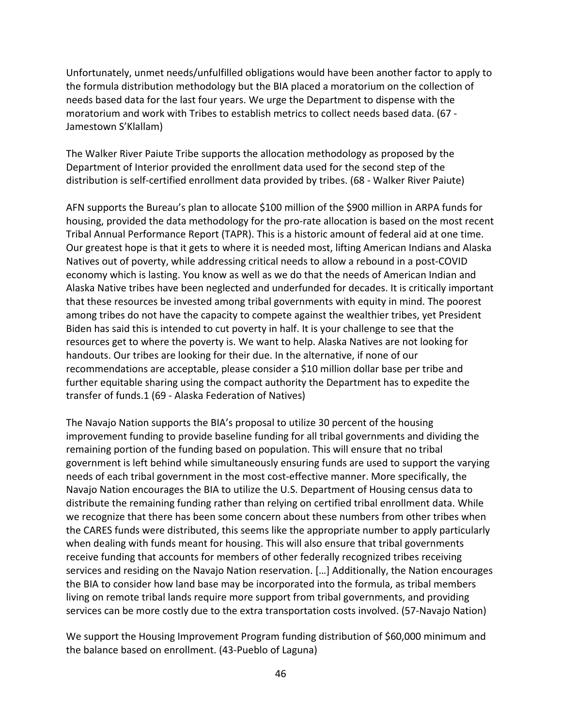Unfortunately, unmet needs/unfulfilled obligations would have been another factor to apply to the formula distribution methodology but the BIA placed a moratorium on the collection of needs based data for the last four years. We urge the Department to dispense with the moratorium and work with Tribes to establish metrics to collect needs based data. (67 - Jamestown S'Klallam)

The Walker River Paiute Tribe supports the allocation methodology as proposed by the Department of Interior provided the enrollment data used for the second step of the distribution is self-certified enrollment data provided by tribes. (68 - Walker River Paiute)

AFN supports the Bureau's plan to allocate \$100 million of the \$900 million in ARPA funds for housing, provided the data methodology for the pro-rate allocation is based on the most recent Tribal Annual Performance Report (TAPR). This is a historic amount of federal aid at one time. Our greatest hope is that it gets to where it is needed most, lifting American Indians and Alaska Natives out of poverty, while addressing critical needs to allow a rebound in a post-COVID economy which is lasting. You know as well as we do that the needs of American Indian and Alaska Native tribes have been neglected and underfunded for decades. It is critically important that these resources be invested among tribal governments with equity in mind. The poorest among tribes do not have the capacity to compete against the wealthier tribes, yet President Biden has said this is intended to cut poverty in half. It is your challenge to see that the resources get to where the poverty is. We want to help. Alaska Natives are not looking for handouts. Our tribes are looking for their due. In the alternative, if none of our recommendations are acceptable, please consider a \$10 million dollar base per tribe and further equitable sharing using the compact authority the Department has to expedite the transfer of funds.1 (69 - Alaska Federation of Natives)

The Navajo Nation supports the BIA's proposal to utilize 30 percent of the housing improvement funding to provide baseline funding for all tribal governments and dividing the remaining portion of the funding based on population. This will ensure that no tribal government is left behind while simultaneously ensuring funds are used to support the varying needs of each tribal government in the most cost-effective manner. More specifically, the Navajo Nation encourages the BIA to utilize the U.S. Department of Housing census data to distribute the remaining funding rather than relying on certified tribal enrollment data. While we recognize that there has been some concern about these numbers from other tribes when the CARES funds were distributed, this seems like the appropriate number to apply particularly when dealing with funds meant for housing. This will also ensure that tribal governments receive funding that accounts for members of other federally recognized tribes receiving services and residing on the Navajo Nation reservation. […] Additionally, the Nation encourages the BIA to consider how land base may be incorporated into the formula, as tribal members living on remote tribal lands require more support from tribal governments, and providing services can be more costly due to the extra transportation costs involved. (57-Navajo Nation)

We support the Housing Improvement Program funding distribution of \$60,000 minimum and the balance based on enrollment. (43-Pueblo of Laguna)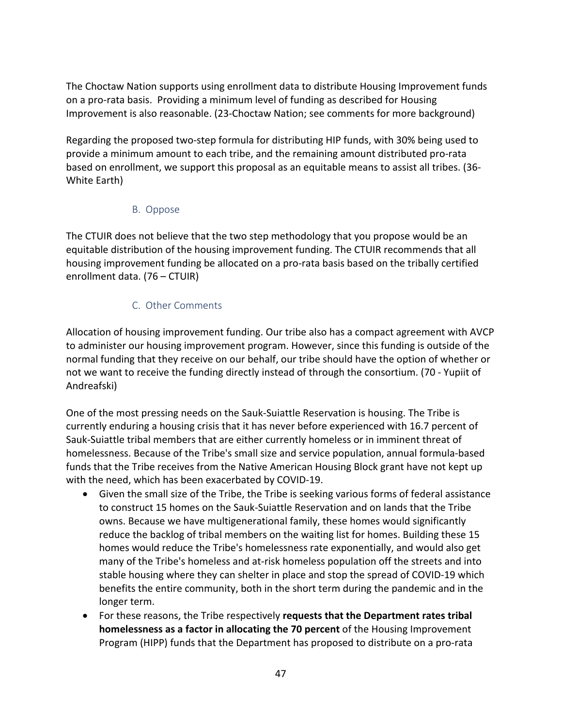The Choctaw Nation supports using enrollment data to distribute Housing Improvement funds on a pro-rata basis. Providing a minimum level of funding as described for Housing Improvement is also reasonable. (23-Choctaw Nation; see comments for more background)

Regarding the proposed two-step formula for distributing HIP funds, with 30% being used to provide a minimum amount to each tribe, and the remaining amount distributed pro-rata based on enrollment, we support this proposal as an equitable means to assist all tribes. (36- White Earth)

## B. Oppose

The CTUIR does not believe that the two step methodology that you propose would be an equitable distribution of the housing improvement funding. The CTUIR recommends that all housing improvement funding be allocated on a pro-rata basis based on the tribally certified enrollment data. (76 – CTUIR)

## C. Other Comments

Allocation of housing improvement funding. Our tribe also has a compact agreement with AVCP to administer our housing improvement program. However, since this funding is outside of the normal funding that they receive on our behalf, our tribe should have the option of whether or not we want to receive the funding directly instead of through the consortium. (70 - Yupiit of Andreafski)

One of the most pressing needs on the Sauk-Suiattle Reservation is housing. The Tribe is currently enduring a housing crisis that it has never before experienced with 16.7 percent of Sauk-Suiattle tribal members that are either currently homeless or in imminent threat of homelessness. Because of the Tribe's small size and service population, annual formula-based funds that the Tribe receives from the Native American Housing Block grant have not kept up with the need, which has been exacerbated by COVID-19.

- Given the small size of the Tribe, the Tribe is seeking various forms of federal assistance to construct 15 homes on the Sauk-Suiattle Reservation and on lands that the Tribe owns. Because we have multigenerational family, these homes would significantly reduce the backlog of tribal members on the waiting list for homes. Building these 15 homes would reduce the Tribe's homelessness rate exponentially, and would also get many of the Tribe's homeless and at-risk homeless population off the streets and into stable housing where they can shelter in place and stop the spread of COVID-19 which benefits the entire community, both in the short term during the pandemic and in the longer term.
- For these reasons, the Tribe respectively **requests that the Department rates tribal homelessness as a factor in allocating the 70 percent** of the Housing Improvement Program (HIPP) funds that the Department has proposed to distribute on a pro-rata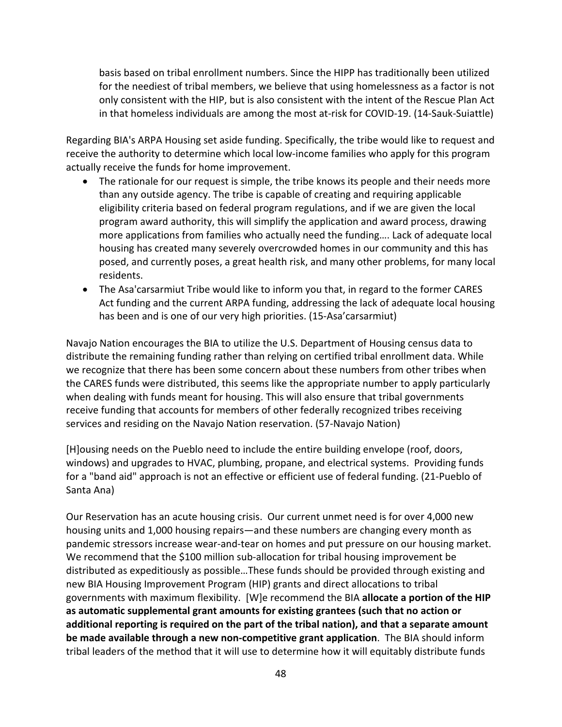basis based on tribal enrollment numbers. Since the HIPP has traditionally been utilized for the neediest of tribal members, we believe that using homelessness as a factor is not only consistent with the HIP, but is also consistent with the intent of the Rescue Plan Act in that homeless individuals are among the most at-risk for COVID-19. (14-Sauk-Suiattle)

Regarding BIA's ARPA Housing set aside funding. Specifically, the tribe would like to request and receive the authority to determine which local low-income families who apply for this program actually receive the funds for home improvement.

- The rationale for our request is simple, the tribe knows its people and their needs more than any outside agency. The tribe is capable of creating and requiring applicable eligibility criteria based on federal program regulations, and if we are given the local program award authority, this will simplify the application and award process, drawing more applications from families who actually need the funding…. Lack of adequate local housing has created many severely overcrowded homes in our community and this has posed, and currently poses, a great health risk, and many other problems, for many local residents.
- The Asa'carsarmiut Tribe would like to inform you that, in regard to the former CARES Act funding and the current ARPA funding, addressing the lack of adequate local housing has been and is one of our very high priorities. (15-Asa'carsarmiut)

Navajo Nation encourages the BIA to utilize the U.S. Department of Housing census data to distribute the remaining funding rather than relying on certified tribal enrollment data. While we recognize that there has been some concern about these numbers from other tribes when the CARES funds were distributed, this seems like the appropriate number to apply particularly when dealing with funds meant for housing. This will also ensure that tribal governments receive funding that accounts for members of other federally recognized tribes receiving services and residing on the Navajo Nation reservation. (57-Navajo Nation)

[H]ousing needs on the Pueblo need to include the entire building envelope (roof, doors, windows) and upgrades to HVAC, plumbing, propane, and electrical systems. Providing funds for a "band aid" approach is not an effective or efficient use of federal funding. (21-Pueblo of Santa Ana)

Our Reservation has an acute housing crisis. Our current unmet need is for over 4,000 new housing units and 1,000 housing repairs—and these numbers are changing every month as pandemic stressors increase wear-and-tear on homes and put pressure on our housing market. We recommend that the \$100 million sub-allocation for tribal housing improvement be distributed as expeditiously as possible…These funds should be provided through existing and new BIA Housing Improvement Program (HIP) grants and direct allocations to tribal governments with maximum flexibility. [W]e recommend the BIA **allocate a portion of the HIP as automatic supplemental grant amounts for existing grantees (such that no action or additional reporting is required on the part of the tribal nation), and that a separate amount be made available through a new non-competitive grant application**. The BIA should inform tribal leaders of the method that it will use to determine how it will equitably distribute funds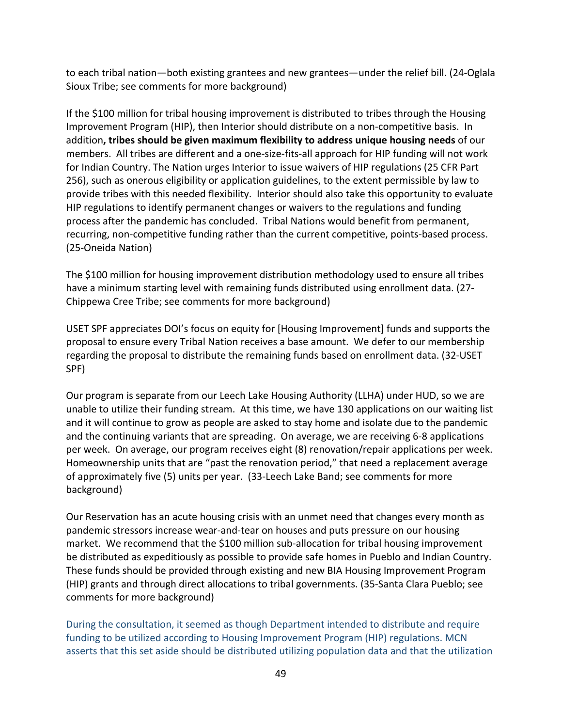to each tribal nation—both existing grantees and new grantees—under the relief bill. (24-Oglala Sioux Tribe; see comments for more background)

If the \$100 million for tribal housing improvement is distributed to tribes through the Housing Improvement Program (HIP), then Interior should distribute on a non-competitive basis. In addition**, tribes should be given maximum flexibility to address unique housing needs** of our members. All tribes are different and a one-size-fits-all approach for HIP funding will not work for Indian Country. The Nation urges Interior to issue waivers of HIP regulations (25 CFR Part 256), such as onerous eligibility or application guidelines, to the extent permissible by law to provide tribes with this needed flexibility. Interior should also take this opportunity to evaluate HIP regulations to identify permanent changes or waivers to the regulations and funding process after the pandemic has concluded. Tribal Nations would benefit from permanent, recurring, non-competitive funding rather than the current competitive, points-based process. (25-Oneida Nation)

The \$100 million for housing improvement distribution methodology used to ensure all tribes have a minimum starting level with remaining funds distributed using enrollment data. (27- Chippewa Cree Tribe; see comments for more background)

USET SPF appreciates DOI's focus on equity for [Housing Improvement] funds and supports the proposal to ensure every Tribal Nation receives a base amount. We defer to our membership regarding the proposal to distribute the remaining funds based on enrollment data. (32-USET SPF)

Our program is separate from our Leech Lake Housing Authority (LLHA) under HUD, so we are unable to utilize their funding stream. At this time, we have 130 applications on our waiting list and it will continue to grow as people are asked to stay home and isolate due to the pandemic and the continuing variants that are spreading. On average, we are receiving 6-8 applications per week. On average, our program receives eight (8) renovation/repair applications per week. Homeownership units that are "past the renovation period," that need a replacement average of approximately five (5) units per year. (33-Leech Lake Band; see comments for more background)

Our Reservation has an acute housing crisis with an unmet need that changes every month as pandemic stressors increase wear-and-tear on houses and puts pressure on our housing market. We recommend that the \$100 million sub-allocation for tribal housing improvement be distributed as expeditiously as possible to provide safe homes in Pueblo and Indian Country. These funds should be provided through existing and new BIA Housing Improvement Program (HIP) grants and through direct allocations to tribal governments. (35-Santa Clara Pueblo; see comments for more background)

During the consultation, it seemed as though Department intended to distribute and require funding to be utilized according to Housing Improvement Program (HIP) regulations. MCN asserts that this set aside should be distributed utilizing population data and that the utilization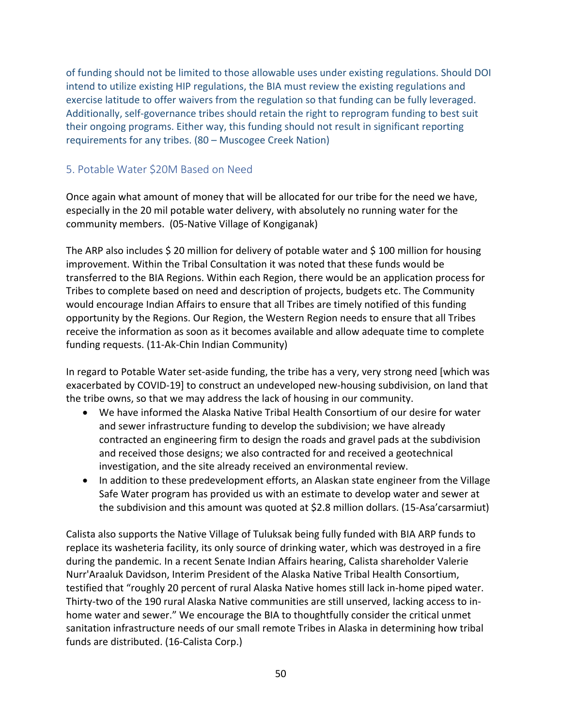of funding should not be limited to those allowable uses under existing regulations. Should DOI intend to utilize existing HIP regulations, the BIA must review the existing regulations and exercise latitude to offer waivers from the regulation so that funding can be fully leveraged. Additionally, self-governance tribes should retain the right to reprogram funding to best suit their ongoing programs. Either way, this funding should not result in significant reporting requirements for any tribes. (80 – Muscogee Creek Nation)

#### 5. Potable Water \$20M Based on Need

Once again what amount of money that will be allocated for our tribe for the need we have, especially in the 20 mil potable water delivery, with absolutely no running water for the community members. (05-Native Village of Kongiganak)

The ARP also includes \$ 20 million for delivery of potable water and \$ 100 million for housing improvement. Within the Tribal Consultation it was noted that these funds would be transferred to the BIA Regions. Within each Region, there would be an application process for Tribes to complete based on need and description of projects, budgets etc. The Community would encourage Indian Affairs to ensure that all Tribes are timely notified of this funding opportunity by the Regions. Our Region, the Western Region needs to ensure that all Tribes receive the information as soon as it becomes available and allow adequate time to complete funding requests. (11-Ak-Chin Indian Community)

In regard to Potable Water set-aside funding, the tribe has a very, very strong need [which was exacerbated by COVID-19] to construct an undeveloped new-housing subdivision, on land that the tribe owns, so that we may address the lack of housing in our community.

- We have informed the Alaska Native Tribal Health Consortium of our desire for water and sewer infrastructure funding to develop the subdivision; we have already contracted an engineering firm to design the roads and gravel pads at the subdivision and received those designs; we also contracted for and received a geotechnical investigation, and the site already received an environmental review.
- In addition to these predevelopment efforts, an Alaskan state engineer from the Village Safe Water program has provided us with an estimate to develop water and sewer at the subdivision and this amount was quoted at \$2.8 million dollars. (15-Asa'carsarmiut)

Calista also supports the Native Village of Tuluksak being fully funded with BIA ARP funds to replace its washeteria facility, its only source of drinking water, which was destroyed in a fire during the pandemic. In a recent Senate Indian Affairs hearing, Calista shareholder Valerie Nurr'Araaluk Davidson, Interim President of the Alaska Native Tribal Health Consortium, testified that "roughly 20 percent of rural Alaska Native homes still lack in-home piped water. Thirty-two of the 190 rural Alaska Native communities are still unserved, lacking access to inhome water and sewer." We encourage the BIA to thoughtfully consider the critical unmet sanitation infrastructure needs of our small remote Tribes in Alaska in determining how tribal funds are distributed. (16-Calista Corp.)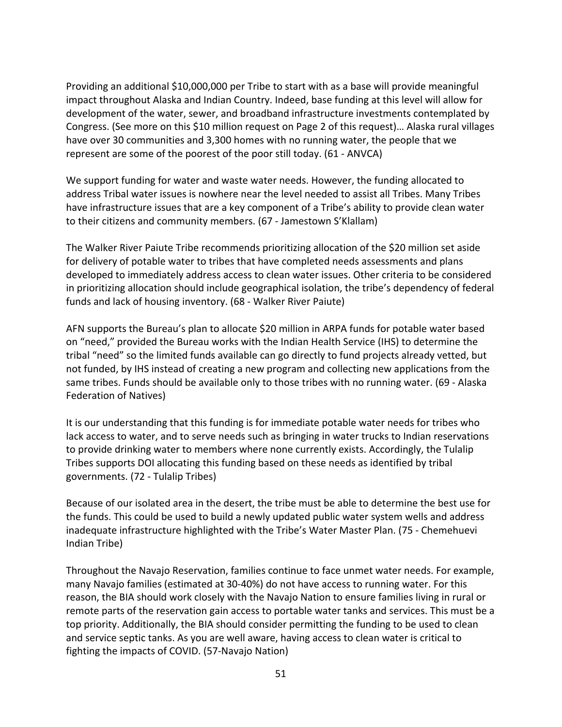Providing an additional \$10,000,000 per Tribe to start with as a base will provide meaningful impact throughout Alaska and Indian Country. Indeed, base funding at this level will allow for development of the water, sewer, and broadband infrastructure investments contemplated by Congress. (See more on this \$10 million request on Page 2 of this request)… Alaska rural villages have over 30 communities and 3,300 homes with no running water, the people that we represent are some of the poorest of the poor still today. (61 - ANVCA)

We support funding for water and waste water needs. However, the funding allocated to address Tribal water issues is nowhere near the level needed to assist all Tribes. Many Tribes have infrastructure issues that are a key component of a Tribe's ability to provide clean water to their citizens and community members. (67 - Jamestown S'Klallam)

The Walker River Paiute Tribe recommends prioritizing allocation of the \$20 million set aside for delivery of potable water to tribes that have completed needs assessments and plans developed to immediately address access to clean water issues. Other criteria to be considered in prioritizing allocation should include geographical isolation, the tribe's dependency of federal funds and lack of housing inventory. (68 - Walker River Paiute)

AFN supports the Bureau's plan to allocate \$20 million in ARPA funds for potable water based on "need," provided the Bureau works with the Indian Health Service (IHS) to determine the tribal "need" so the limited funds available can go directly to fund projects already vetted, but not funded, by IHS instead of creating a new program and collecting new applications from the same tribes. Funds should be available only to those tribes with no running water. (69 - Alaska Federation of Natives)

It is our understanding that this funding is for immediate potable water needs for tribes who lack access to water, and to serve needs such as bringing in water trucks to Indian reservations to provide drinking water to members where none currently exists. Accordingly, the Tulalip Tribes supports DOI allocating this funding based on these needs as identified by tribal governments. (72 - Tulalip Tribes)

Because of our isolated area in the desert, the tribe must be able to determine the best use for the funds. This could be used to build a newly updated public water system wells and address inadequate infrastructure highlighted with the Tribe's Water Master Plan. (75 - Chemehuevi Indian Tribe)

Throughout the Navajo Reservation, families continue to face unmet water needs. For example, many Navajo families (estimated at 30-40%) do not have access to running water. For this reason, the BIA should work closely with the Navajo Nation to ensure families living in rural or remote parts of the reservation gain access to portable water tanks and services. This must be a top priority. Additionally, the BIA should consider permitting the funding to be used to clean and service septic tanks. As you are well aware, having access to clean water is critical to fighting the impacts of COVID. (57-Navajo Nation)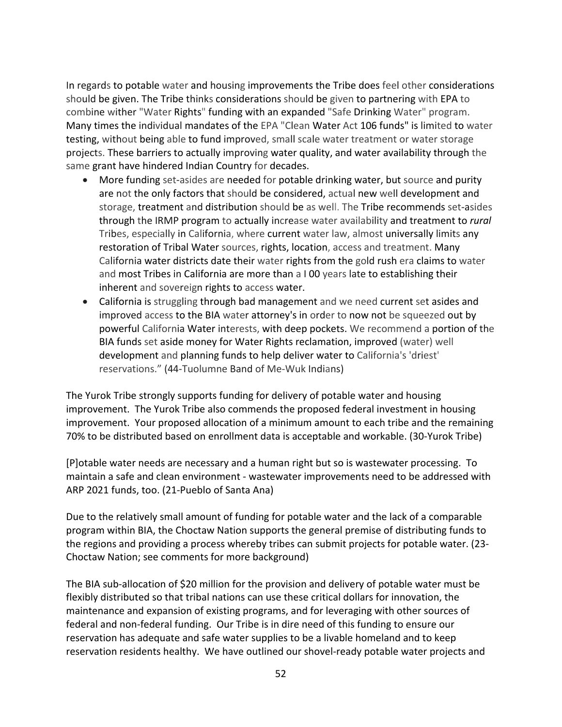In regards to potable water and housing improvements the Tribe does feel other considerations should be given. The Tribe thinks considerations should be given to partnering with EPA to combine wither "Water Rights" funding with an expanded "Safe Drinking Water" program. Many times the individual mandates of the EPA "Clean Water Act 106 funds" is limited to water testing, without being able to fund improved, small scale water treatment or water storage projects. These barriers to actually improving water quality, and water availability through the same grant have hindered Indian Country for decades.

- More funding set-asides are needed for potable drinking water, but source and purity are not the only factors that should be considered, actual new well development and storage, treatment and distribution should be as well. The Tribe recommends set-asides through the IRMP program to actually increase water availability and treatment to *rural*  Tribes, especially in California, where current water law, almost universally limits any restoration of Tribal Water sources, rights, location, access and treatment. Many California water districts date their water rights from the gold rush era claims to water and most Tribes in California are more than a I 00 years late to establishing their inherent and sovereign rights to access water.
- California is struggling through bad management and we need current set asides and improved access to the BIA water attorney's in order to now not be squeezed out by powerful California Water interests, with deep pockets. We recommend a portion of the BIA funds set aside money for Water Rights reclamation, improved (water) well development and planning funds to help deliver water to California's 'driest' reservations." (44-Tuolumne Band of Me-Wuk Indians)

The Yurok Tribe strongly supports funding for delivery of potable water and housing improvement. The Yurok Tribe also commends the proposed federal investment in housing improvement. Your proposed allocation of a minimum amount to each tribe and the remaining 70% to be distributed based on enrollment data is acceptable and workable. (30-Yurok Tribe)

[P]otable water needs are necessary and a human right but so is wastewater processing. To maintain a safe and clean environment - wastewater improvements need to be addressed with ARP 2021 funds, too. (21-Pueblo of Santa Ana)

Due to the relatively small amount of funding for potable water and the lack of a comparable program within BIA, the Choctaw Nation supports the general premise of distributing funds to the regions and providing a process whereby tribes can submit projects for potable water. (23- Choctaw Nation; see comments for more background)

The BIA sub-allocation of \$20 million for the provision and delivery of potable water must be flexibly distributed so that tribal nations can use these critical dollars for innovation, the maintenance and expansion of existing programs, and for leveraging with other sources of federal and non-federal funding. Our Tribe is in dire need of this funding to ensure our reservation has adequate and safe water supplies to be a livable homeland and to keep reservation residents healthy. We have outlined our shovel-ready potable water projects and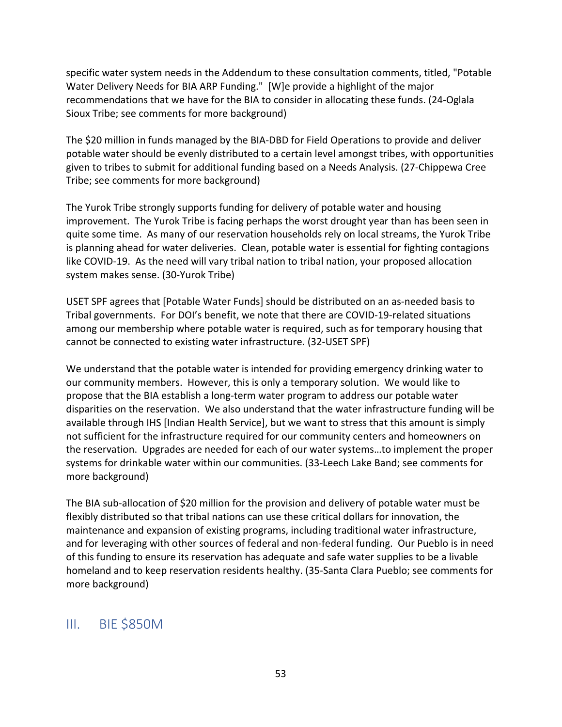specific water system needs in the Addendum to these consultation comments, titled, "Potable Water Delivery Needs for BIA ARP Funding." [W]e provide a highlight of the major recommendations that we have for the BIA to consider in allocating these funds. (24-Oglala Sioux Tribe; see comments for more background)

The \$20 million in funds managed by the BIA-DBD for Field Operations to provide and deliver potable water should be evenly distributed to a certain level amongst tribes, with opportunities given to tribes to submit for additional funding based on a Needs Analysis. (27-Chippewa Cree Tribe; see comments for more background)

The Yurok Tribe strongly supports funding for delivery of potable water and housing improvement. The Yurok Tribe is facing perhaps the worst drought year than has been seen in quite some time. As many of our reservation households rely on local streams, the Yurok Tribe is planning ahead for water deliveries. Clean, potable water is essential for fighting contagions like COVID-19. As the need will vary tribal nation to tribal nation, your proposed allocation system makes sense. (30-Yurok Tribe)

USET SPF agrees that [Potable Water Funds] should be distributed on an as-needed basis to Tribal governments. For DOI's benefit, we note that there are COVID-19-related situations among our membership where potable water is required, such as for temporary housing that cannot be connected to existing water infrastructure. (32-USET SPF)

We understand that the potable water is intended for providing emergency drinking water to our community members. However, this is only a temporary solution. We would like to propose that the BIA establish a long-term water program to address our potable water disparities on the reservation. We also understand that the water infrastructure funding will be available through IHS [Indian Health Service], but we want to stress that this amount is simply not sufficient for the infrastructure required for our community centers and homeowners on the reservation. Upgrades are needed for each of our water systems…to implement the proper systems for drinkable water within our communities. (33-Leech Lake Band; see comments for more background)

The BIA sub-allocation of \$20 million for the provision and delivery of potable water must be flexibly distributed so that tribal nations can use these critical dollars for innovation, the maintenance and expansion of existing programs, including traditional water infrastructure, and for leveraging with other sources of federal and non-federal funding. Our Pueblo is in need of this funding to ensure its reservation has adequate and safe water supplies to be a livable homeland and to keep reservation residents healthy. (35-Santa Clara Pueblo; see comments for more background)

# III. BIE \$850M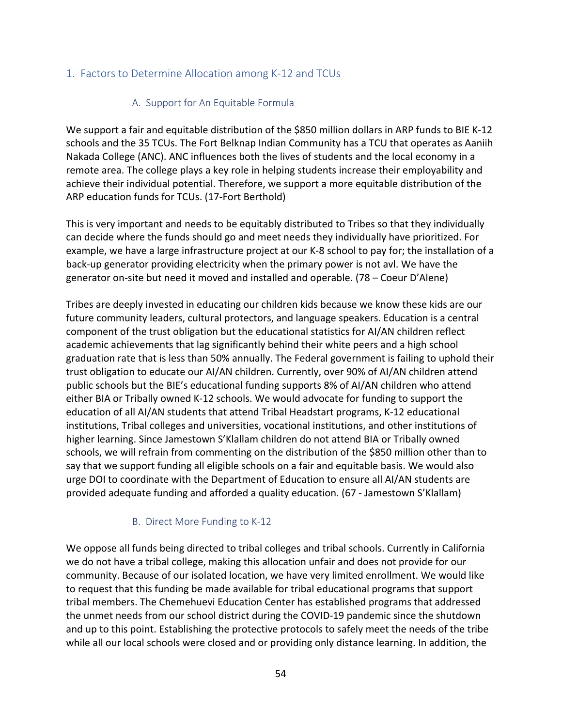## 1. Factors to Determine Allocation among K-12 and TCUs

## A. Support for An Equitable Formula

We support a fair and equitable distribution of the \$850 million dollars in ARP funds to BIE K-12 schools and the 35 TCUs. The Fort Belknap Indian Community has a TCU that operates as Aaniih Nakada College (ANC). ANC influences both the lives of students and the local economy in a remote area. The college plays a key role in helping students increase their employability and achieve their individual potential. Therefore, we support a more equitable distribution of the ARP education funds for TCUs. (17-Fort Berthold)

This is very important and needs to be equitably distributed to Tribes so that they individually can decide where the funds should go and meet needs they individually have prioritized. For example, we have a large infrastructure project at our K-8 school to pay for; the installation of a back-up generator providing electricity when the primary power is not avl. We have the generator on-site but need it moved and installed and operable. (78 – Coeur D'Alene)

Tribes are deeply invested in educating our children kids because we know these kids are our future community leaders, cultural protectors, and language speakers. Education is a central component of the trust obligation but the educational statistics for AI/AN children reflect academic achievements that lag significantly behind their white peers and a high school graduation rate that is less than 50% annually. The Federal government is failing to uphold their trust obligation to educate our AI/AN children. Currently, over 90% of AI/AN children attend public schools but the BIE's educational funding supports 8% of AI/AN children who attend either BIA or Tribally owned K-12 schools. We would advocate for funding to support the education of all AI/AN students that attend Tribal Headstart programs, K-12 educational institutions, Tribal colleges and universities, vocational institutions, and other institutions of higher learning. Since Jamestown S'Klallam children do not attend BIA or Tribally owned schools, we will refrain from commenting on the distribution of the \$850 million other than to say that we support funding all eligible schools on a fair and equitable basis. We would also urge DOI to coordinate with the Department of Education to ensure all AI/AN students are provided adequate funding and afforded a quality education. (67 - Jamestown S'Klallam)

#### B. Direct More Funding to K-12

We oppose all funds being directed to tribal colleges and tribal schools. Currently in California we do not have a tribal college, making this allocation unfair and does not provide for our community. Because of our isolated location, we have very limited enrollment. We would like to request that this funding be made available for tribal educational programs that support tribal members. The Chemehuevi Education Center has established programs that addressed the unmet needs from our school district during the COVID-19 pandemic since the shutdown and up to this point. Establishing the protective protocols to safely meet the needs of the tribe while all our local schools were closed and or providing only distance learning. In addition, the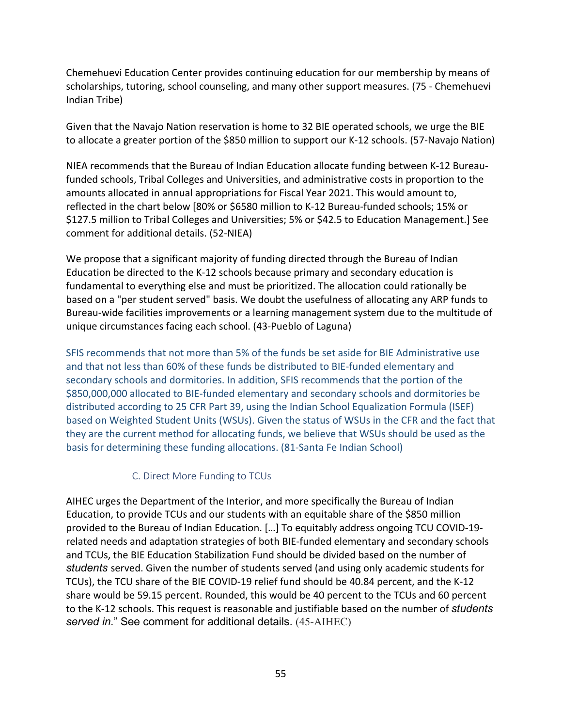Chemehuevi Education Center provides continuing education for our membership by means of scholarships, tutoring, school counseling, and many other support measures. (75 - Chemehuevi Indian Tribe)

Given that the Navajo Nation reservation is home to 32 BIE operated schools, we urge the BIE to allocate a greater portion of the \$850 million to support our K-12 schools. (57-Navajo Nation)

NIEA recommends that the Bureau of Indian Education allocate funding between K-12 Bureaufunded schools, Tribal Colleges and Universities, and administrative costs in proportion to the amounts allocated in annual appropriations for Fiscal Year 2021. This would amount to, reflected in the chart below [80% or \$6580 million to K-12 Bureau-funded schools; 15% or \$127.5 million to Tribal Colleges and Universities; 5% or \$42.5 to Education Management.] See comment for additional details. (52-NIEA)

We propose that a significant majority of funding directed through the Bureau of Indian Education be directed to the K-12 schools because primary and secondary education is fundamental to everything else and must be prioritized. The allocation could rationally be based on a "per student served" basis. We doubt the usefulness of allocating any ARP funds to Bureau-wide facilities improvements or a learning management system due to the multitude of unique circumstances facing each school. (43-Pueblo of Laguna)

SFIS recommends that not more than 5% of the funds be set aside for BIE Administrative use and that not less than 60% of these funds be distributed to BIE-funded elementary and secondary schools and dormitories. In addition, SFIS recommends that the portion of the \$850,000,000 allocated to BIE-funded elementary and secondary schools and dormitories be distributed according to 25 CFR Part 39, using the Indian School Equalization Formula (ISEF) based on Weighted Student Units (WSUs). Given the status of WSUs in the CFR and the fact that they are the current method for allocating funds, we believe that WSUs should be used as the basis for determining these funding allocations. (81-Santa Fe Indian School)

#### C. Direct More Funding to TCUs

AIHEC urges the Department of the Interior, and more specifically the Bureau of Indian Education, to provide TCUs and our students with an equitable share of the \$850 million provided to the Bureau of Indian Education. […] To equitably address ongoing TCU COVID-19 related needs and adaptation strategies of both BIE-funded elementary and secondary schools and TCUs, the BIE Education Stabilization Fund should be divided based on the number of *students* served. Given the number of students served (and using only academic students for TCUs), the TCU share of the BIE COVID-19 relief fund should be 40.84 percent, and the K-12 share would be 59.15 percent. Rounded, this would be 40 percent to the TCUs and 60 percent to the K-12 schools. This request is reasonable and justifiable based on the number of *students served in.*" See comment for additional details. (45-AIHEC)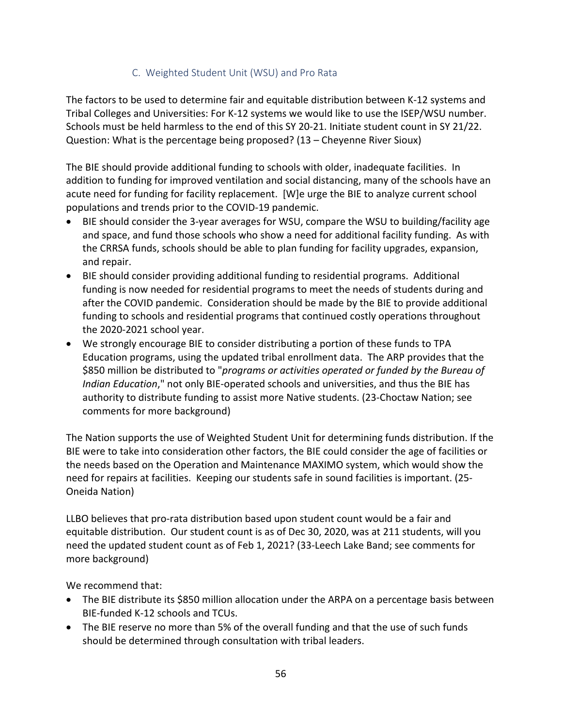## C. Weighted Student Unit (WSU) and Pro Rata

The factors to be used to determine fair and equitable distribution between K-12 systems and Tribal Colleges and Universities: For K-12 systems we would like to use the ISEP/WSU number. Schools must be held harmless to the end of this SY 20-21. Initiate student count in SY 21/22. Question: What is the percentage being proposed? (13 – Cheyenne River Sioux)

The BIE should provide additional funding to schools with older, inadequate facilities. In addition to funding for improved ventilation and social distancing, many of the schools have an acute need for funding for facility replacement. [W]e urge the BIE to analyze current school populations and trends prior to the COVID-19 pandemic.

- BIE should consider the 3-year averages for WSU, compare the WSU to building/facility age and space, and fund those schools who show a need for additional facility funding. As with the CRRSA funds, schools should be able to plan funding for facility upgrades, expansion, and repair.
- BIE should consider providing additional funding to residential programs. Additional funding is now needed for residential programs to meet the needs of students during and after the COVID pandemic. Consideration should be made by the BIE to provide additional funding to schools and residential programs that continued costly operations throughout the 2020-2021 school year.
- We strongly encourage BIE to consider distributing a portion of these funds to TPA Education programs, using the updated tribal enrollment data. The ARP provides that the \$850 million be distributed to "*programs or activities operated or funded by the Bureau of Indian Education*," not only BIE-operated schools and universities, and thus the BIE has authority to distribute funding to assist more Native students. (23-Choctaw Nation; see comments for more background)

The Nation supports the use of Weighted Student Unit for determining funds distribution. If the BIE were to take into consideration other factors, the BIE could consider the age of facilities or the needs based on the Operation and Maintenance MAXIMO system, which would show the need for repairs at facilities. Keeping our students safe in sound facilities is important. (25- Oneida Nation)

LLBO believes that pro-rata distribution based upon student count would be a fair and equitable distribution. Our student count is as of Dec 30, 2020, was at 211 students, will you need the updated student count as of Feb 1, 2021? (33-Leech Lake Band; see comments for more background)

We recommend that:

- The BIE distribute its \$850 million allocation under the ARPA on a percentage basis between BIE-funded K-12 schools and TCUs.
- The BIE reserve no more than 5% of the overall funding and that the use of such funds should be determined through consultation with tribal leaders.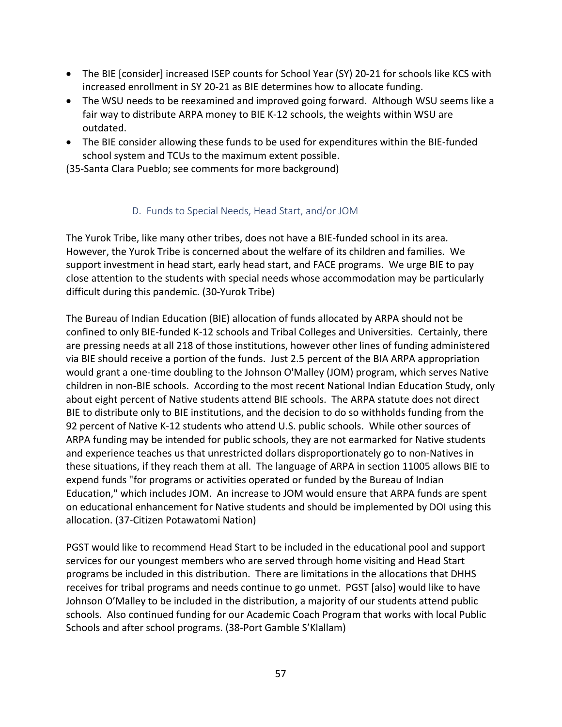- The BIE [consider] increased ISEP counts for School Year (SY) 20-21 for schools like KCS with increased enrollment in SY 20-21 as BIE determines how to allocate funding.
- The WSU needs to be reexamined and improved going forward. Although WSU seems like a fair way to distribute ARPA money to BIE K-12 schools, the weights within WSU are outdated.
- The BIE consider allowing these funds to be used for expenditures within the BIE-funded school system and TCUs to the maximum extent possible.

(35-Santa Clara Pueblo; see comments for more background)

### D. Funds to Special Needs, Head Start, and/or JOM

The Yurok Tribe, like many other tribes, does not have a BIE-funded school in its area. However, the Yurok Tribe is concerned about the welfare of its children and families. We support investment in head start, early head start, and FACE programs. We urge BIE to pay close attention to the students with special needs whose accommodation may be particularly difficult during this pandemic. (30-Yurok Tribe)

The Bureau of Indian Education (BIE) allocation of funds allocated by ARPA should not be confined to only BIE-funded K-12 schools and Tribal Colleges and Universities. Certainly, there are pressing needs at all 218 of those institutions, however other lines of funding administered via BIE should receive a portion of the funds. Just 2.5 percent of the BIA ARPA appropriation would grant a one-time doubling to the Johnson O'Malley (JOM) program, which serves Native children in non-BIE schools. According to the most recent National Indian Education Study, only about eight percent of Native students attend BIE schools. The ARPA statute does not direct BIE to distribute only to BIE institutions, and the decision to do so withholds funding from the 92 percent of Native K-12 students who attend U.S. public schools. While other sources of ARPA funding may be intended for public schools, they are not earmarked for Native students and experience teaches us that unrestricted dollars disproportionately go to non-Natives in these situations, if they reach them at all. The language of ARPA in section 11005 allows BIE to expend funds "for programs or activities operated or funded by the Bureau of Indian Education," which includes JOM. An increase to JOM would ensure that ARPA funds are spent on educational enhancement for Native students and should be implemented by DOI using this allocation. (37-Citizen Potawatomi Nation)

PGST would like to recommend Head Start to be included in the educational pool and support services for our youngest members who are served through home visiting and Head Start programs be included in this distribution. There are limitations in the allocations that DHHS receives for tribal programs and needs continue to go unmet. PGST [also] would like to have Johnson O'Malley to be included in the distribution, a majority of our students attend public schools. Also continued funding for our Academic Coach Program that works with local Public Schools and after school programs. (38-Port Gamble S'Klallam)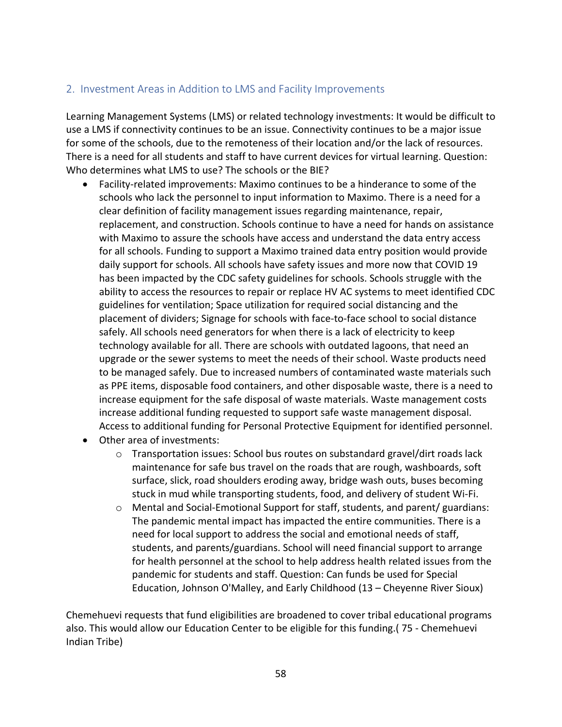### 2. Investment Areas in Addition to LMS and Facility Improvements

Learning Management Systems (LMS) or related technology investments: It would be difficult to use a LMS if connectivity continues to be an issue. Connectivity continues to be a major issue for some of the schools, due to the remoteness of their location and/or the lack of resources. There is a need for all students and staff to have current devices for virtual learning. Question: Who determines what LMS to use? The schools or the BIE?

- Facility-related improvements: Maximo continues to be a hinderance to some of the schools who lack the personnel to input information to Maximo. There is a need for a clear definition of facility management issues regarding maintenance, repair, replacement, and construction. Schools continue to have a need for hands on assistance with Maximo to assure the schools have access and understand the data entry access for all schools. Funding to support a Maximo trained data entry position would provide daily support for schools. All schools have safety issues and more now that COVID 19 has been impacted by the CDC safety guidelines for schools. Schools struggle with the ability to access the resources to repair or replace HV AC systems to meet identified CDC guidelines for ventilation; Space utilization for required social distancing and the placement of dividers; Signage for schools with face-to-face school to social distance safely. All schools need generators for when there is a lack of electricity to keep technology available for all. There are schools with outdated lagoons, that need an upgrade or the sewer systems to meet the needs of their school. Waste products need to be managed safely. Due to increased numbers of contaminated waste materials such as PPE items, disposable food containers, and other disposable waste, there is a need to increase equipment for the safe disposal of waste materials. Waste management costs increase additional funding requested to support safe waste management disposal. Access to additional funding for Personal Protective Equipment for identified personnel.
- Other area of investments:
	- o Transportation issues: School bus routes on substandard gravel/dirt roads lack maintenance for safe bus travel on the roads that are rough, washboards, soft surface, slick, road shoulders eroding away, bridge wash outs, buses becoming stuck in mud while transporting students, food, and delivery of student Wi-Fi.
	- o Mental and Social-Emotional Support for staff, students, and parent/ guardians: The pandemic mental impact has impacted the entire communities. There is a need for local support to address the social and emotional needs of staff, students, and parents/guardians. School will need financial support to arrange for health personnel at the school to help address health related issues from the pandemic for students and staff. Question: Can funds be used for Special Education, Johnson O'Malley, and Early Childhood (13 – Cheyenne River Sioux)

Chemehuevi requests that fund eligibilities are broadened to cover tribal educational programs also. This would allow our Education Center to be eligible for this funding.( 75 - Chemehuevi Indian Tribe)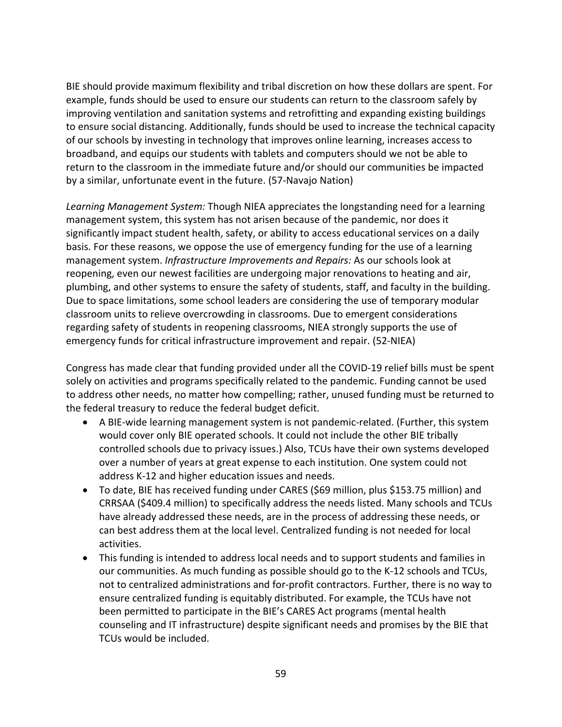BIE should provide maximum flexibility and tribal discretion on how these dollars are spent. For example, funds should be used to ensure our students can return to the classroom safely by improving ventilation and sanitation systems and retrofitting and expanding existing buildings to ensure social distancing. Additionally, funds should be used to increase the technical capacity of our schools by investing in technology that improves online learning, increases access to broadband, and equips our students with tablets and computers should we not be able to return to the classroom in the immediate future and/or should our communities be impacted by a similar, unfortunate event in the future. (57-Navajo Nation)

*Learning Management System:* Though NIEA appreciates the longstanding need for a learning management system, this system has not arisen because of the pandemic, nor does it significantly impact student health, safety, or ability to access educational services on a daily basis. For these reasons, we oppose the use of emergency funding for the use of a learning management system. *Infrastructure Improvements and Repairs:* As our schools look at reopening, even our newest facilities are undergoing major renovations to heating and air, plumbing, and other systems to ensure the safety of students, staff, and faculty in the building. Due to space limitations, some school leaders are considering the use of temporary modular classroom units to relieve overcrowding in classrooms. Due to emergent considerations regarding safety of students in reopening classrooms, NIEA strongly supports the use of emergency funds for critical infrastructure improvement and repair. (52-NIEA)

Congress has made clear that funding provided under all the COVID-19 relief bills must be spent solely on activities and programs specifically related to the pandemic. Funding cannot be used to address other needs, no matter how compelling; rather, unused funding must be returned to the federal treasury to reduce the federal budget deficit.

- A BIE-wide learning management system is not pandemic-related. (Further, this system would cover only BIE operated schools. It could not include the other BIE tribally controlled schools due to privacy issues.) Also, TCUs have their own systems developed over a number of years at great expense to each institution. One system could not address K-12 and higher education issues and needs.
- To date, BIE has received funding under CARES (\$69 million, plus \$153.75 million) and CRRSAA (\$409.4 million) to specifically address the needs listed. Many schools and TCUs have already addressed these needs, are in the process of addressing these needs, or can best address them at the local level. Centralized funding is not needed for local activities.
- This funding is intended to address local needs and to support students and families in our communities. As much funding as possible should go to the K-12 schools and TCUs, not to centralized administrations and for-profit contractors. Further, there is no way to ensure centralized funding is equitably distributed. For example, the TCUs have not been permitted to participate in the BIE's CARES Act programs (mental health counseling and IT infrastructure) despite significant needs and promises by the BIE that TCUs would be included.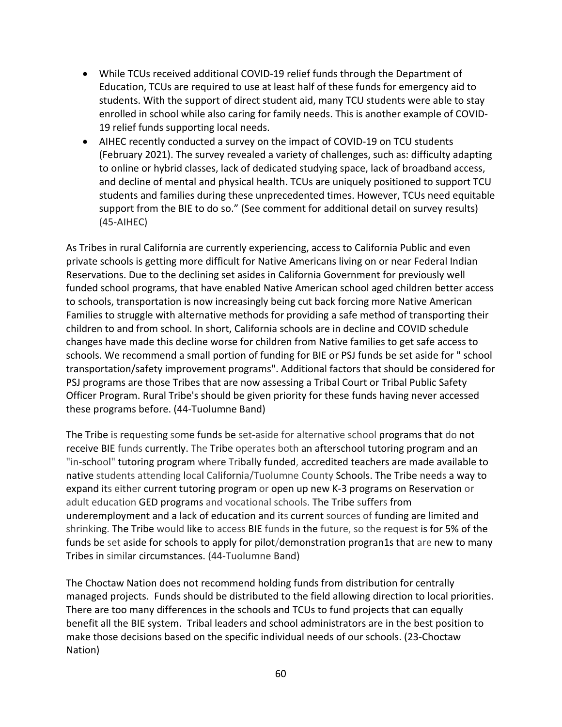- While TCUs received additional COVID-19 relief funds through the Department of Education, TCUs are required to use at least half of these funds for emergency aid to students. With the support of direct student aid, many TCU students were able to stay enrolled in school while also caring for family needs. This is another example of COVID-19 relief funds supporting local needs.
- AIHEC recently conducted a survey on the impact of COVID-19 on TCU students (February 2021). The survey revealed a variety of challenges, such as: difficulty adapting to online or hybrid classes, lack of dedicated studying space, lack of broadband access, and decline of mental and physical health. TCUs are uniquely positioned to support TCU students and families during these unprecedented times. However, TCUs need equitable support from the BIE to do so." (See comment for additional detail on survey results) (45-AIHEC)

As Tribes in rural California are currently experiencing, access to California Public and even private schools is getting more difficult for Native Americans living on or near Federal Indian Reservations. Due to the declining set asides in California Government for previously well funded school programs, that have enabled Native American school aged children better access to schools, transportation is now increasingly being cut back forcing more Native American Families to struggle with alternative methods for providing a safe method of transporting their children to and from school. In short, California schools are in decline and COVID schedule changes have made this decline worse for children from Native families to get safe access to schools. We recommend a small portion of funding for BIE or PSJ funds be set aside for " school transportation/safety improvement programs". Additional factors that should be considered for PSJ programs are those Tribes that are now assessing a Tribal Court or Tribal Public Safety Officer Program. Rural Tribe's should be given priority for these funds having never accessed these programs before. (44-Tuolumne Band)

The Tribe is requesting some funds be set-aside for alternative school programs that do not receive BIE funds currently. The Tribe operates both an afterschool tutoring program and an "in-school" tutoring program where Tribally funded, accredited teachers are made available to native students attending local California/Tuolumne County Schools. The Tribe needs a way to expand its either current tutoring program or open up new K-3 programs on Reservation or adult education GED programs and vocational schools. The Tribe suffers from underemployment and a lack of education and its current sources of funding are limited and shrinking. The Tribe would like to access BIE funds in the future, so the request is for 5% of the funds be set aside for schools to apply for pilot/demonstration progran1s that are new to many Tribes in similar circumstances. (44-Tuolumne Band)

The Choctaw Nation does not recommend holding funds from distribution for centrally managed projects. Funds should be distributed to the field allowing direction to local priorities. There are too many differences in the schools and TCUs to fund projects that can equally benefit all the BIE system. Tribal leaders and school administrators are in the best position to make those decisions based on the specific individual needs of our schools. (23-Choctaw Nation)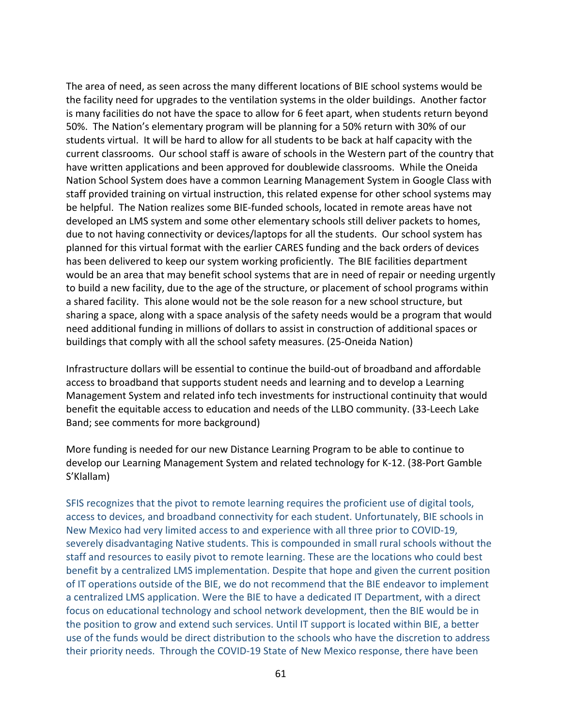The area of need, as seen across the many different locations of BIE school systems would be the facility need for upgrades to the ventilation systems in the older buildings. Another factor is many facilities do not have the space to allow for 6 feet apart, when students return beyond 50%. The Nation's elementary program will be planning for a 50% return with 30% of our students virtual. It will be hard to allow for all students to be back at half capacity with the current classrooms. Our school staff is aware of schools in the Western part of the country that have written applications and been approved for doublewide classrooms. While the Oneida Nation School System does have a common Learning Management System in Google Class with staff provided training on virtual instruction, this related expense for other school systems may be helpful. The Nation realizes some BIE-funded schools, located in remote areas have not developed an LMS system and some other elementary schools still deliver packets to homes, due to not having connectivity or devices/laptops for all the students. Our school system has planned for this virtual format with the earlier CARES funding and the back orders of devices has been delivered to keep our system working proficiently. The BIE facilities department would be an area that may benefit school systems that are in need of repair or needing urgently to build a new facility, due to the age of the structure, or placement of school programs within a shared facility. This alone would not be the sole reason for a new school structure, but sharing a space, along with a space analysis of the safety needs would be a program that would need additional funding in millions of dollars to assist in construction of additional spaces or buildings that comply with all the school safety measures. (25-Oneida Nation)

Infrastructure dollars will be essential to continue the build-out of broadband and affordable access to broadband that supports student needs and learning and to develop a Learning Management System and related info tech investments for instructional continuity that would benefit the equitable access to education and needs of the LLBO community. (33-Leech Lake Band; see comments for more background)

More funding is needed for our new Distance Learning Program to be able to continue to develop our Learning Management System and related technology for K-12. (38-Port Gamble S'Klallam)

SFIS recognizes that the pivot to remote learning requires the proficient use of digital tools, access to devices, and broadband connectivity for each student. Unfortunately, BIE schools in New Mexico had very limited access to and experience with all three prior to COVID-19, severely disadvantaging Native students. This is compounded in small rural schools without the staff and resources to easily pivot to remote learning. These are the locations who could best benefit by a centralized LMS implementation. Despite that hope and given the current position of IT operations outside of the BIE, we do not recommend that the BIE endeavor to implement a centralized LMS application. Were the BIE to have a dedicated IT Department, with a direct focus on educational technology and school network development, then the BIE would be in the position to grow and extend such services. Until IT support is located within BIE, a better use of the funds would be direct distribution to the schools who have the discretion to address their priority needs. Through the COVID-19 State of New Mexico response, there have been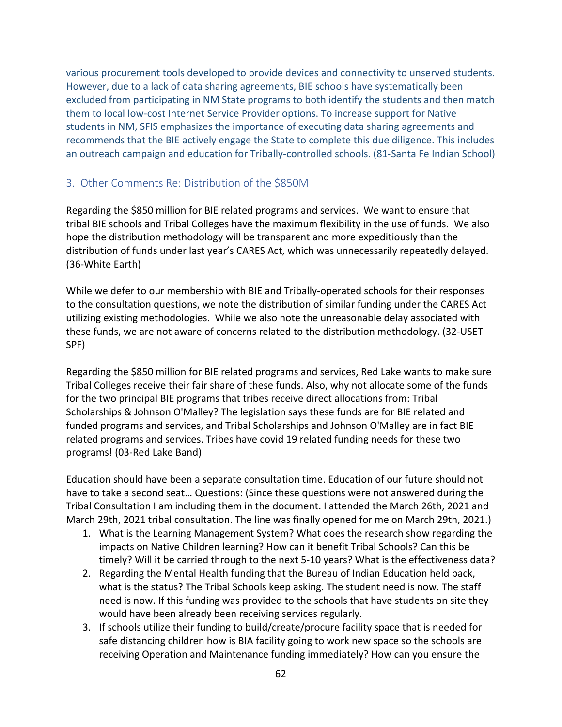various procurement tools developed to provide devices and connectivity to unserved students. However, due to a lack of data sharing agreements, BIE schools have systematically been excluded from participating in NM State programs to both identify the students and then match them to local low-cost Internet Service Provider options. To increase support for Native students in NM, SFIS emphasizes the importance of executing data sharing agreements and recommends that the BIE actively engage the State to complete this due diligence. This includes an outreach campaign and education for Tribally-controlled schools. (81-Santa Fe Indian School)

### 3. Other Comments Re: Distribution of the \$850M

Regarding the \$850 million for BIE related programs and services. We want to ensure that tribal BIE schools and Tribal Colleges have the maximum flexibility in the use of funds. We also hope the distribution methodology will be transparent and more expeditiously than the distribution of funds under last year's CARES Act, which was unnecessarily repeatedly delayed. (36-White Earth)

While we defer to our membership with BIE and Tribally-operated schools for their responses to the consultation questions, we note the distribution of similar funding under the CARES Act utilizing existing methodologies. While we also note the unreasonable delay associated with these funds, we are not aware of concerns related to the distribution methodology. (32-USET SPF)

Regarding the \$850 million for BIE related programs and services, Red Lake wants to make sure Tribal Colleges receive their fair share of these funds. Also, why not allocate some of the funds for the two principal BIE programs that tribes receive direct allocations from: Tribal Scholarships & Johnson O'Malley? The legislation says these funds are for BIE related and funded programs and services, and Tribal Scholarships and Johnson O'Malley are in fact BIE related programs and services. Tribes have covid 19 related funding needs for these two programs! (03-Red Lake Band)

Education should have been a separate consultation time. Education of our future should not have to take a second seat… Questions: (Since these questions were not answered during the Tribal Consultation I am including them in the document. I attended the March 26th, 2021 and March 29th, 2021 tribal consultation. The line was finally opened for me on March 29th, 2021.)

- 1. What is the Learning Management System? What does the research show regarding the impacts on Native Children learning? How can it benefit Tribal Schools? Can this be timely? Will it be carried through to the next 5-10 years? What is the effectiveness data?
- 2. Regarding the Mental Health funding that the Bureau of Indian Education held back, what is the status? The Tribal Schools keep asking. The student need is now. The staff need is now. If this funding was provided to the schools that have students on site they would have been already been receiving services regularly.
- 3. If schools utilize their funding to build/create/procure facility space that is needed for safe distancing children how is BIA facility going to work new space so the schools are receiving Operation and Maintenance funding immediately? How can you ensure the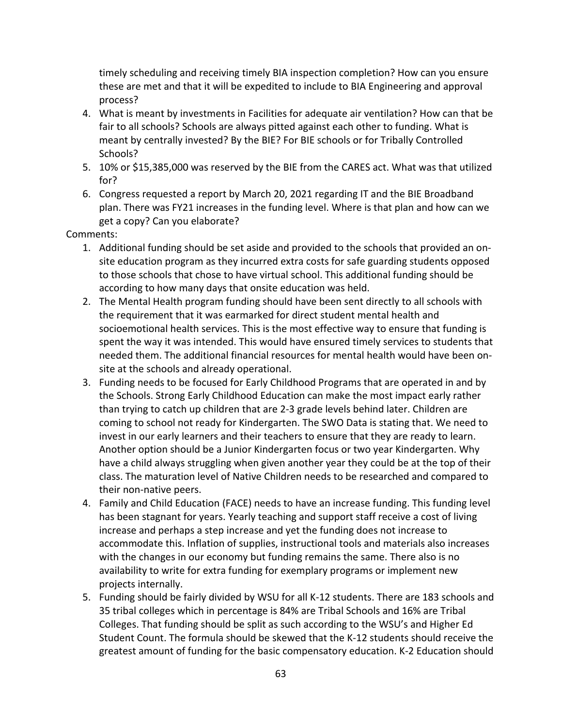timely scheduling and receiving timely BIA inspection completion? How can you ensure these are met and that it will be expedited to include to BIA Engineering and approval process?

- 4. What is meant by investments in Facilities for adequate air ventilation? How can that be fair to all schools? Schools are always pitted against each other to funding. What is meant by centrally invested? By the BIE? For BIE schools or for Tribally Controlled Schools?
- 5. 10% or \$15,385,000 was reserved by the BIE from the CARES act. What was that utilized for?
- 6. Congress requested a report by March 20, 2021 regarding IT and the BIE Broadband plan. There was FY21 increases in the funding level. Where is that plan and how can we get a copy? Can you elaborate?

#### Comments:

- 1. Additional funding should be set aside and provided to the schools that provided an onsite education program as they incurred extra costs for safe guarding students opposed to those schools that chose to have virtual school. This additional funding should be according to how many days that onsite education was held.
- 2. The Mental Health program funding should have been sent directly to all schools with the requirement that it was earmarked for direct student mental health and socioemotional health services. This is the most effective way to ensure that funding is spent the way it was intended. This would have ensured timely services to students that needed them. The additional financial resources for mental health would have been onsite at the schools and already operational.
- 3. Funding needs to be focused for Early Childhood Programs that are operated in and by the Schools. Strong Early Childhood Education can make the most impact early rather than trying to catch up children that are 2-3 grade levels behind later. Children are coming to school not ready for Kindergarten. The SWO Data is stating that. We need to invest in our early learners and their teachers to ensure that they are ready to learn. Another option should be a Junior Kindergarten focus or two year Kindergarten. Why have a child always struggling when given another year they could be at the top of their class. The maturation level of Native Children needs to be researched and compared to their non-native peers.
- 4. Family and Child Education (FACE) needs to have an increase funding. This funding level has been stagnant for years. Yearly teaching and support staff receive a cost of living increase and perhaps a step increase and yet the funding does not increase to accommodate this. Inflation of supplies, instructional tools and materials also increases with the changes in our economy but funding remains the same. There also is no availability to write for extra funding for exemplary programs or implement new projects internally.
- 5. Funding should be fairly divided by WSU for all K-12 students. There are 183 schools and 35 tribal colleges which in percentage is 84% are Tribal Schools and 16% are Tribal Colleges. That funding should be split as such according to the WSU's and Higher Ed Student Count. The formula should be skewed that the K-12 students should receive the greatest amount of funding for the basic compensatory education. K-2 Education should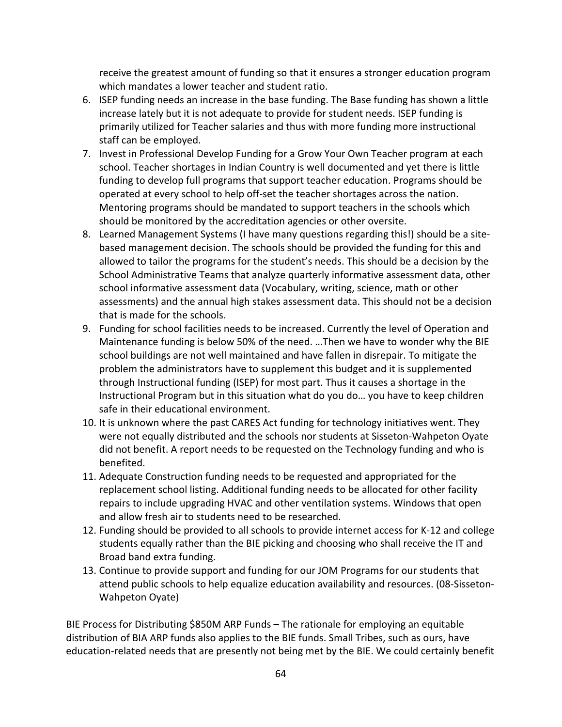receive the greatest amount of funding so that it ensures a stronger education program which mandates a lower teacher and student ratio.

- 6. ISEP funding needs an increase in the base funding. The Base funding has shown a little increase lately but it is not adequate to provide for student needs. ISEP funding is primarily utilized for Teacher salaries and thus with more funding more instructional staff can be employed.
- 7. Invest in Professional Develop Funding for a Grow Your Own Teacher program at each school. Teacher shortages in Indian Country is well documented and yet there is little funding to develop full programs that support teacher education. Programs should be operated at every school to help off-set the teacher shortages across the nation. Mentoring programs should be mandated to support teachers in the schools which should be monitored by the accreditation agencies or other oversite.
- 8. Learned Management Systems (I have many questions regarding this!) should be a sitebased management decision. The schools should be provided the funding for this and allowed to tailor the programs for the student's needs. This should be a decision by the School Administrative Teams that analyze quarterly informative assessment data, other school informative assessment data (Vocabulary, writing, science, math or other assessments) and the annual high stakes assessment data. This should not be a decision that is made for the schools.
- 9. Funding for school facilities needs to be increased. Currently the level of Operation and Maintenance funding is below 50% of the need. …Then we have to wonder why the BIE school buildings are not well maintained and have fallen in disrepair. To mitigate the problem the administrators have to supplement this budget and it is supplemented through Instructional funding (ISEP) for most part. Thus it causes a shortage in the Instructional Program but in this situation what do you do… you have to keep children safe in their educational environment.
- 10. It is unknown where the past CARES Act funding for technology initiatives went. They were not equally distributed and the schools nor students at Sisseton-Wahpeton Oyate did not benefit. A report needs to be requested on the Technology funding and who is benefited.
- 11. Adequate Construction funding needs to be requested and appropriated for the replacement school listing. Additional funding needs to be allocated for other facility repairs to include upgrading HVAC and other ventilation systems. Windows that open and allow fresh air to students need to be researched.
- 12. Funding should be provided to all schools to provide internet access for K-12 and college students equally rather than the BIE picking and choosing who shall receive the IT and Broad band extra funding.
- 13. Continue to provide support and funding for our JOM Programs for our students that attend public schools to help equalize education availability and resources. (08-Sisseton-Wahpeton Oyate)

BIE Process for Distributing \$850M ARP Funds – The rationale for employing an equitable distribution of BIA ARP funds also applies to the BIE funds. Small Tribes, such as ours, have education-related needs that are presently not being met by the BIE. We could certainly benefit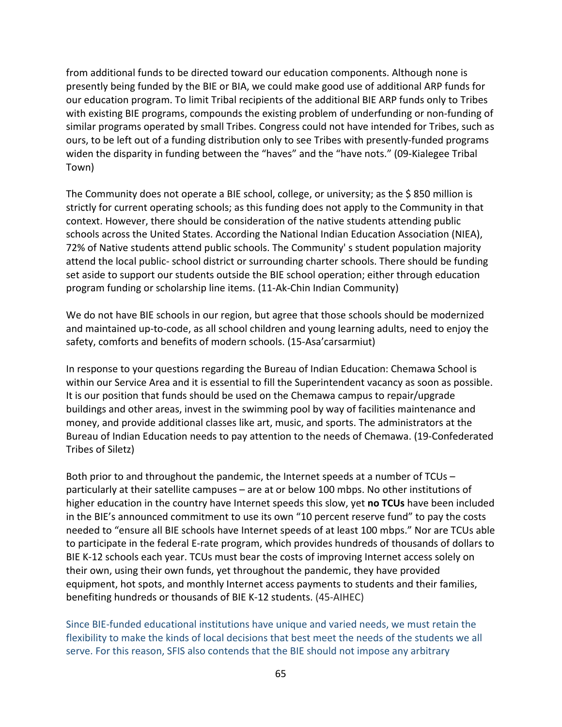from additional funds to be directed toward our education components. Although none is presently being funded by the BIE or BIA, we could make good use of additional ARP funds for our education program. To limit Tribal recipients of the additional BIE ARP funds only to Tribes with existing BIE programs, compounds the existing problem of underfunding or non-funding of similar programs operated by small Tribes. Congress could not have intended for Tribes, such as ours, to be left out of a funding distribution only to see Tribes with presently-funded programs widen the disparity in funding between the "haves" and the "have nots." (09-Kialegee Tribal Town)

The Community does not operate a BIE school, college, or university; as the \$ 850 million is strictly for current operating schools; as this funding does not apply to the Community in that context. However, there should be consideration of the native students attending public schools across the United States. According the National Indian Education Association (NIEA), 72% of Native students attend public schools. The Community' s student population majority attend the local public- school district or surrounding charter schools. There should be funding set aside to support our students outside the BIE school operation; either through education program funding or scholarship line items. (11-Ak-Chin Indian Community)

We do not have BIE schools in our region, but agree that those schools should be modernized and maintained up-to-code, as all school children and young learning adults, need to enjoy the safety, comforts and benefits of modern schools. (15-Asa'carsarmiut)

In response to your questions regarding the Bureau of Indian Education: Chemawa School is within our Service Area and it is essential to fill the Superintendent vacancy as soon as possible. It is our position that funds should be used on the Chemawa campus to repair/upgrade buildings and other areas, invest in the swimming pool by way of facilities maintenance and money, and provide additional classes like art, music, and sports. The administrators at the Bureau of Indian Education needs to pay attention to the needs of Chemawa. (19-Confederated Tribes of Siletz)

Both prior to and throughout the pandemic, the Internet speeds at a number of TCUs – particularly at their satellite campuses – are at or below 100 mbps. No other institutions of higher education in the country have Internet speeds this slow, yet **no TCUs** have been included in the BIE's announced commitment to use its own "10 percent reserve fund" to pay the costs needed to "ensure all BIE schools have Internet speeds of at least 100 mbps." Nor are TCUs able to participate in the federal E-rate program, which provides hundreds of thousands of dollars to BIE K-12 schools each year. TCUs must bear the costs of improving Internet access solely on their own, using their own funds, yet throughout the pandemic, they have provided equipment, hot spots, and monthly Internet access payments to students and their families, benefiting hundreds or thousands of BIE K-12 students. (45-AIHEC)

Since BIE-funded educational institutions have unique and varied needs, we must retain the flexibility to make the kinds of local decisions that best meet the needs of the students we all serve. For this reason, SFIS also contends that the BIE should not impose any arbitrary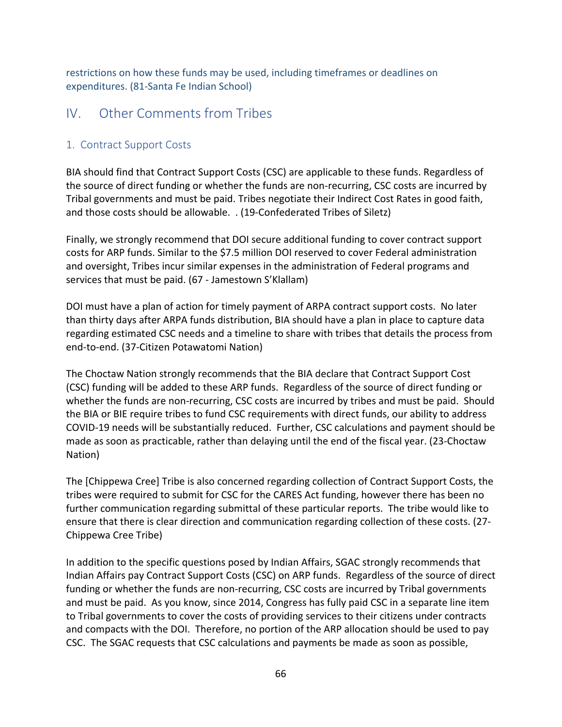restrictions on how these funds may be used, including timeframes or deadlines on expenditures. (81-Santa Fe Indian School)

# IV. Other Comments from Tribes

## 1. Contract Support Costs

BIA should find that Contract Support Costs (CSC) are applicable to these funds. Regardless of the source of direct funding or whether the funds are non-recurring, CSC costs are incurred by Tribal governments and must be paid. Tribes negotiate their Indirect Cost Rates in good faith, and those costs should be allowable. . (19-Confederated Tribes of Siletz)

Finally, we strongly recommend that DOI secure additional funding to cover contract support costs for ARP funds. Similar to the \$7.5 million DOI reserved to cover Federal administration and oversight, Tribes incur similar expenses in the administration of Federal programs and services that must be paid. (67 - Jamestown S'Klallam)

DOI must have a plan of action for timely payment of ARPA contract support costs. No later than thirty days after ARPA funds distribution, BIA should have a plan in place to capture data regarding estimated CSC needs and a timeline to share with tribes that details the process from end-to-end. (37-Citizen Potawatomi Nation)

The Choctaw Nation strongly recommends that the BIA declare that Contract Support Cost (CSC) funding will be added to these ARP funds. Regardless of the source of direct funding or whether the funds are non-recurring, CSC costs are incurred by tribes and must be paid. Should the BIA or BIE require tribes to fund CSC requirements with direct funds, our ability to address COVID-19 needs will be substantially reduced. Further, CSC calculations and payment should be made as soon as practicable, rather than delaying until the end of the fiscal year. (23-Choctaw Nation)

The [Chippewa Cree] Tribe is also concerned regarding collection of Contract Support Costs, the tribes were required to submit for CSC for the CARES Act funding, however there has been no further communication regarding submittal of these particular reports. The tribe would like to ensure that there is clear direction and communication regarding collection of these costs. (27- Chippewa Cree Tribe)

In addition to the specific questions posed by Indian Affairs, SGAC strongly recommends that Indian Affairs pay Contract Support Costs (CSC) on ARP funds. Regardless of the source of direct funding or whether the funds are non-recurring, CSC costs are incurred by Tribal governments and must be paid. As you know, since 2014, Congress has fully paid CSC in a separate line item to Tribal governments to cover the costs of providing services to their citizens under contracts and compacts with the DOI. Therefore, no portion of the ARP allocation should be used to pay CSC. The SGAC requests that CSC calculations and payments be made as soon as possible,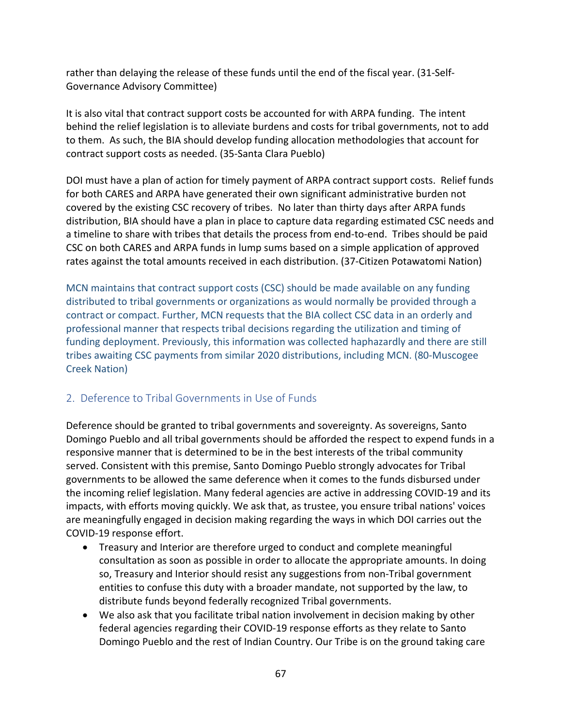rather than delaying the release of these funds until the end of the fiscal year. (31-Self-Governance Advisory Committee)

It is also vital that contract support costs be accounted for with ARPA funding. The intent behind the relief legislation is to alleviate burdens and costs for tribal governments, not to add to them. As such, the BIA should develop funding allocation methodologies that account for contract support costs as needed. (35-Santa Clara Pueblo)

DOI must have a plan of action for timely payment of ARPA contract support costs. Relief funds for both CARES and ARPA have generated their own significant administrative burden not covered by the existing CSC recovery of tribes. No later than thirty days after ARPA funds distribution, BIA should have a plan in place to capture data regarding estimated CSC needs and a timeline to share with tribes that details the process from end-to-end. Tribes should be paid CSC on both CARES and ARPA funds in lump sums based on a simple application of approved rates against the total amounts received in each distribution. (37-Citizen Potawatomi Nation)

MCN maintains that contract support costs (CSC) should be made available on any funding distributed to tribal governments or organizations as would normally be provided through a contract or compact. Further, MCN requests that the BIA collect CSC data in an orderly and professional manner that respects tribal decisions regarding the utilization and timing of funding deployment. Previously, this information was collected haphazardly and there are still tribes awaiting CSC payments from similar 2020 distributions, including MCN. (80-Muscogee Creek Nation)

# 2. Deference to Tribal Governments in Use of Funds

Deference should be granted to tribal governments and sovereignty. As sovereigns, Santo Domingo Pueblo and all tribal governments should be afforded the respect to expend funds in a responsive manner that is determined to be in the best interests of the tribal community served. Consistent with this premise, Santo Domingo Pueblo strongly advocates for Tribal governments to be allowed the same deference when it comes to the funds disbursed under the incoming relief legislation. Many federal agencies are active in addressing COVID-19 and its impacts, with efforts moving quickly. We ask that, as trustee, you ensure tribal nations' voices are meaningfully engaged in decision making regarding the ways in which DOI carries out the COVID-19 response effort.

- Treasury and Interior are therefore urged to conduct and complete meaningful consultation as soon as possible in order to allocate the appropriate amounts. In doing so, Treasury and Interior should resist any suggestions from non-Tribal government entities to confuse this duty with a broader mandate, not supported by the law, to distribute funds beyond federally recognized Tribal governments.
- We also ask that you facilitate tribal nation involvement in decision making by other federal agencies regarding their COVID-19 response efforts as they relate to Santo Domingo Pueblo and the rest of Indian Country. Our Tribe is on the ground taking care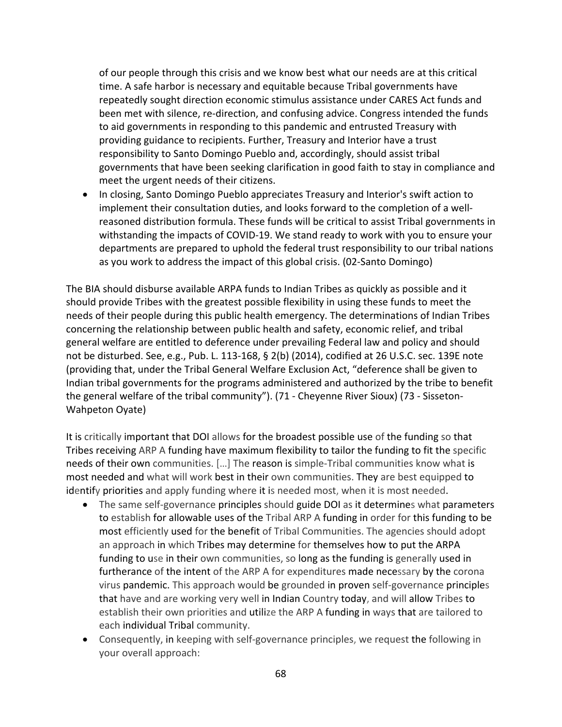of our people through this crisis and we know best what our needs are at this critical time. A safe harbor is necessary and equitable because Tribal governments have repeatedly sought direction economic stimulus assistance under CARES Act funds and been met with silence, re-direction, and confusing advice. Congress intended the funds to aid governments in responding to this pandemic and entrusted Treasury with providing guidance to recipients. Further, Treasury and Interior have a trust responsibility to Santo Domingo Pueblo and, accordingly, should assist tribal governments that have been seeking clarification in good faith to stay in compliance and meet the urgent needs of their citizens.

• In closing, Santo Domingo Pueblo appreciates Treasury and Interior's swift action to implement their consultation duties, and looks forward to the completion of a wellreasoned distribution formula. These funds will be critical to assist Tribal governments in withstanding the impacts of COVID-19. We stand ready to work with you to ensure your departments are prepared to uphold the federal trust responsibility to our tribal nations as you work to address the impact of this global crisis. (02-Santo Domingo)

The BIA should disburse available ARPA funds to Indian Tribes as quickly as possible and it should provide Tribes with the greatest possible flexibility in using these funds to meet the needs of their people during this public health emergency. The determinations of Indian Tribes concerning the relationship between public health and safety, economic relief, and tribal general welfare are entitled to deference under prevailing Federal law and policy and should not be disturbed. See, e.g., Pub. L. 113-168, § 2(b) (2014), codified at 26 U.S.C. sec. 139E note (providing that, under the Tribal General Welfare Exclusion Act, "deference shall be given to Indian tribal governments for the programs administered and authorized by the tribe to benefit the general welfare of the tribal community"). (71 - Cheyenne River Sioux) (73 - Sisseton-Wahpeton Oyate)

It is critically important that DOI allows for the broadest possible use of the funding so that Tribes receiving ARP A funding have maximum flexibility to tailor the funding to fit the specific needs of their own communities. […] The reason is simple-Tribal communities know what is most needed and what will work best in their own communities. They are best equipped to identify priorities and apply funding where it is needed most, when it is most needed.

- The same self-governance principles should guide DOI as it determines what parameters to establish for allowable uses of the Tribal ARP A funding in order for this funding to be most efficiently used for the benefit of Tribal Communities. The agencies should adopt an approach in which Tribes may determine for themselves how to put the ARPA funding to use in their own communities, so long as the funding is generally used in furtherance of the intent of the ARP A for expenditures made necessary by the corona virus pandemic. This approach would be grounded in proven self-governance principles that have and are working very well in Indian Country today, and will allow Tribes to establish their own priorities and utilize the ARP A funding in ways that are tailored to each individual Tribal community.
- Consequently, in keeping with self-governance principles, we request the following in your overall approach: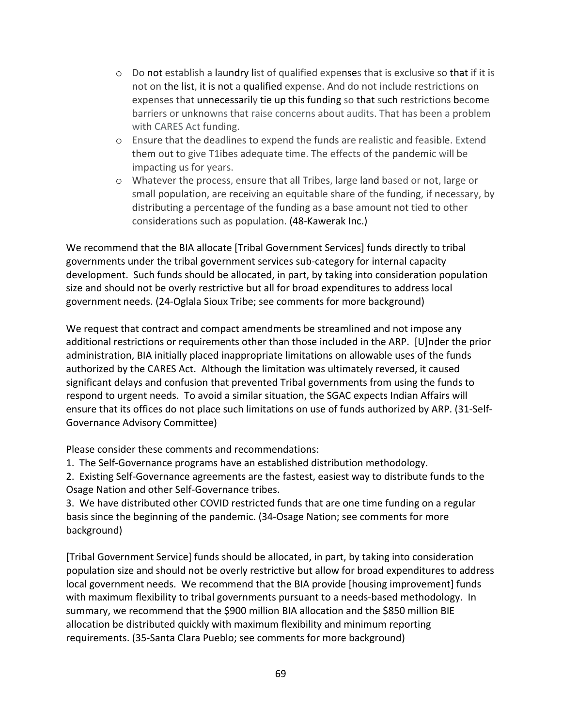- $\circ$  Do not establish a laundry list of qualified expenses that is exclusive so that if it is not on the list, it is not a qualified expense. And do not include restrictions on expenses that unnecessarily tie up this funding so that such restrictions become barriers or unknowns that raise concerns about audits. That has been a problem with CARES Act funding.
- o Ensure that the deadlines to expend the funds are realistic and feasible. Extend them out to give T1ibes adequate time. The effects of the pandemic will be impacting us for years.
- o Whatever the process, ensure that all Tribes, large land based or not, large or small population, are receiving an equitable share of the funding, if necessary, by distributing a percentage of the funding as a base amount not tied to other considerations such as population. (48-Kawerak Inc.)

We recommend that the BIA allocate [Tribal Government Services] funds directly to tribal governments under the tribal government services sub-category for internal capacity development. Such funds should be allocated, in part, by taking into consideration population size and should not be overly restrictive but all for broad expenditures to address local government needs. (24-Oglala Sioux Tribe; see comments for more background)

We request that contract and compact amendments be streamlined and not impose any additional restrictions or requirements other than those included in the ARP. [U]nder the prior administration, BIA initially placed inappropriate limitations on allowable uses of the funds authorized by the CARES Act. Although the limitation was ultimately reversed, it caused significant delays and confusion that prevented Tribal governments from using the funds to respond to urgent needs. To avoid a similar situation, the SGAC expects Indian Affairs will ensure that its offices do not place such limitations on use of funds authorized by ARP. (31-Self-Governance Advisory Committee)

Please consider these comments and recommendations:

1. The Self-Governance programs have an established distribution methodology.

2. Existing Self-Governance agreements are the fastest, easiest way to distribute funds to the Osage Nation and other Self-Governance tribes.

3. We have distributed other COVID restricted funds that are one time funding on a regular basis since the beginning of the pandemic. (34-Osage Nation; see comments for more background)

[Tribal Government Service] funds should be allocated, in part, by taking into consideration population size and should not be overly restrictive but allow for broad expenditures to address local government needs. We recommend that the BIA provide [housing improvement] funds with maximum flexibility to tribal governments pursuant to a needs-based methodology. In summary, we recommend that the \$900 million BIA allocation and the \$850 million BIE allocation be distributed quickly with maximum flexibility and minimum reporting requirements. (35-Santa Clara Pueblo; see comments for more background)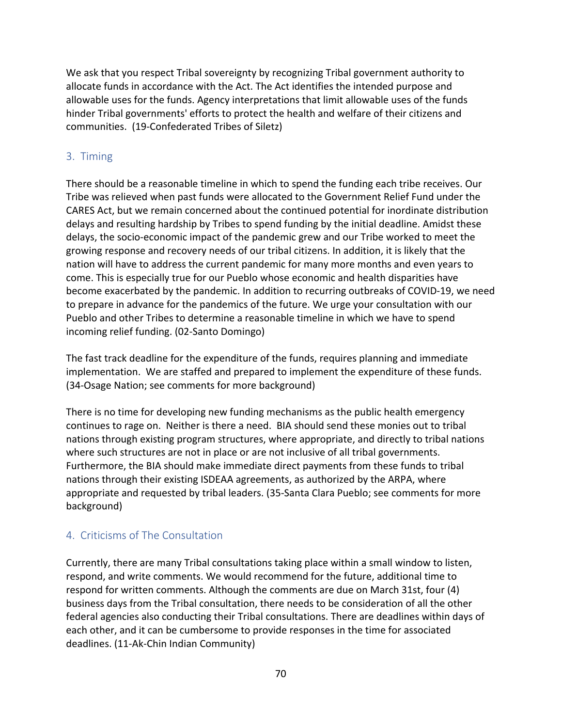We ask that you respect Tribal sovereignty by recognizing Tribal government authority to allocate funds in accordance with the Act. The Act identifies the intended purpose and allowable uses for the funds. Agency interpretations that limit allowable uses of the funds hinder Tribal governments' efforts to protect the health and welfare of their citizens and communities. (19-Confederated Tribes of Siletz)

## 3. Timing

There should be a reasonable timeline in which to spend the funding each tribe receives. Our Tribe was relieved when past funds were allocated to the Government Relief Fund under the CARES Act, but we remain concerned about the continued potential for inordinate distribution delays and resulting hardship by Tribes to spend funding by the initial deadline. Amidst these delays, the socio-economic impact of the pandemic grew and our Tribe worked to meet the growing response and recovery needs of our tribal citizens. In addition, it is likely that the nation will have to address the current pandemic for many more months and even years to come. This is especially true for our Pueblo whose economic and health disparities have become exacerbated by the pandemic. In addition to recurring outbreaks of COVID-19, we need to prepare in advance for the pandemics of the future. We urge your consultation with our Pueblo and other Tribes to determine a reasonable timeline in which we have to spend incoming relief funding. (02-Santo Domingo)

The fast track deadline for the expenditure of the funds, requires planning and immediate implementation. We are staffed and prepared to implement the expenditure of these funds. (34-Osage Nation; see comments for more background)

There is no time for developing new funding mechanisms as the public health emergency continues to rage on. Neither is there a need. BIA should send these monies out to tribal nations through existing program structures, where appropriate, and directly to tribal nations where such structures are not in place or are not inclusive of all tribal governments. Furthermore, the BIA should make immediate direct payments from these funds to tribal nations through their existing ISDEAA agreements, as authorized by the ARPA, where appropriate and requested by tribal leaders. (35-Santa Clara Pueblo; see comments for more background)

# 4. Criticisms of The Consultation

Currently, there are many Tribal consultations taking place within a small window to listen, respond, and write comments. We would recommend for the future, additional time to respond for written comments. Although the comments are due on March 31st, four (4) business days from the Tribal consultation, there needs to be consideration of all the other federal agencies also conducting their Tribal consultations. There are deadlines within days of each other, and it can be cumbersome to provide responses in the time for associated deadlines. (11-Ak-Chin Indian Community)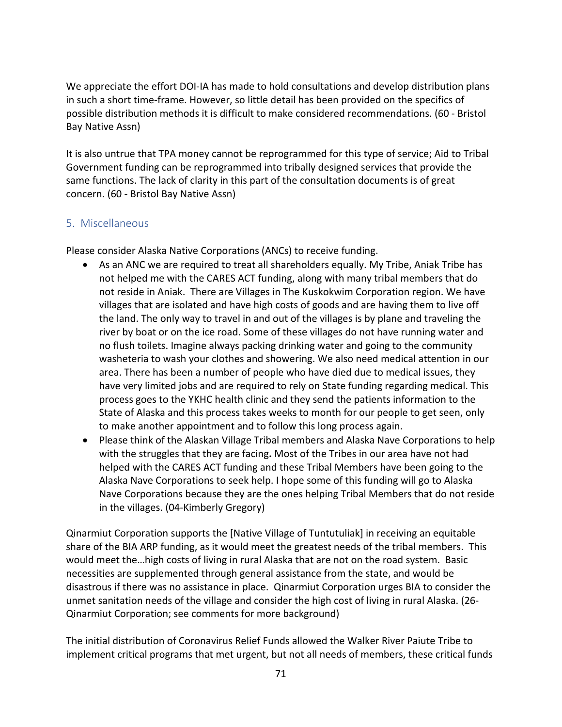We appreciate the effort DOI-IA has made to hold consultations and develop distribution plans in such a short time-frame. However, so little detail has been provided on the specifics of possible distribution methods it is difficult to make considered recommendations. (60 - Bristol Bay Native Assn)

It is also untrue that TPA money cannot be reprogrammed for this type of service; Aid to Tribal Government funding can be reprogrammed into tribally designed services that provide the same functions. The lack of clarity in this part of the consultation documents is of great concern. (60 - Bristol Bay Native Assn)

### 5. Miscellaneous

Please consider Alaska Native Corporations (ANCs) to receive funding.

- As an ANC we are required to treat all shareholders equally. My Tribe, Aniak Tribe has not helped me with the CARES ACT funding, along with many tribal members that do not reside in Aniak. There are Villages in The Kuskokwim Corporation region. We have villages that are isolated and have high costs of goods and are having them to live off the land. The only way to travel in and out of the villages is by plane and traveling the river by boat or on the ice road. Some of these villages do not have running water and no flush toilets. Imagine always packing drinking water and going to the community washeteria to wash your clothes and showering. We also need medical attention in our area. There has been a number of people who have died due to medical issues, they have very limited jobs and are required to rely on State funding regarding medical. This process goes to the YKHC health clinic and they send the patients information to the State of Alaska and this process takes weeks to month for our people to get seen, only to make another appointment and to follow this long process again.
- Please think of the Alaskan Village Tribal members and Alaska Nave Corporations to help with the struggles that they are facing**.** Most of the Tribes in our area have not had helped with the CARES ACT funding and these Tribal Members have been going to the Alaska Nave Corporations to seek help. I hope some of this funding will go to Alaska Nave Corporations because they are the ones helping Tribal Members that do not reside in the villages. (04-Kimberly Gregory)

Qinarmiut Corporation supports the [Native Village of Tuntutuliak] in receiving an equitable share of the BIA ARP funding, as it would meet the greatest needs of the tribal members. This would meet the…high costs of living in rural Alaska that are not on the road system. Basic necessities are supplemented through general assistance from the state, and would be disastrous if there was no assistance in place. Qinarmiut Corporation urges BIA to consider the unmet sanitation needs of the village and consider the high cost of living in rural Alaska. (26- Qinarmiut Corporation; see comments for more background)

The initial distribution of Coronavirus Relief Funds allowed the Walker River Paiute Tribe to implement critical programs that met urgent, but not all needs of members, these critical funds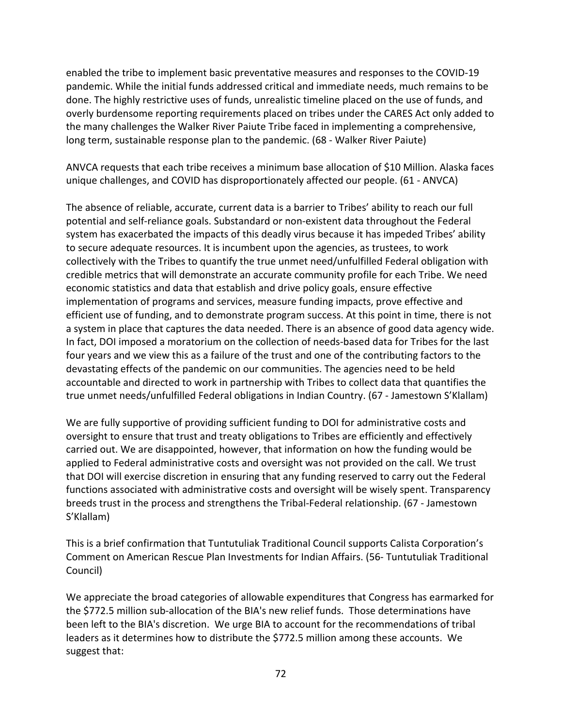enabled the tribe to implement basic preventative measures and responses to the COVID-19 pandemic. While the initial funds addressed critical and immediate needs, much remains to be done. The highly restrictive uses of funds, unrealistic timeline placed on the use of funds, and overly burdensome reporting requirements placed on tribes under the CARES Act only added to the many challenges the Walker River Paiute Tribe faced in implementing a comprehensive, long term, sustainable response plan to the pandemic. (68 - Walker River Paiute)

ANVCA requests that each tribe receives a minimum base allocation of \$10 Million. Alaska faces unique challenges, and COVID has disproportionately affected our people. (61 - ANVCA)

The absence of reliable, accurate, current data is a barrier to Tribes' ability to reach our full potential and self-reliance goals. Substandard or non-existent data throughout the Federal system has exacerbated the impacts of this deadly virus because it has impeded Tribes' ability to secure adequate resources. It is incumbent upon the agencies, as trustees, to work collectively with the Tribes to quantify the true unmet need/unfulfilled Federal obligation with credible metrics that will demonstrate an accurate community profile for each Tribe. We need economic statistics and data that establish and drive policy goals, ensure effective implementation of programs and services, measure funding impacts, prove effective and efficient use of funding, and to demonstrate program success. At this point in time, there is not a system in place that captures the data needed. There is an absence of good data agency wide. In fact, DOI imposed a moratorium on the collection of needs-based data for Tribes for the last four years and we view this as a failure of the trust and one of the contributing factors to the devastating effects of the pandemic on our communities. The agencies need to be held accountable and directed to work in partnership with Tribes to collect data that quantifies the true unmet needs/unfulfilled Federal obligations in Indian Country. (67 - Jamestown S'Klallam)

We are fully supportive of providing sufficient funding to DOI for administrative costs and oversight to ensure that trust and treaty obligations to Tribes are efficiently and effectively carried out. We are disappointed, however, that information on how the funding would be applied to Federal administrative costs and oversight was not provided on the call. We trust that DOI will exercise discretion in ensuring that any funding reserved to carry out the Federal functions associated with administrative costs and oversight will be wisely spent. Transparency breeds trust in the process and strengthens the Tribal-Federal relationship. (67 - Jamestown S'Klallam)

This is a brief confirmation that Tuntutuliak Traditional Council supports Calista Corporation's Comment on American Rescue Plan Investments for Indian Affairs. (56- Tuntutuliak Traditional Council)

We appreciate the broad categories of allowable expenditures that Congress has earmarked for the \$772.5 million sub-allocation of the BIA's new relief funds. Those determinations have been left to the BIA's discretion. We urge BIA to account for the recommendations of tribal leaders as it determines how to distribute the \$772.5 million among these accounts. We suggest that: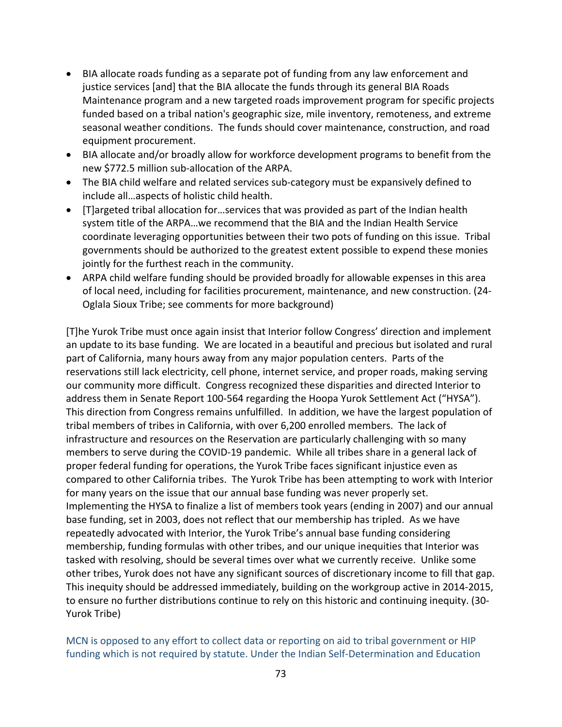- BIA allocate roads funding as a separate pot of funding from any law enforcement and justice services [and] that the BIA allocate the funds through its general BIA Roads Maintenance program and a new targeted roads improvement program for specific projects funded based on a tribal nation's geographic size, mile inventory, remoteness, and extreme seasonal weather conditions. The funds should cover maintenance, construction, and road equipment procurement.
- BIA allocate and/or broadly allow for workforce development programs to benefit from the new \$772.5 million sub-allocation of the ARPA.
- The BIA child welfare and related services sub-category must be expansively defined to include all…aspects of holistic child health.
- [T]argeted tribal allocation for…services that was provided as part of the Indian health system title of the ARPA…we recommend that the BIA and the Indian Health Service coordinate leveraging opportunities between their two pots of funding on this issue. Tribal governments should be authorized to the greatest extent possible to expend these monies jointly for the furthest reach in the community.
- ARPA child welfare funding should be provided broadly for allowable expenses in this area of local need, including for facilities procurement, maintenance, and new construction. (24- Oglala Sioux Tribe; see comments for more background)

[T]he Yurok Tribe must once again insist that Interior follow Congress' direction and implement an update to its base funding. We are located in a beautiful and precious but isolated and rural part of California, many hours away from any major population centers. Parts of the reservations still lack electricity, cell phone, internet service, and proper roads, making serving our community more difficult. Congress recognized these disparities and directed Interior to address them in Senate Report 100-564 regarding the Hoopa Yurok Settlement Act ("HYSA"). This direction from Congress remains unfulfilled. In addition, we have the largest population of tribal members of tribes in California, with over 6,200 enrolled members. The lack of infrastructure and resources on the Reservation are particularly challenging with so many members to serve during the COVID-19 pandemic. While all tribes share in a general lack of proper federal funding for operations, the Yurok Tribe faces significant injustice even as compared to other California tribes. The Yurok Tribe has been attempting to work with Interior for many years on the issue that our annual base funding was never properly set. Implementing the HYSA to finalize a list of members took years (ending in 2007) and our annual base funding, set in 2003, does not reflect that our membership has tripled. As we have repeatedly advocated with Interior, the Yurok Tribe's annual base funding considering membership, funding formulas with other tribes, and our unique inequities that Interior was tasked with resolving, should be several times over what we currently receive. Unlike some other tribes, Yurok does not have any significant sources of discretionary income to fill that gap. This inequity should be addressed immediately, building on the workgroup active in 2014-2015, to ensure no further distributions continue to rely on this historic and continuing inequity. (30- Yurok Tribe)

MCN is opposed to any effort to collect data or reporting on aid to tribal government or HIP funding which is not required by statute. Under the Indian Self-Determination and Education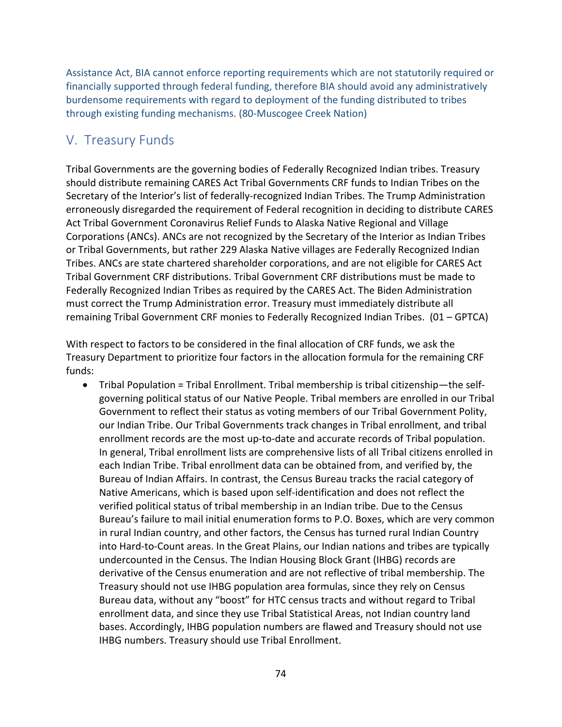Assistance Act, BIA cannot enforce reporting requirements which are not statutorily required or financially supported through federal funding, therefore BIA should avoid any administratively burdensome requirements with regard to deployment of the funding distributed to tribes through existing funding mechanisms. (80-Muscogee Creek Nation)

## V. Treasury Funds

Tribal Governments are the governing bodies of Federally Recognized Indian tribes. Treasury should distribute remaining CARES Act Tribal Governments CRF funds to Indian Tribes on the Secretary of the Interior's list of federally-recognized Indian Tribes. The Trump Administration erroneously disregarded the requirement of Federal recognition in deciding to distribute CARES Act Tribal Government Coronavirus Relief Funds to Alaska Native Regional and Village Corporations (ANCs). ANCs are not recognized by the Secretary of the Interior as Indian Tribes or Tribal Governments, but rather 229 Alaska Native villages are Federally Recognized Indian Tribes. ANCs are state chartered shareholder corporations, and are not eligible for CARES Act Tribal Government CRF distributions. Tribal Government CRF distributions must be made to Federally Recognized Indian Tribes as required by the CARES Act. The Biden Administration must correct the Trump Administration error. Treasury must immediately distribute all remaining Tribal Government CRF monies to Federally Recognized Indian Tribes. (01 – GPTCA)

With respect to factors to be considered in the final allocation of CRF funds, we ask the Treasury Department to prioritize four factors in the allocation formula for the remaining CRF funds:

• Tribal Population = Tribal Enrollment. Tribal membership is tribal citizenship—the selfgoverning political status of our Native People. Tribal members are enrolled in our Tribal Government to reflect their status as voting members of our Tribal Government Polity, our Indian Tribe. Our Tribal Governments track changes in Tribal enrollment, and tribal enrollment records are the most up-to-date and accurate records of Tribal population. In general, Tribal enrollment lists are comprehensive lists of all Tribal citizens enrolled in each Indian Tribe. Tribal enrollment data can be obtained from, and verified by, the Bureau of Indian Affairs. In contrast, the Census Bureau tracks the racial category of Native Americans, which is based upon self-identification and does not reflect the verified political status of tribal membership in an Indian tribe. Due to the Census Bureau's failure to mail initial enumeration forms to P.O. Boxes, which are very common in rural Indian country, and other factors, the Census has turned rural Indian Country into Hard-to-Count areas. In the Great Plains, our Indian nations and tribes are typically undercounted in the Census. The Indian Housing Block Grant (IHBG) records are derivative of the Census enumeration and are not reflective of tribal membership. The Treasury should not use IHBG population area formulas, since they rely on Census Bureau data, without any "boost" for HTC census tracts and without regard to Tribal enrollment data, and since they use Tribal Statistical Areas, not Indian country land bases. Accordingly, IHBG population numbers are flawed and Treasury should not use IHBG numbers. Treasury should use Tribal Enrollment.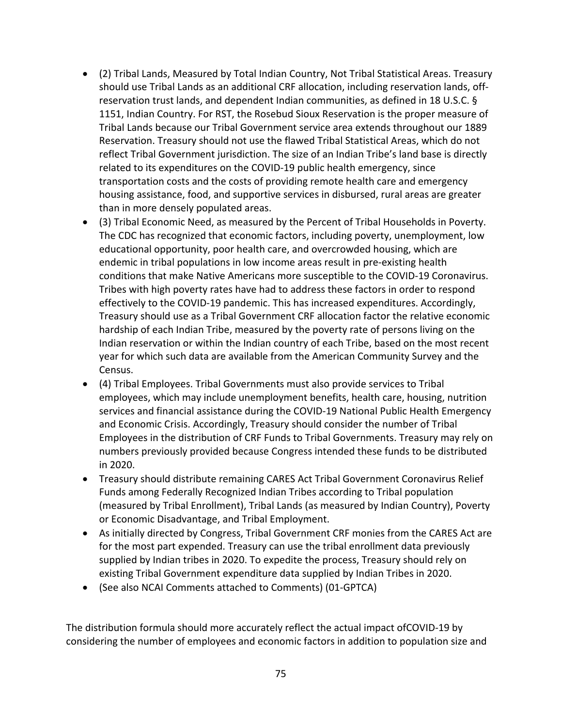- (2) Tribal Lands, Measured by Total Indian Country, Not Tribal Statistical Areas. Treasury should use Tribal Lands as an additional CRF allocation, including reservation lands, offreservation trust lands, and dependent Indian communities, as defined in 18 U.S.C. § 1151, Indian Country. For RST, the Rosebud Sioux Reservation is the proper measure of Tribal Lands because our Tribal Government service area extends throughout our 1889 Reservation. Treasury should not use the flawed Tribal Statistical Areas, which do not reflect Tribal Government jurisdiction. The size of an Indian Tribe's land base is directly related to its expenditures on the COVID-19 public health emergency, since transportation costs and the costs of providing remote health care and emergency housing assistance, food, and supportive services in disbursed, rural areas are greater than in more densely populated areas.
- (3) Tribal Economic Need, as measured by the Percent of Tribal Households in Poverty. The CDC has recognized that economic factors, including poverty, unemployment, low educational opportunity, poor health care, and overcrowded housing, which are endemic in tribal populations in low income areas result in pre-existing health conditions that make Native Americans more susceptible to the COVID-19 Coronavirus. Tribes with high poverty rates have had to address these factors in order to respond effectively to the COVID-19 pandemic. This has increased expenditures. Accordingly, Treasury should use as a Tribal Government CRF allocation factor the relative economic hardship of each Indian Tribe, measured by the poverty rate of persons living on the Indian reservation or within the Indian country of each Tribe, based on the most recent year for which such data are available from the American Community Survey and the Census.
- (4) Tribal Employees. Tribal Governments must also provide services to Tribal employees, which may include unemployment benefits, health care, housing, nutrition services and financial assistance during the COVID-19 National Public Health Emergency and Economic Crisis. Accordingly, Treasury should consider the number of Tribal Employees in the distribution of CRF Funds to Tribal Governments. Treasury may rely on numbers previously provided because Congress intended these funds to be distributed in 2020.
- Treasury should distribute remaining CARES Act Tribal Government Coronavirus Relief Funds among Federally Recognized Indian Tribes according to Tribal population (measured by Tribal Enrollment), Tribal Lands (as measured by Indian Country), Poverty or Economic Disadvantage, and Tribal Employment.
- As initially directed by Congress, Tribal Government CRF monies from the CARES Act are for the most part expended. Treasury can use the tribal enrollment data previously supplied by Indian tribes in 2020. To expedite the process, Treasury should rely on existing Tribal Government expenditure data supplied by Indian Tribes in 2020.
- (See also NCAI Comments attached to Comments) (01-GPTCA)

The distribution formula should more accurately reflect the actual impact ofCOVID-19 by considering the number of employees and economic factors in addition to population size and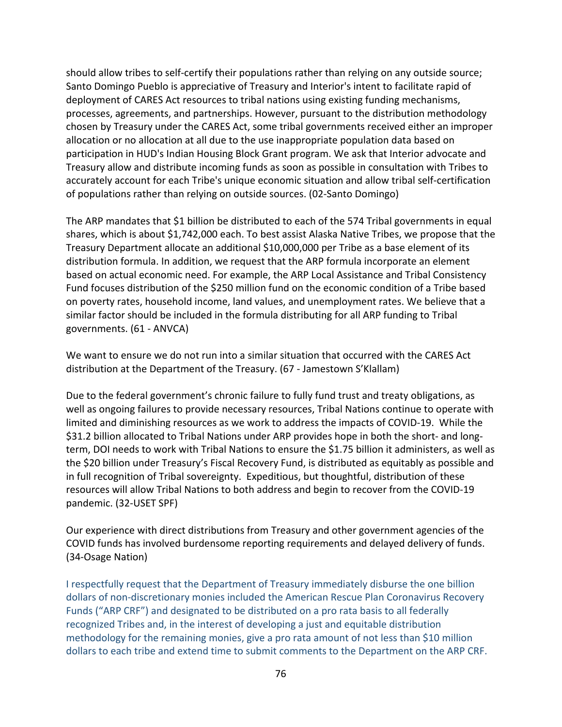should allow tribes to self-certify their populations rather than relying on any outside source; Santo Domingo Pueblo is appreciative of Treasury and Interior's intent to facilitate rapid of deployment of CARES Act resources to tribal nations using existing funding mechanisms, processes, agreements, and partnerships. However, pursuant to the distribution methodology chosen by Treasury under the CARES Act, some tribal governments received either an improper allocation or no allocation at all due to the use inappropriate population data based on participation in HUD's Indian Housing Block Grant program. We ask that Interior advocate and Treasury allow and distribute incoming funds as soon as possible in consultation with Tribes to accurately account for each Tribe's unique economic situation and allow tribal self-certification of populations rather than relying on outside sources. (02-Santo Domingo)

The ARP mandates that \$1 billion be distributed to each of the 574 Tribal governments in equal shares, which is about \$1,742,000 each. To best assist Alaska Native Tribes, we propose that the Treasury Department allocate an additional \$10,000,000 per Tribe as a base element of its distribution formula. In addition, we request that the ARP formula incorporate an element based on actual economic need. For example, the ARP Local Assistance and Tribal Consistency Fund focuses distribution of the \$250 million fund on the economic condition of a Tribe based on poverty rates, household income, land values, and unemployment rates. We believe that a similar factor should be included in the formula distributing for all ARP funding to Tribal governments. (61 - ANVCA)

We want to ensure we do not run into a similar situation that occurred with the CARES Act distribution at the Department of the Treasury. (67 - Jamestown S'Klallam)

Due to the federal government's chronic failure to fully fund trust and treaty obligations, as well as ongoing failures to provide necessary resources, Tribal Nations continue to operate with limited and diminishing resources as we work to address the impacts of COVID-19. While the \$31.2 billion allocated to Tribal Nations under ARP provides hope in both the short- and longterm, DOI needs to work with Tribal Nations to ensure the \$1.75 billion it administers, as well as the \$20 billion under Treasury's Fiscal Recovery Fund, is distributed as equitably as possible and in full recognition of Tribal sovereignty. Expeditious, but thoughtful, distribution of these resources will allow Tribal Nations to both address and begin to recover from the COVID-19 pandemic. (32-USET SPF)

Our experience with direct distributions from Treasury and other government agencies of the COVID funds has involved burdensome reporting requirements and delayed delivery of funds. (34-Osage Nation)

I respectfully request that the Department of Treasury immediately disburse the one billion dollars of non-discretionary monies included the American Rescue Plan Coronavirus Recovery Funds ("ARP CRF") and designated to be distributed on a pro rata basis to all federally recognized Tribes and, in the interest of developing a just and equitable distribution methodology for the remaining monies, give a pro rata amount of not less than \$10 million dollars to each tribe and extend time to submit comments to the Department on the ARP CRF.